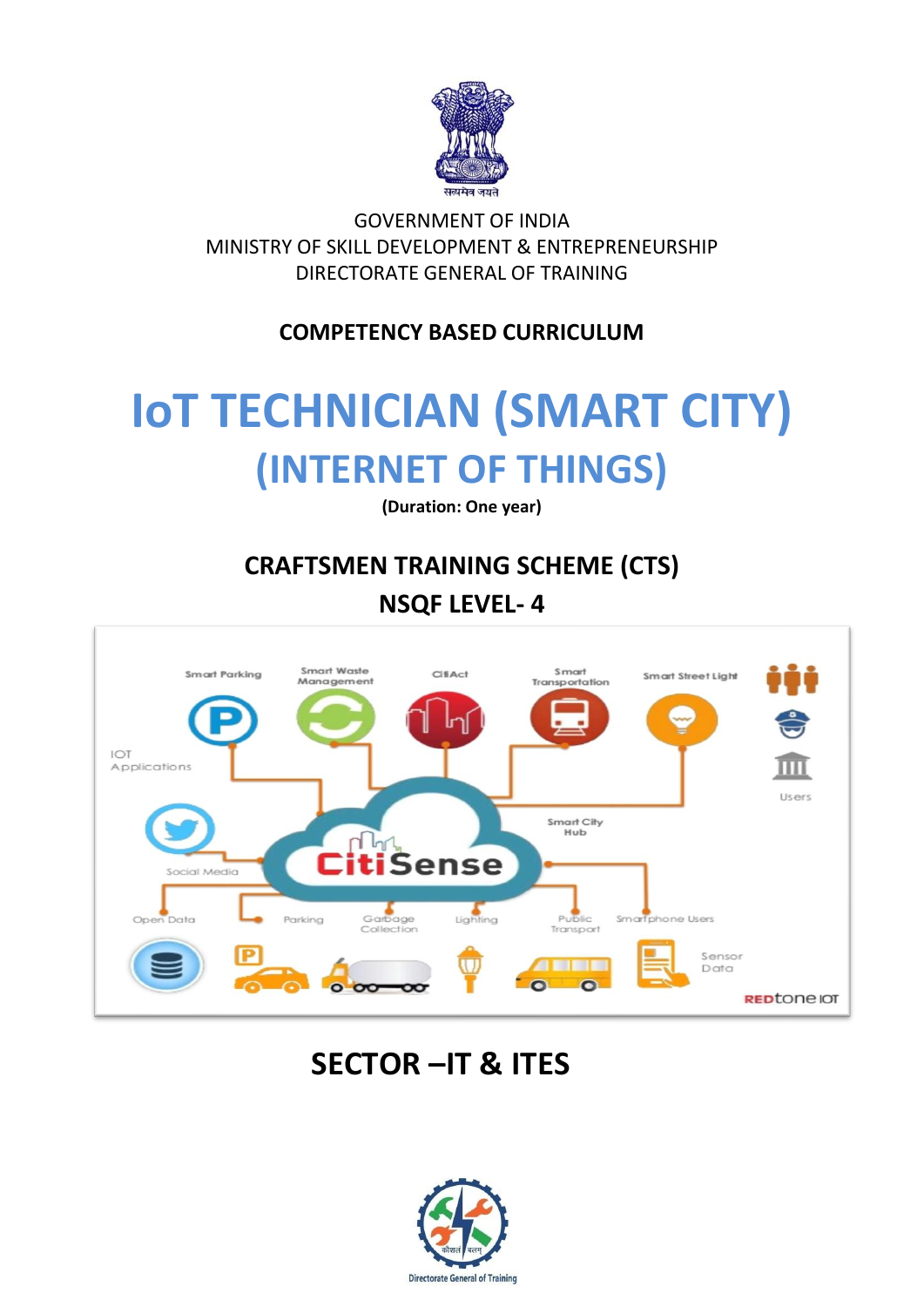

GOVERNMENT OF INDIA MINISTRY OF SKILL DEVELOPMENT & ENTREPRENEURSHIP DIRECTORATE GENERAL OF TRAINING

## **COMPETENCY BASED CURRICULUM**

# **IoT TECHNICIAN (SMART CITY) (INTERNET OF THINGS)**

**(Duration: One year)**

## **CRAFTSMEN TRAINING SCHEME (CTS) NSQF LEVEL- 4**



# **SECTOR –IT & ITES**

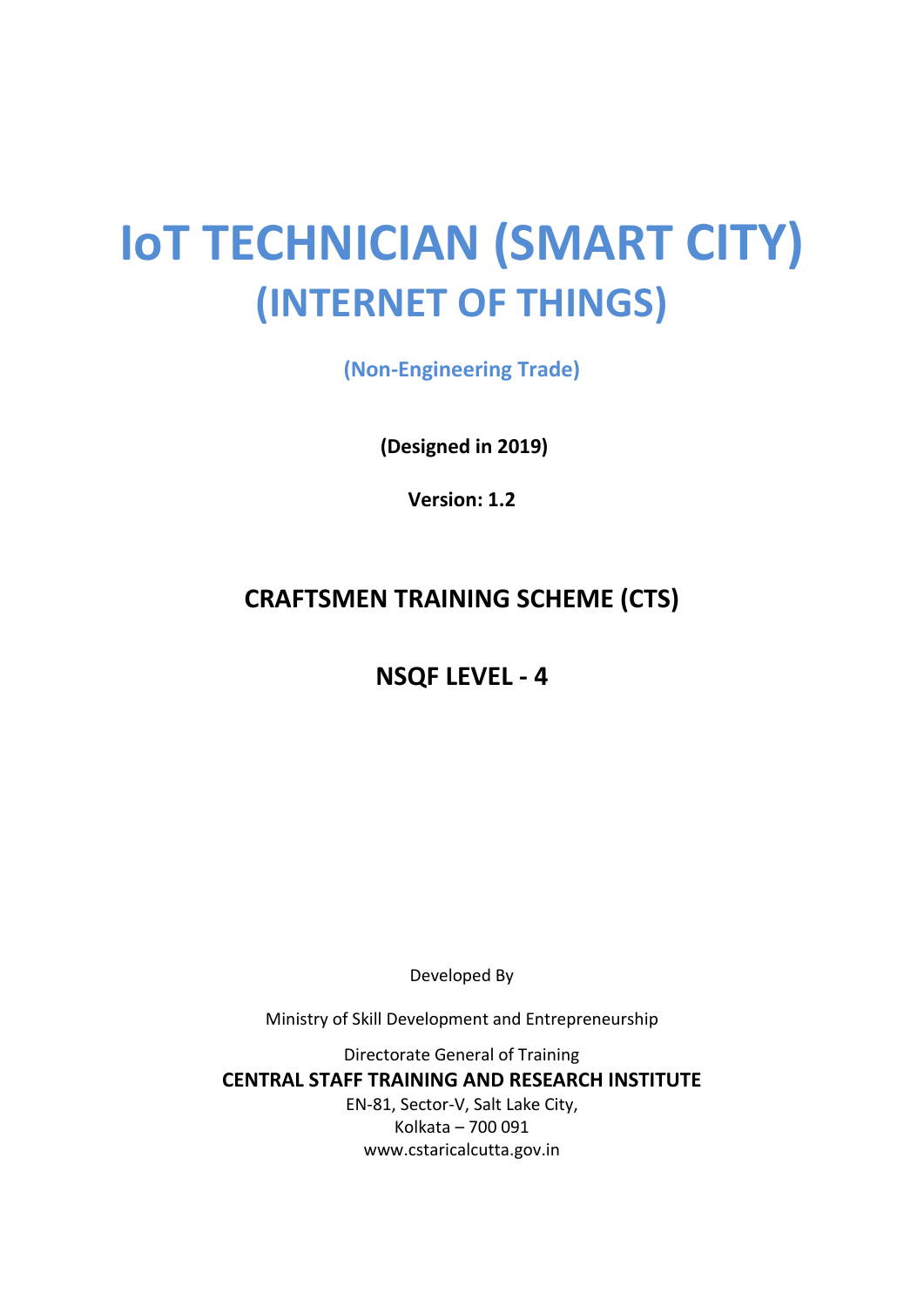# **IoT TECHNICIAN (SMART CITY) (INTERNET OF THINGS)**

**(Non-Engineering Trade)**

**(Designed in 2019)**

**Version: 1.2**

## **CRAFTSMEN TRAINING SCHEME (CTS)**

**NSQF LEVEL - 4**

Developed By

Ministry of Skill Development and Entrepreneurship

Directorate General of Training **CENTRAL STAFF TRAINING AND RESEARCH INSTITUTE** EN-81, Sector-V, Salt Lake City, Kolkata – 700 091 www.cstaricalcutta.gov.in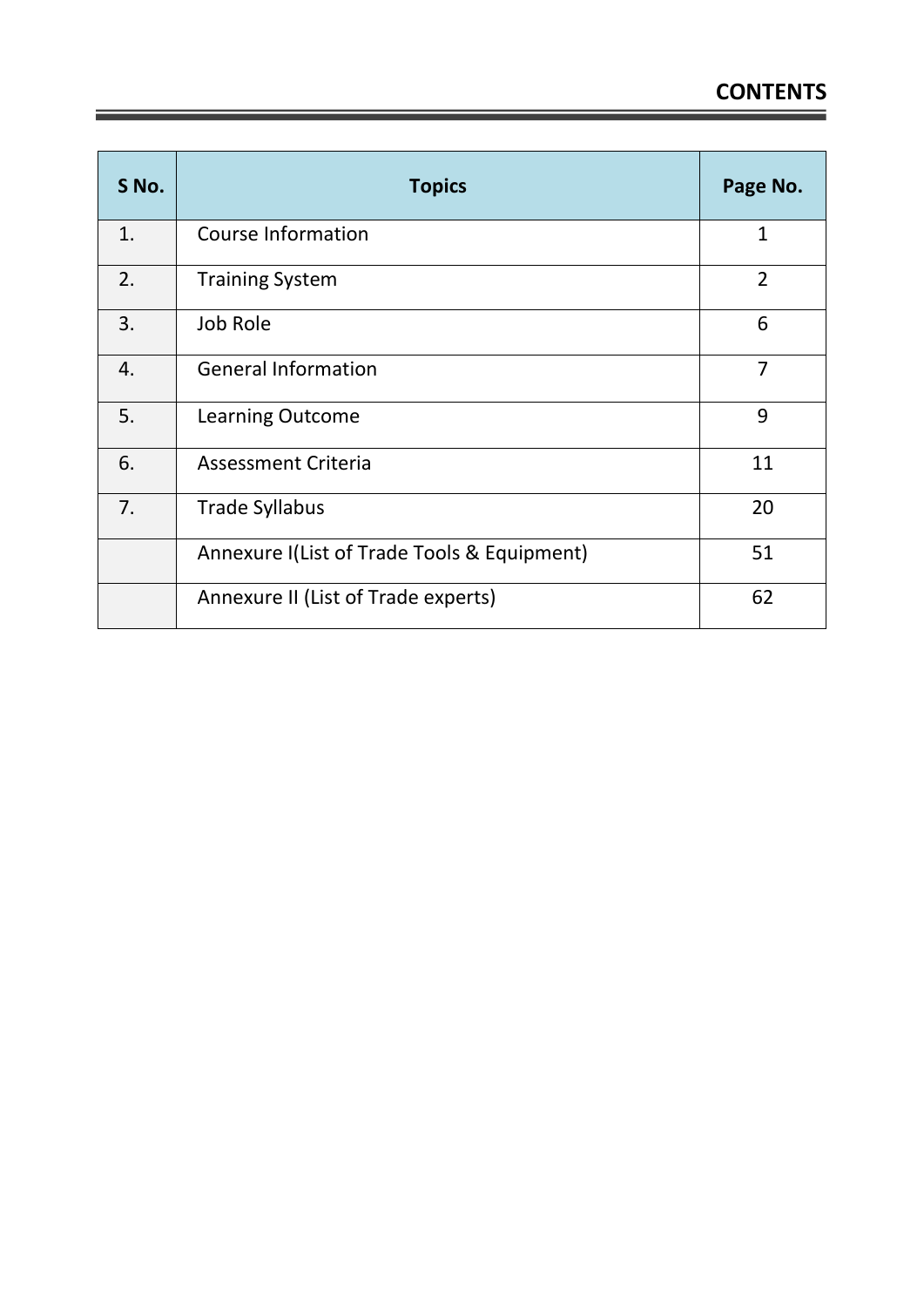| S No. | <b>Topics</b>                               | Page No.       |
|-------|---------------------------------------------|----------------|
| 1.    | <b>Course Information</b>                   | $\mathbf{1}$   |
| 2.    | <b>Training System</b>                      | $\overline{2}$ |
| 3.    | Job Role                                    | 6              |
| 4.    | <b>General Information</b>                  | 7              |
| 5.    | Learning Outcome                            | 9              |
| 6.    | <b>Assessment Criteria</b>                  | 11             |
| 7.    | <b>Trade Syllabus</b>                       | 20             |
|       | Annexure I(List of Trade Tools & Equipment) | 51             |
|       | Annexure II (List of Trade experts)         | 62             |

<u> 1989 - Johann Stein, marwolaethau a bh</u>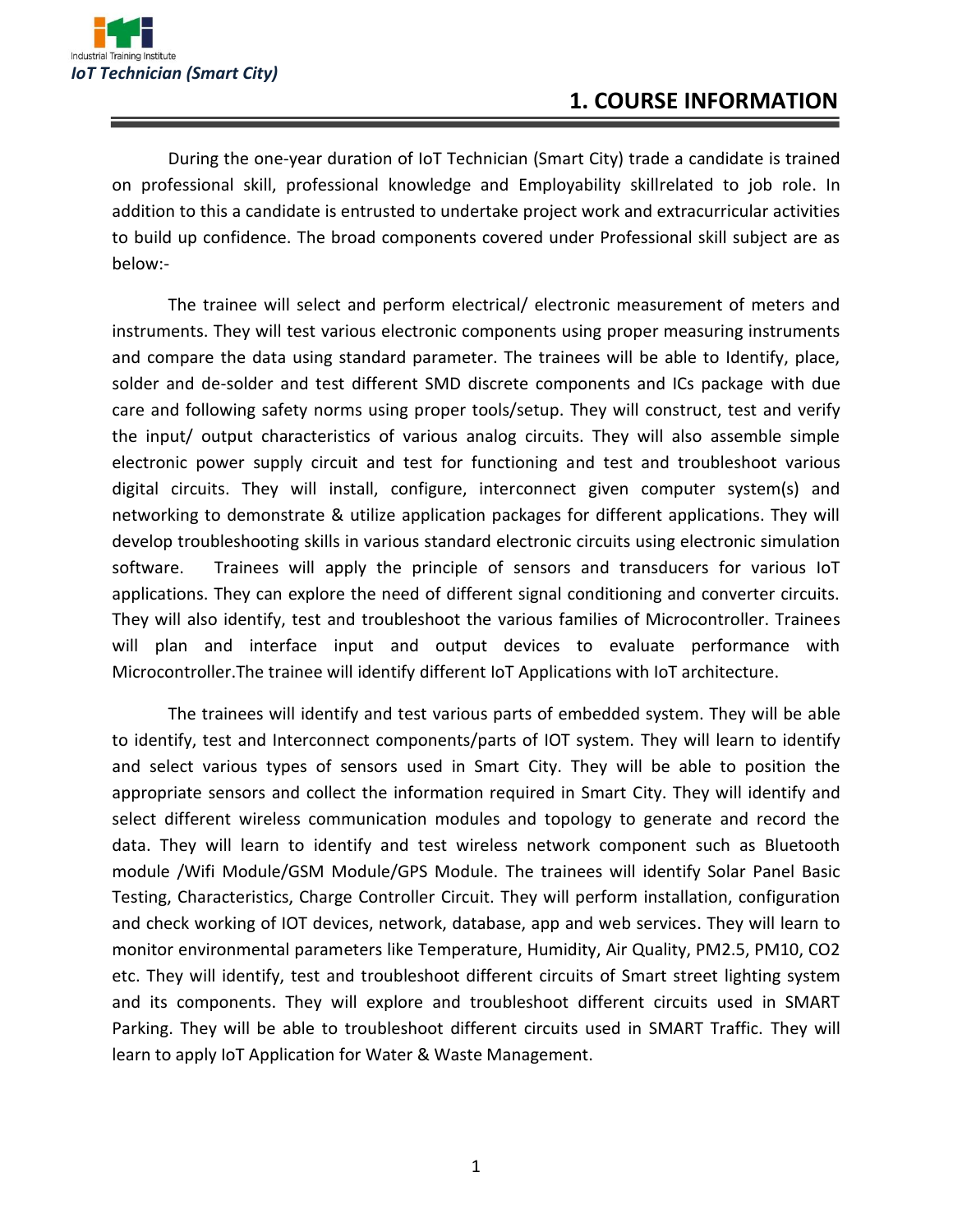

During the one-year duration of IoT Technician (Smart City) trade a candidate is trained on professional skill, professional knowledge and Employability skillrelated to job role. In addition to this a candidate is entrusted to undertake project work and extracurricular activities to build up confidence. The broad components covered under Professional skill subject are as below:-

The trainee will select and perform electrical/ electronic measurement of meters and instruments. They will test various electronic components using proper measuring instruments and compare the data using standard parameter. The trainees will be able to Identify, place, solder and de-solder and test different SMD discrete components and ICs package with due care and following safety norms using proper tools/setup. They will construct, test and verify the input/ output characteristics of various analog circuits. They will also assemble simple electronic power supply circuit and test for functioning and test and troubleshoot various digital circuits. They will install, configure, interconnect given computer system(s) and networking to demonstrate & utilize application packages for different applications. They will develop troubleshooting skills in various standard electronic circuits using electronic simulation software. Trainees will apply the principle of sensors and transducers for various IoT applications. They can explore the need of different signal conditioning and converter circuits. They will also identify, test and troubleshoot the various families of Microcontroller. Trainees will plan and interface input and output devices to evaluate performance with Microcontroller.The trainee will identify different IoT Applications with IoT architecture.

The trainees will identify and test various parts of embedded system. They will be able to identify, test and Interconnect components/parts of IOT system. They will learn to identify and select various types of sensors used in Smart City. They will be able to position the appropriate sensors and collect the information required in Smart City. They will identify and select different wireless communication modules and topology to generate and record the data. They will learn to identify and test wireless network component such as Bluetooth module /Wifi Module/GSM Module/GPS Module. The trainees will identify Solar Panel Basic Testing, Characteristics, Charge Controller Circuit. They will perform installation, configuration and check working of IOT devices, network, database, app and web services. They will learn to monitor environmental parameters like Temperature, Humidity, Air Quality, PM2.5, PM10, CO2 etc. They will identify, test and troubleshoot different circuits of Smart street lighting system and its components. They will explore and troubleshoot different circuits used in SMART Parking. They will be able to troubleshoot different circuits used in SMART Traffic. They will learn to apply IoT Application for Water & Waste Management.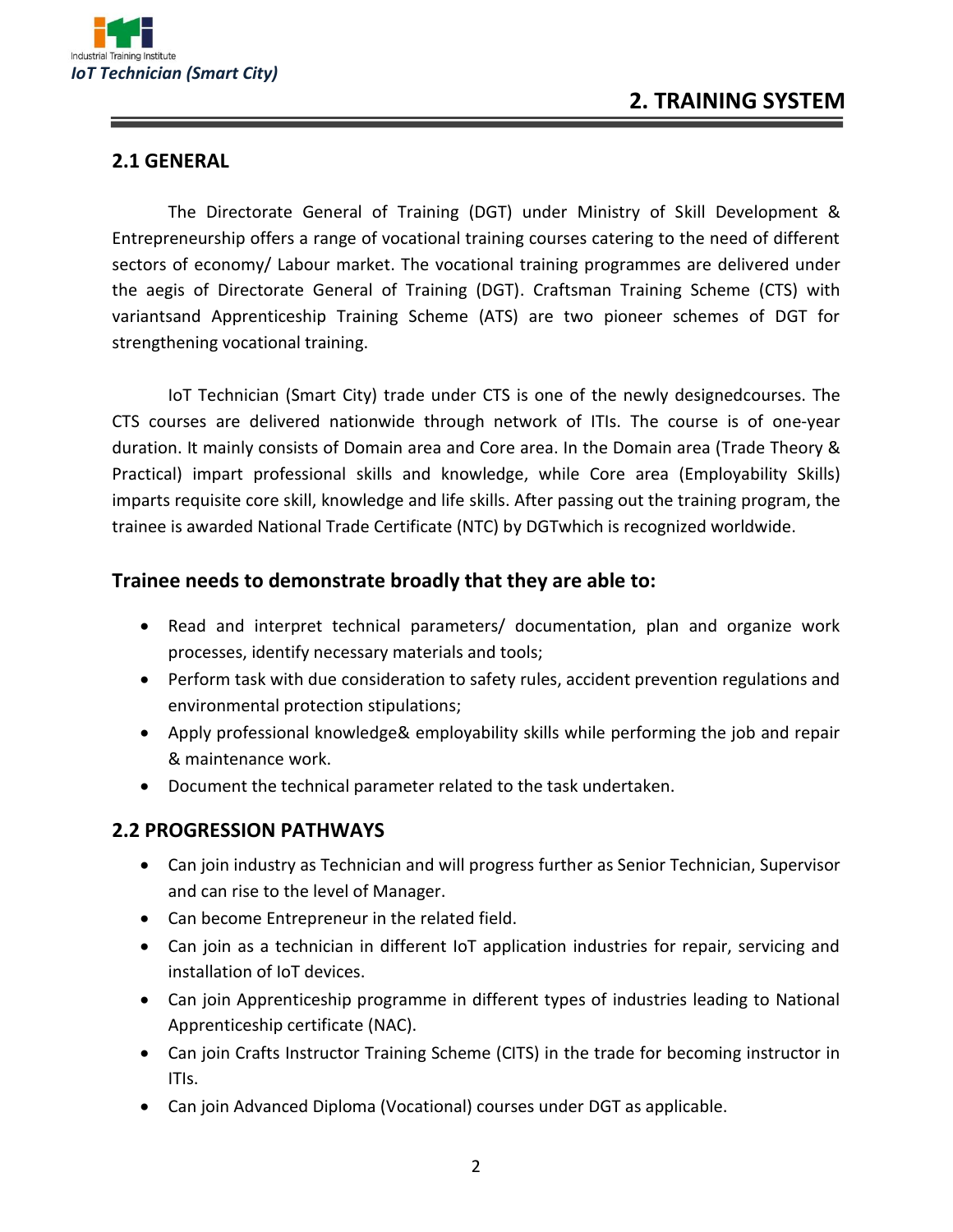

#### **2.1 GENERAL**

The Directorate General of Training (DGT) under Ministry of Skill Development & Entrepreneurship offers a range of vocational training courses catering to the need of different sectors of economy/ Labour market. The vocational training programmes are delivered under the aegis of Directorate General of Training (DGT). Craftsman Training Scheme (CTS) with variantsand Apprenticeship Training Scheme (ATS) are two pioneer schemes of DGT for strengthening vocational training.

IoT Technician (Smart City) trade under CTS is one of the newly designedcourses. The CTS courses are delivered nationwide through network of ITIs. The course is of one-year duration. It mainly consists of Domain area and Core area. In the Domain area (Trade Theory & Practical) impart professional skills and knowledge, while Core area (Employability Skills) imparts requisite core skill, knowledge and life skills. After passing out the training program, the trainee is awarded National Trade Certificate (NTC) by DGTwhich is recognized worldwide.

#### **Trainee needs to demonstrate broadly that they are able to:**

- Read and interpret technical parameters/ documentation, plan and organize work processes, identify necessary materials and tools;
- Perform task with due consideration to safety rules, accident prevention regulations and environmental protection stipulations;
- Apply professional knowledge& employability skills while performing the job and repair & maintenance work.
- Document the technical parameter related to the task undertaken.

#### **2.2 PROGRESSION PATHWAYS**

- Can join industry as Technician and will progress further as Senior Technician, Supervisor and can rise to the level of Manager.
- Can become Entrepreneur in the related field.
- Can join as a technician in different IoT application industries for repair, servicing and installation of IoT devices.
- Can join Apprenticeship programme in different types of industries leading to National Apprenticeship certificate (NAC).
- Can join Crafts Instructor Training Scheme (CITS) in the trade for becoming instructor in ITIs.
- Can join Advanced Diploma (Vocational) courses under DGT as applicable.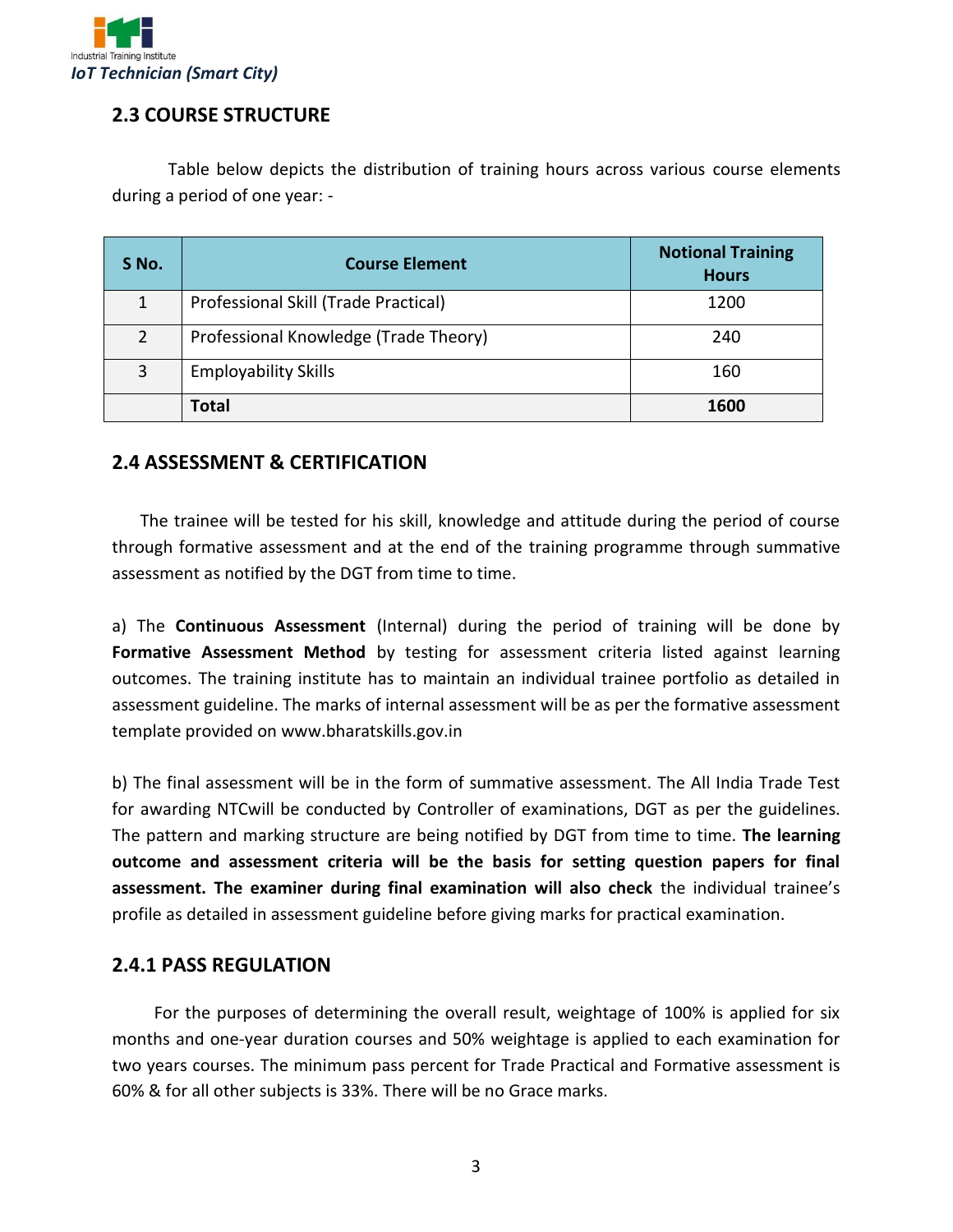

#### **2.3 COURSE STRUCTURE**

Table below depicts the distribution of training hours across various course elements during a period of one year: -

| S No.         | <b>Course Element</b>                 | <b>Notional Training</b><br><b>Hours</b> |
|---------------|---------------------------------------|------------------------------------------|
| 1             | Professional Skill (Trade Practical)  | 1200                                     |
| $\mathcal{P}$ | Professional Knowledge (Trade Theory) | 240                                      |
| 3             | <b>Employability Skills</b>           | 160                                      |
|               | Total                                 | 1600                                     |

#### **2.4 ASSESSMENT & CERTIFICATION**

The trainee will be tested for his skill, knowledge and attitude during the period of course through formative assessment and at the end of the training programme through summative assessment as notified by the DGT from time to time.

a) The **Continuous Assessment** (Internal) during the period of training will be done by **Formative Assessment Method** by testing for assessment criteria listed against learning outcomes. The training institute has to maintain an individual trainee portfolio as detailed in assessment guideline. The marks of internal assessment will be as per the formative assessment template provided on www.bharatskills.gov.in

b) The final assessment will be in the form of summative assessment. The All India Trade Test for awarding NTCwill be conducted by Controller of examinations, DGT as per the guidelines. The pattern and marking structure are being notified by DGT from time to time. **The learning outcome and assessment criteria will be the basis for setting question papers for final assessment. The examiner during final examination will also check** the individual trainee's profile as detailed in assessment guideline before giving marks for practical examination.

#### **2.4.1 PASS REGULATION**

For the purposes of determining the overall result, weightage of 100% is applied for six months and one-year duration courses and 50% weightage is applied to each examination for two years courses. The minimum pass percent for Trade Practical and Formative assessment is 60% & for all other subjects is 33%. There will be no Grace marks.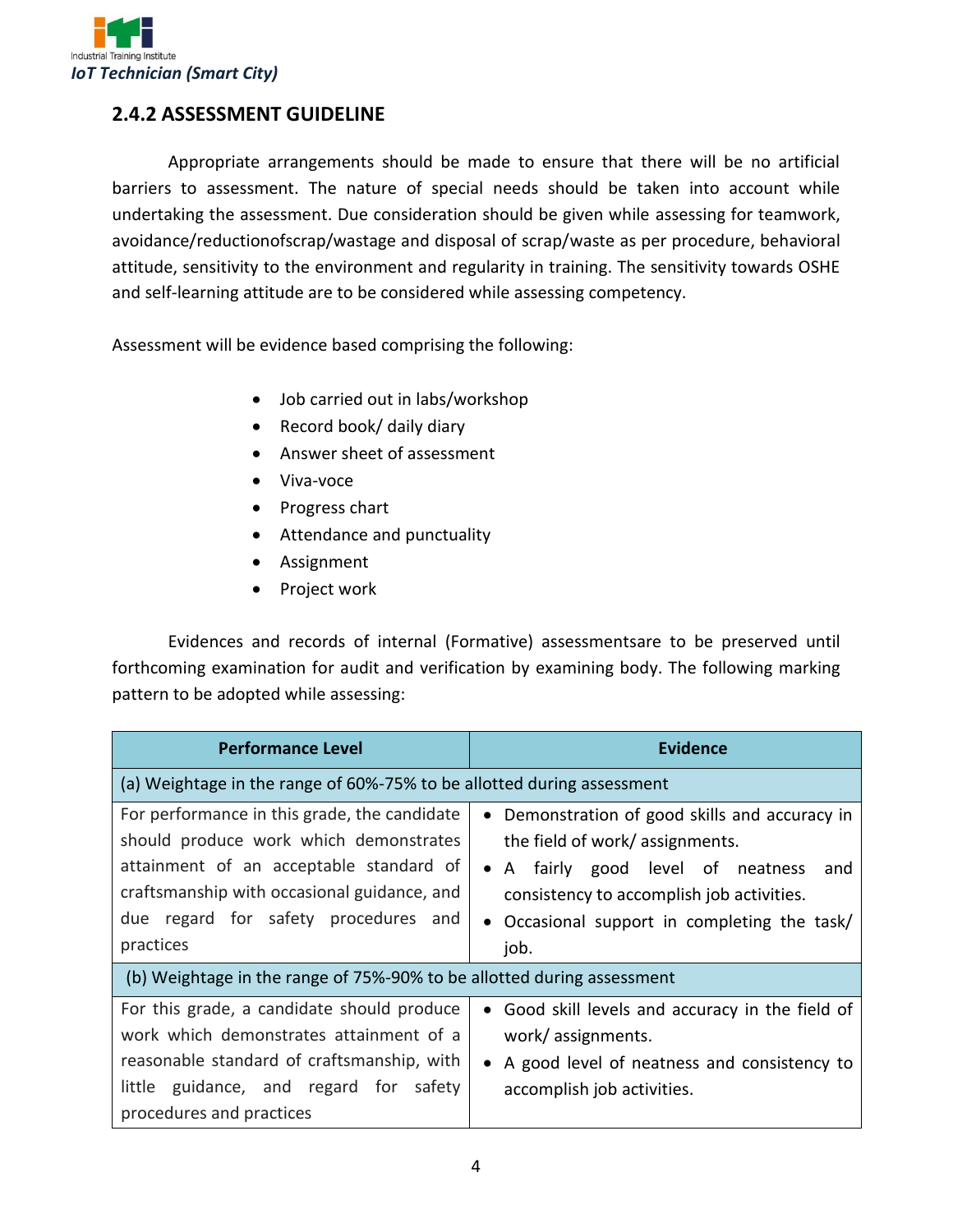

#### **2.4.2 ASSESSMENT GUIDELINE**

Appropriate arrangements should be made to ensure that there will be no artificial barriers to assessment. The nature of special needs should be taken into account while undertaking the assessment. Due consideration should be given while assessing for teamwork, avoidance/reductionofscrap/wastage and disposal of scrap/waste as per procedure, behavioral attitude, sensitivity to the environment and regularity in training. The sensitivity towards OSHE and self-learning attitude are to be considered while assessing competency.

Assessment will be evidence based comprising the following:

- Job carried out in labs/workshop
- Record book/ daily diary
- Answer sheet of assessment
- Viva-voce
- Progress chart
- Attendance and punctuality
- Assignment
- Project work

Evidences and records of internal (Formative) assessmentsare to be preserved until forthcoming examination for audit and verification by examining body. The following marking pattern to be adopted while assessing:

| <b>Performance Level</b>                                                                                                                                                                                                              | <b>Evidence</b>                                                                                                                                                                                                                   |  |
|---------------------------------------------------------------------------------------------------------------------------------------------------------------------------------------------------------------------------------------|-----------------------------------------------------------------------------------------------------------------------------------------------------------------------------------------------------------------------------------|--|
| (a) Weightage in the range of 60%-75% to be allotted during assessment                                                                                                                                                                |                                                                                                                                                                                                                                   |  |
| For performance in this grade, the candidate<br>should produce work which demonstrates<br>attainment of an acceptable standard of<br>craftsmanship with occasional guidance, and<br>due regard for safety procedures and<br>practices | • Demonstration of good skills and accuracy in<br>the field of work/assignments.<br>• A fairly good level of neatness<br>and<br>consistency to accomplish job activities.<br>• Occasional support in completing the task/<br>job. |  |
| (b) Weightage in the range of 75%-90% to be allotted during assessment                                                                                                                                                                |                                                                                                                                                                                                                                   |  |
| For this grade, a candidate should produce<br>work which demonstrates attainment of a<br>reasonable standard of craftsmanship, with<br>little guidance, and regard for safety<br>procedures and practices                             | • Good skill levels and accuracy in the field of<br>work/assignments.<br>• A good level of neatness and consistency to<br>accomplish job activities.                                                                              |  |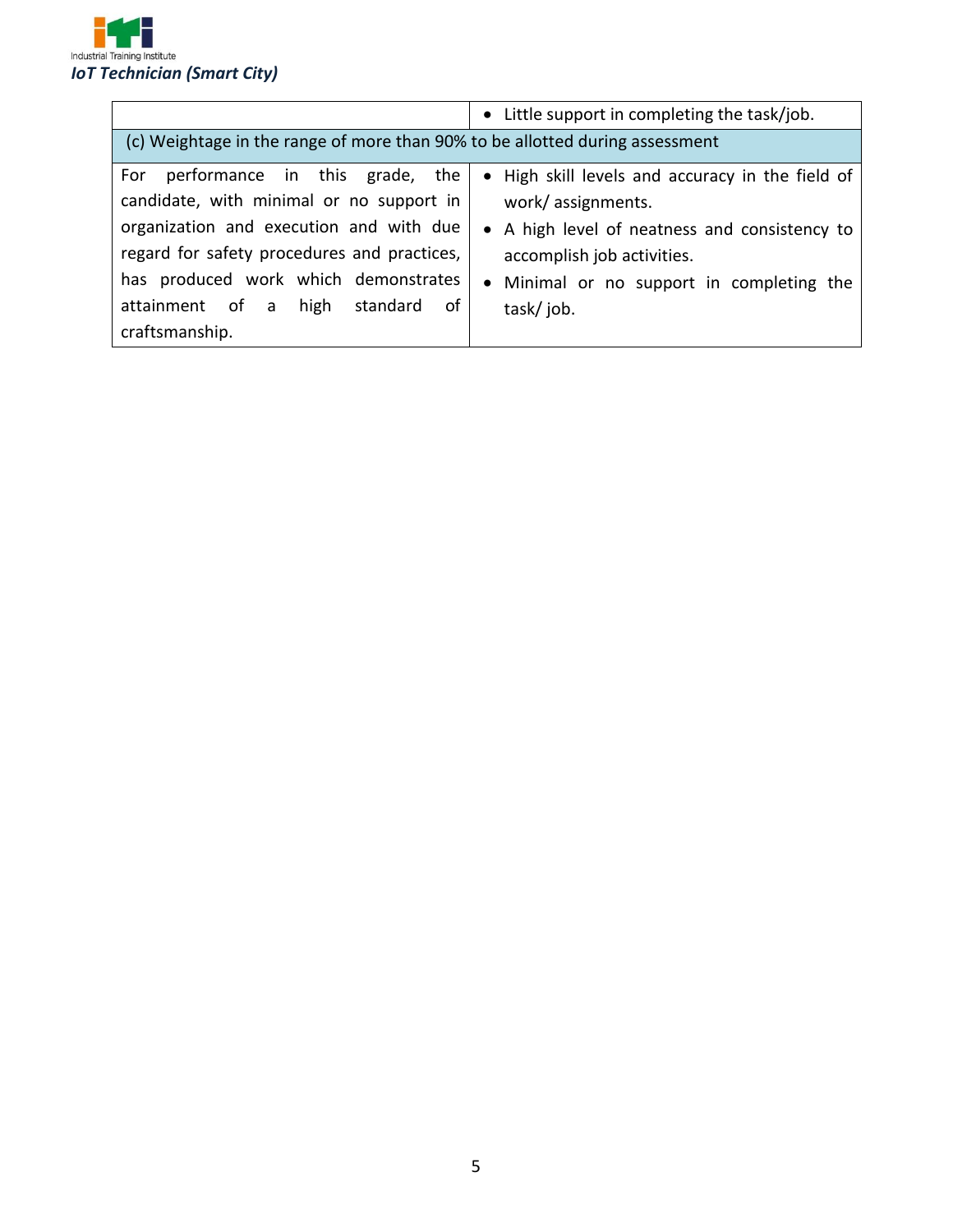

|                                                                                                     | • Little support in completing the task/job.                                |  |
|-----------------------------------------------------------------------------------------------------|-----------------------------------------------------------------------------|--|
| (c) Weightage in the range of more than 90% to be allotted during assessment                        |                                                                             |  |
| performance in this grade, the<br>For<br>candidate, with minimal or no support in                   | • High skill levels and accuracy in the field of<br>work/assignments.       |  |
| organization and execution and with due<br>regard for safety procedures and practices,              | • A high level of neatness and consistency to<br>accomplish job activities. |  |
| has produced work which demonstrates<br>of<br>attainment of a<br>standard<br>high<br>craftsmanship. | • Minimal or no support in completing the<br>task/job.                      |  |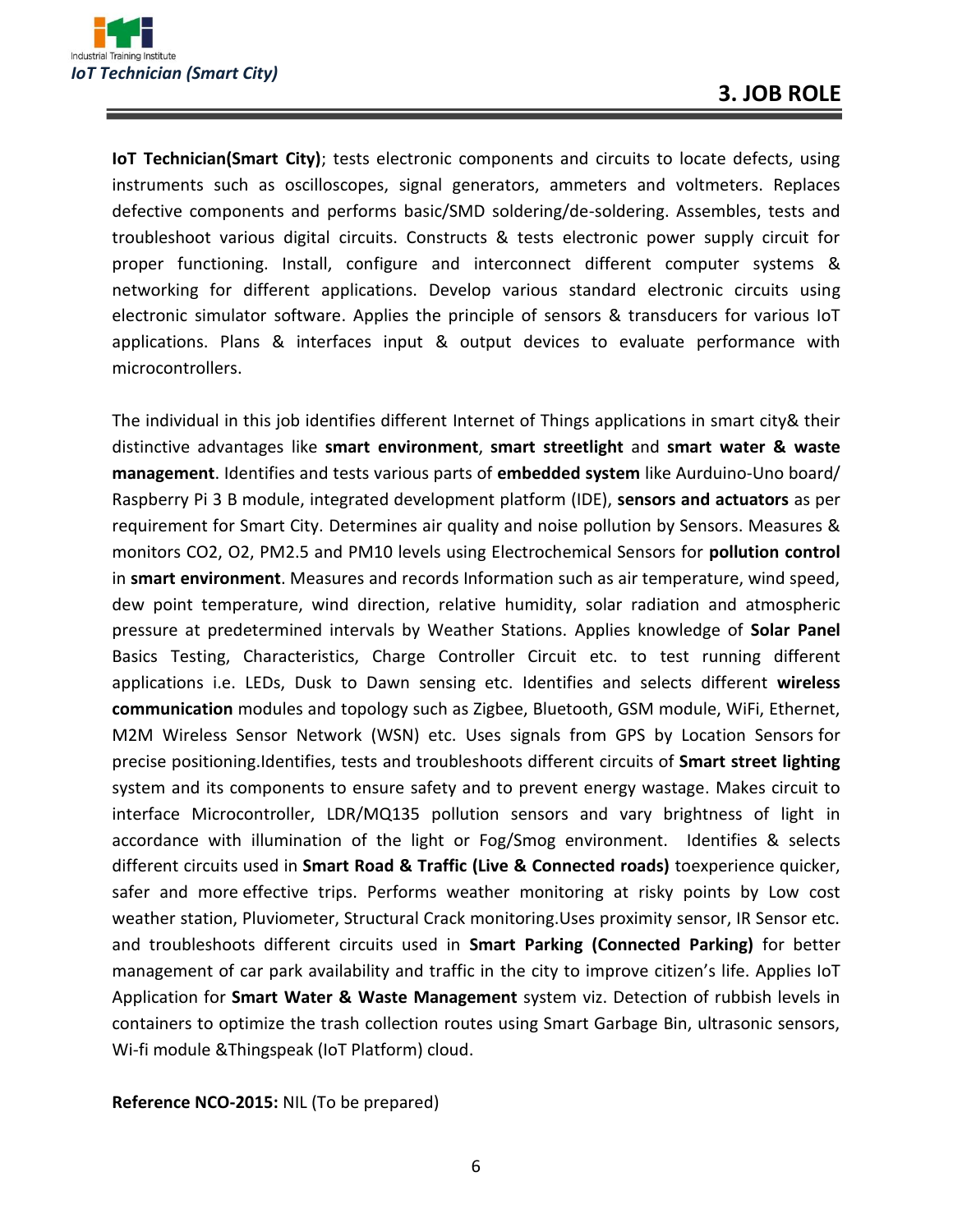

**IoT Technician(Smart City)**; tests electronic components and circuits to locate defects, using instruments such as oscilloscopes, signal generators, ammeters and voltmeters. Replaces defective components and performs basic/SMD soldering/de-soldering. Assembles, tests and troubleshoot various digital circuits. Constructs & tests electronic power supply circuit for proper functioning. Install, configure and interconnect different computer systems & networking for different applications. Develop various standard electronic circuits using electronic simulator software. Applies the principle of sensors & transducers for various IoT applications. Plans & interfaces input & output devices to evaluate performance with microcontrollers.

The individual in this job identifies different Internet of Things applications in smart city& their distinctive advantages like **smart environment**, **smart streetlight** and **smart water & waste management**. Identifies and tests various parts of **embedded system** like Aurduino-Uno board/ Raspberry Pi 3 B module, integrated development platform (IDE), **sensors and actuators** as per requirement for Smart City. Determines air quality and noise pollution by Sensors. Measures & monitors CO2, O2, PM2.5 and PM10 levels using Electrochemical Sensors for **pollution control** in **smart environment**. Measures and records Information such as air temperature, wind speed, dew point temperature, wind direction, relative humidity, solar radiation and atmospheric pressure at predetermined intervals by Weather Stations. Applies knowledge of **Solar Panel** Basics Testing, Characteristics, Charge Controller Circuit etc. to test running different applications i.e. LEDs, Dusk to Dawn sensing etc. Identifies and selects different **wireless communication** modules and topology such as Zigbee, Bluetooth, GSM module, WiFi, Ethernet, M2M Wireless Sensor Network (WSN) etc. Uses signals from GPS by Location Sensors for precise positioning.Identifies, tests and troubleshoots different circuits of **Smart street lighting** system and its components to ensure safety and to prevent energy wastage. Makes circuit to interface Microcontroller, LDR/MQ135 pollution sensors and vary brightness of light in accordance with illumination of the light or Fog/Smog environment. Identifies & selects different circuits used in **Smart Road & Traffic (Live & Connected roads)** toexperience quicker, safer and more effective trips. Performs weather monitoring at risky points by Low cost weather station, Pluviometer, Structural Crack monitoring.Uses proximity sensor, IR Sensor etc. and troubleshoots different circuits used in **Smart Parking (Connected Parking)** for better management of car park availability and traffic in the city to improve citizen's life. Applies IoT Application for **Smart Water & Waste Management** system viz. Detection of rubbish levels in containers to optimize the trash collection routes using Smart Garbage Bin, ultrasonic sensors, Wi-fi module &Thingspeak (IoT Platform) cloud.

**Reference NCO-2015:** NIL (To be prepared)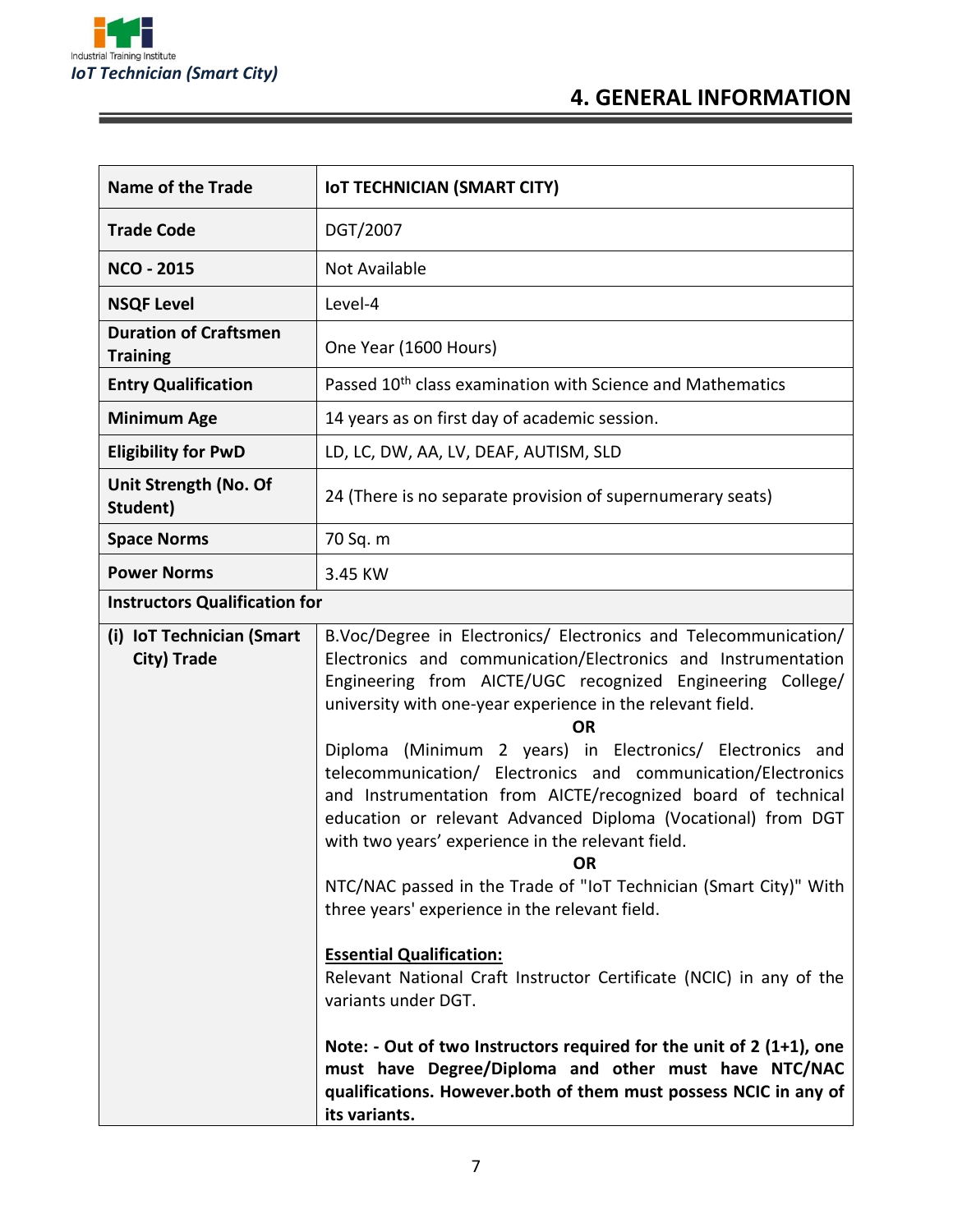

Ξ

# **4. GENERAL INFORMATION**

| <b>Name of the Trade</b>                        | <b>IOT TECHNICIAN (SMART CITY)</b>                                                                                                                                                                                                                                                                                                                                                                                                                                                                                                                                                                                                                                                                                                                                                                                                                                                                                                                                                                                                                                                    |
|-------------------------------------------------|---------------------------------------------------------------------------------------------------------------------------------------------------------------------------------------------------------------------------------------------------------------------------------------------------------------------------------------------------------------------------------------------------------------------------------------------------------------------------------------------------------------------------------------------------------------------------------------------------------------------------------------------------------------------------------------------------------------------------------------------------------------------------------------------------------------------------------------------------------------------------------------------------------------------------------------------------------------------------------------------------------------------------------------------------------------------------------------|
| <b>Trade Code</b>                               | DGT/2007                                                                                                                                                                                                                                                                                                                                                                                                                                                                                                                                                                                                                                                                                                                                                                                                                                                                                                                                                                                                                                                                              |
| <b>NCO - 2015</b>                               | <b>Not Available</b>                                                                                                                                                                                                                                                                                                                                                                                                                                                                                                                                                                                                                                                                                                                                                                                                                                                                                                                                                                                                                                                                  |
| <b>NSQF Level</b>                               | Level-4                                                                                                                                                                                                                                                                                                                                                                                                                                                                                                                                                                                                                                                                                                                                                                                                                                                                                                                                                                                                                                                                               |
| <b>Duration of Craftsmen</b><br><b>Training</b> | One Year (1600 Hours)                                                                                                                                                                                                                                                                                                                                                                                                                                                                                                                                                                                                                                                                                                                                                                                                                                                                                                                                                                                                                                                                 |
| <b>Entry Qualification</b>                      | Passed 10 <sup>th</sup> class examination with Science and Mathematics                                                                                                                                                                                                                                                                                                                                                                                                                                                                                                                                                                                                                                                                                                                                                                                                                                                                                                                                                                                                                |
| <b>Minimum Age</b>                              | 14 years as on first day of academic session.                                                                                                                                                                                                                                                                                                                                                                                                                                                                                                                                                                                                                                                                                                                                                                                                                                                                                                                                                                                                                                         |
| <b>Eligibility for PwD</b>                      | LD, LC, DW, AA, LV, DEAF, AUTISM, SLD                                                                                                                                                                                                                                                                                                                                                                                                                                                                                                                                                                                                                                                                                                                                                                                                                                                                                                                                                                                                                                                 |
| Unit Strength (No. Of<br>Student)               | 24 (There is no separate provision of supernumerary seats)                                                                                                                                                                                                                                                                                                                                                                                                                                                                                                                                                                                                                                                                                                                                                                                                                                                                                                                                                                                                                            |
| <b>Space Norms</b>                              | 70 Sq. m                                                                                                                                                                                                                                                                                                                                                                                                                                                                                                                                                                                                                                                                                                                                                                                                                                                                                                                                                                                                                                                                              |
| <b>Power Norms</b>                              | 3.45 KW                                                                                                                                                                                                                                                                                                                                                                                                                                                                                                                                                                                                                                                                                                                                                                                                                                                                                                                                                                                                                                                                               |
| <b>Instructors Qualification for</b>            |                                                                                                                                                                                                                                                                                                                                                                                                                                                                                                                                                                                                                                                                                                                                                                                                                                                                                                                                                                                                                                                                                       |
| (i) IoT Technician (Smart<br>City) Trade        | B.Voc/Degree in Electronics/ Electronics and Telecommunication/<br>Electronics and communication/Electronics and Instrumentation<br>Engineering from AICTE/UGC recognized Engineering College/<br>university with one-year experience in the relevant field.<br><b>OR</b><br>Diploma (Minimum 2 years) in Electronics/ Electronics and<br>telecommunication/ Electronics and communication/Electronics<br>and Instrumentation from AICTE/recognized board of technical<br>education or relevant Advanced Diploma (Vocational) from DGT<br>with two years' experience in the relevant field.<br><b>OR</b><br>NTC/NAC passed in the Trade of "IoT Technician (Smart City)" With<br>three years' experience in the relevant field.<br><b>Essential Qualification:</b><br>Relevant National Craft Instructor Certificate (NCIC) in any of the<br>variants under DGT.<br>Note: - Out of two Instructors required for the unit of 2 (1+1), one<br>must have Degree/Diploma and other must have NTC/NAC<br>qualifications. However.both of them must possess NCIC in any of<br>its variants. |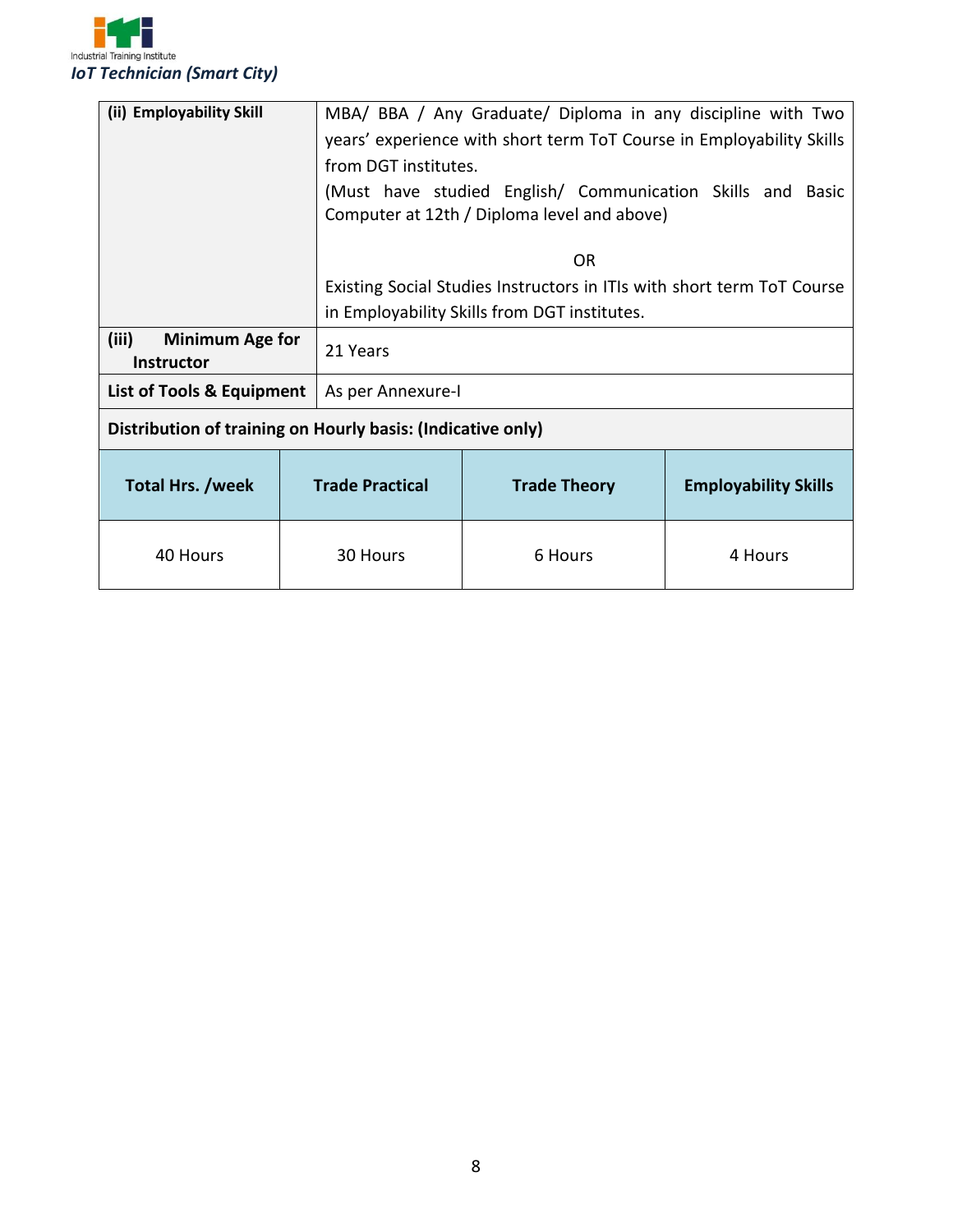

| (ii) Employability Skill                                    |                        | MBA/ BBA / Any Graduate/ Diploma in any discipline with Two<br>years' experience with short term ToT Course in Employability Skills |                             |  |
|-------------------------------------------------------------|------------------------|-------------------------------------------------------------------------------------------------------------------------------------|-----------------------------|--|
|                                                             | from DGT institutes.   |                                                                                                                                     |                             |  |
|                                                             |                        | (Must have studied English/ Communication Skills and Basic<br>Computer at 12th / Diploma level and above)                           |                             |  |
|                                                             |                        | 0 <sub>R</sub>                                                                                                                      |                             |  |
|                                                             |                        | Existing Social Studies Instructors in ITIs with short term ToT Course                                                              |                             |  |
|                                                             |                        | in Employability Skills from DGT institutes.                                                                                        |                             |  |
| (iii)<br><b>Minimum Age for</b><br><b>Instructor</b>        | 21 Years               |                                                                                                                                     |                             |  |
| List of Tools & Equipment                                   | As per Annexure-I      |                                                                                                                                     |                             |  |
| Distribution of training on Hourly basis: (Indicative only) |                        |                                                                                                                                     |                             |  |
| <b>Total Hrs. /week</b>                                     | <b>Trade Practical</b> | <b>Trade Theory</b>                                                                                                                 | <b>Employability Skills</b> |  |
| 40 Hours                                                    | 30 Hours               | 6 Hours                                                                                                                             | 4 Hours                     |  |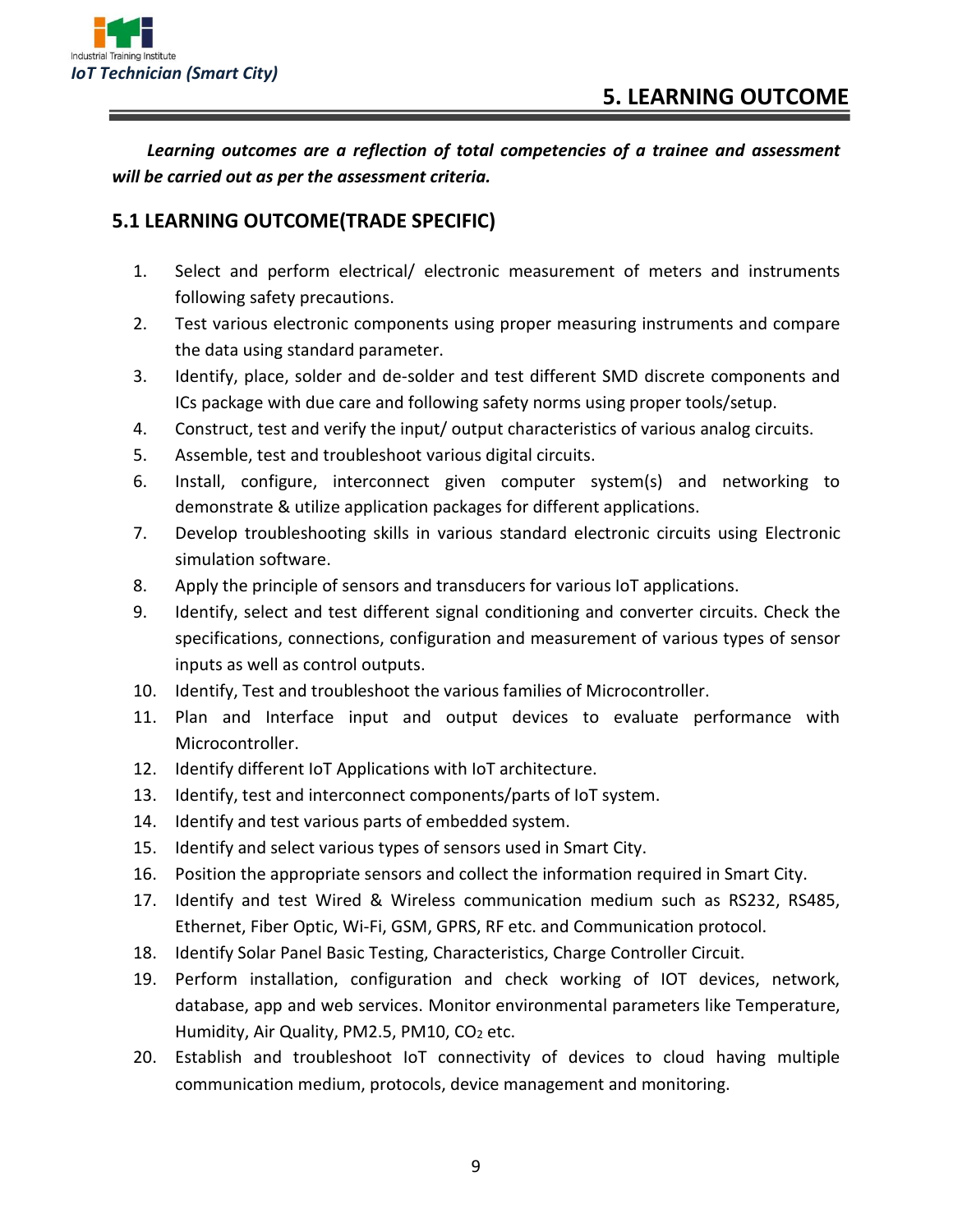

*Learning outcomes are a reflection of total competencies of a trainee and assessment will be carried out as per the assessment criteria.*

#### **5.1 LEARNING OUTCOME(TRADE SPECIFIC)**

- 1. Select and perform electrical/ electronic measurement of meters and instruments following safety precautions.
- 2. Test various electronic components using proper measuring instruments and compare the data using standard parameter.
- 3. Identify, place, solder and de-solder and test different SMD discrete components and ICs package with due care and following safety norms using proper tools/setup.
- 4. Construct, test and verify the input/ output characteristics of various analog circuits.
- 5. Assemble, test and troubleshoot various digital circuits.
- 6. Install, configure, interconnect given computer system(s) and networking to demonstrate & utilize application packages for different applications.
- 7. Develop troubleshooting skills in various standard electronic circuits using Electronic simulation software.
- 8. Apply the principle of sensors and transducers for various IoT applications.
- 9. Identify, select and test different signal conditioning and converter circuits. Check the specifications, connections, configuration and measurement of various types of sensor inputs as well as control outputs.
- 10. Identify, Test and troubleshoot the various families of Microcontroller.
- 11. Plan and Interface input and output devices to evaluate performance with Microcontroller.
- 12. Identify different IoT Applications with IoT architecture.
- 13. Identify, test and interconnect components/parts of IoT system.
- 14. Identify and test various parts of embedded system.
- 15. Identify and select various types of sensors used in Smart City.
- 16. Position the appropriate sensors and collect the information required in Smart City.
- 17. Identify and test Wired & Wireless communication medium such as RS232, RS485, Ethernet, Fiber Optic, Wi-Fi, GSM, GPRS, RF etc. and Communication protocol.
- 18. Identify Solar Panel Basic Testing, Characteristics, Charge Controller Circuit.
- 19. Perform installation, configuration and check working of IOT devices, network, database, app and web services. Monitor environmental parameters like Temperature, Humidity, Air Quality, PM2.5, PM10, CO<sub>2</sub> etc.
- 20. Establish and troubleshoot IoT connectivity of devices to cloud having multiple communication medium, protocols, device management and monitoring.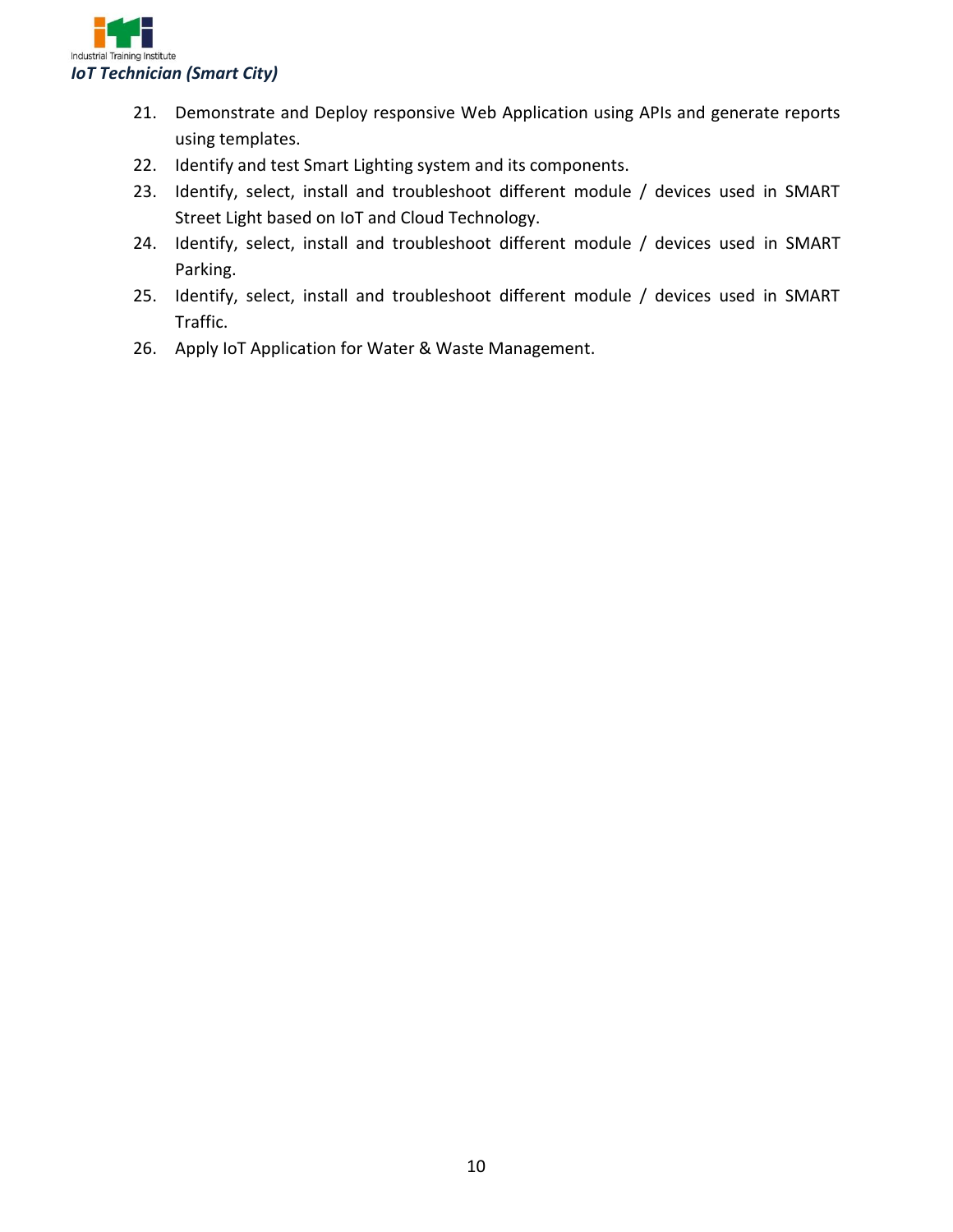

- 21. Demonstrate and Deploy responsive Web Application using APIs and generate reports using templates.
- 22. Identify and test Smart Lighting system and its components.
- 23. Identify, select, install and troubleshoot different module / devices used in SMART Street Light based on IoT and Cloud Technology.
- 24. Identify, select, install and troubleshoot different module / devices used in SMART Parking.
- 25. Identify, select, install and troubleshoot different module / devices used in SMART Traffic.
- 26. Apply IoT Application for Water & Waste Management.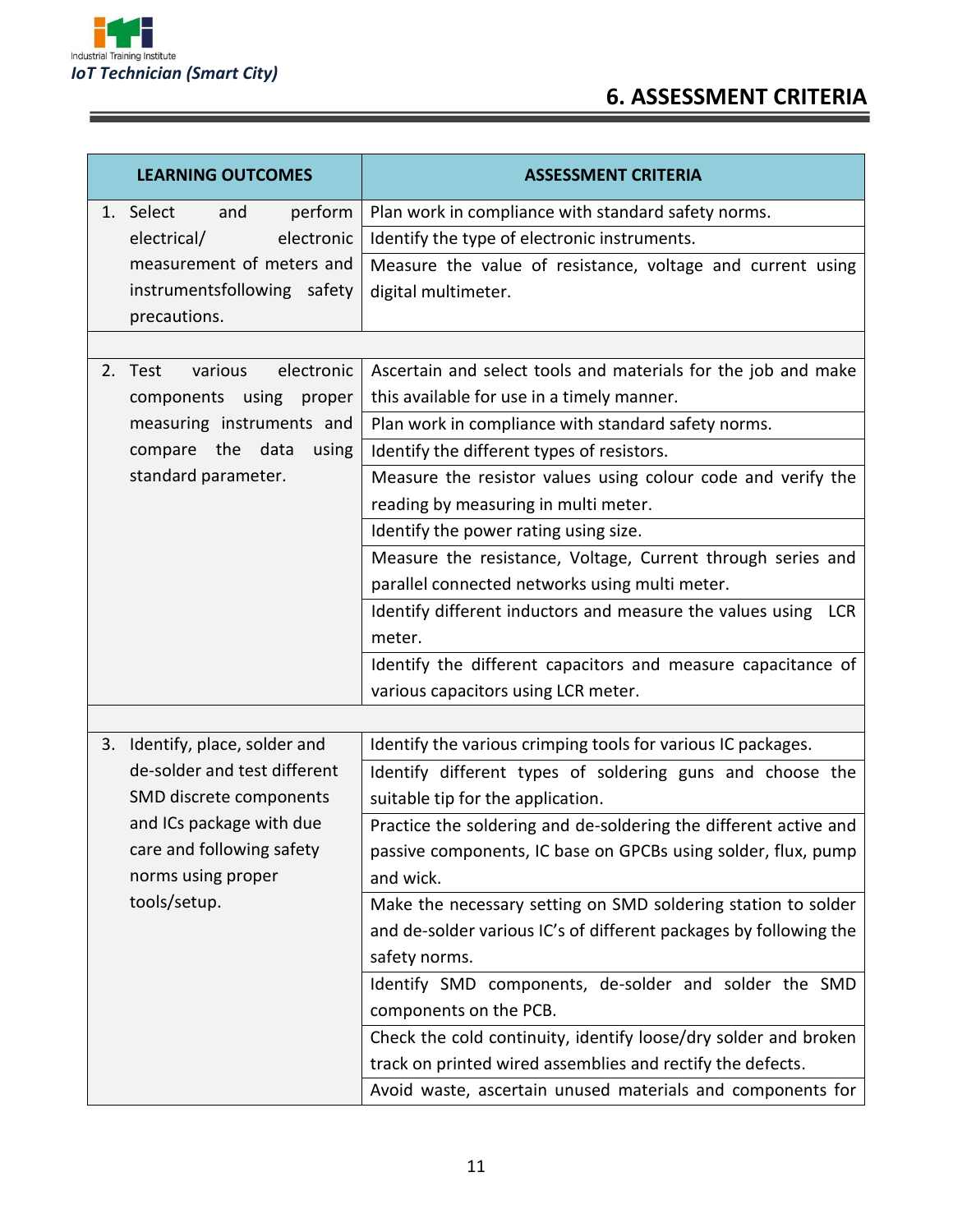

<u>a sa mga salalado ng mga salalado ng mga salalado ng mga salalado ng mga salalado ng mga salalado ng mga salala</u>

# **6. ASSESSMENT CRITERIA**

| <b>LEARNING OUTCOMES</b>         | <b>ASSESSMENT CRITERIA</b>                                        |
|----------------------------------|-------------------------------------------------------------------|
| perform<br>1. Select<br>and      | Plan work in compliance with standard safety norms.               |
| electrical/<br>electronic        | Identify the type of electronic instruments.                      |
| measurement of meters and        | Measure the value of resistance, voltage and current using        |
| instrumentsfollowing safety      | digital multimeter.                                               |
| precautions.                     |                                                                   |
|                                  |                                                                   |
| various<br>electronic<br>2. Test | Ascertain and select tools and materials for the job and make     |
| components using<br>proper       | this available for use in a timely manner.                        |
| measuring instruments and        | Plan work in compliance with standard safety norms.               |
| compare the data<br>using        | Identify the different types of resistors.                        |
| standard parameter.              | Measure the resistor values using colour code and verify the      |
|                                  | reading by measuring in multi meter.                              |
|                                  | Identify the power rating using size.                             |
|                                  | Measure the resistance, Voltage, Current through series and       |
|                                  | parallel connected networks using multi meter.                    |
|                                  | Identify different inductors and measure the values using LCR     |
|                                  | meter.                                                            |
|                                  | Identify the different capacitors and measure capacitance of      |
|                                  | various capacitors using LCR meter.                               |
|                                  |                                                                   |
| 3. Identify, place, solder and   | Identify the various crimping tools for various IC packages.      |
| de-solder and test different     | Identify different types of soldering guns and choose the         |
| SMD discrete components          | suitable tip for the application.                                 |
| and ICs package with due         | Practice the soldering and de-soldering the different active and  |
| care and following safety        | passive components, IC base on GPCBs using solder, flux, pump     |
| norms using proper               | and wick.                                                         |
| tools/setup.                     | Make the necessary setting on SMD soldering station to solder     |
|                                  | and de-solder various IC's of different packages by following the |
|                                  | safety norms.                                                     |
|                                  | Identify SMD components, de-solder and solder the SMD             |
|                                  | components on the PCB.                                            |
|                                  | Check the cold continuity, identify loose/dry solder and broken   |
|                                  | track on printed wired assemblies and rectify the defects.        |
|                                  | Avoid waste, ascertain unused materials and components for        |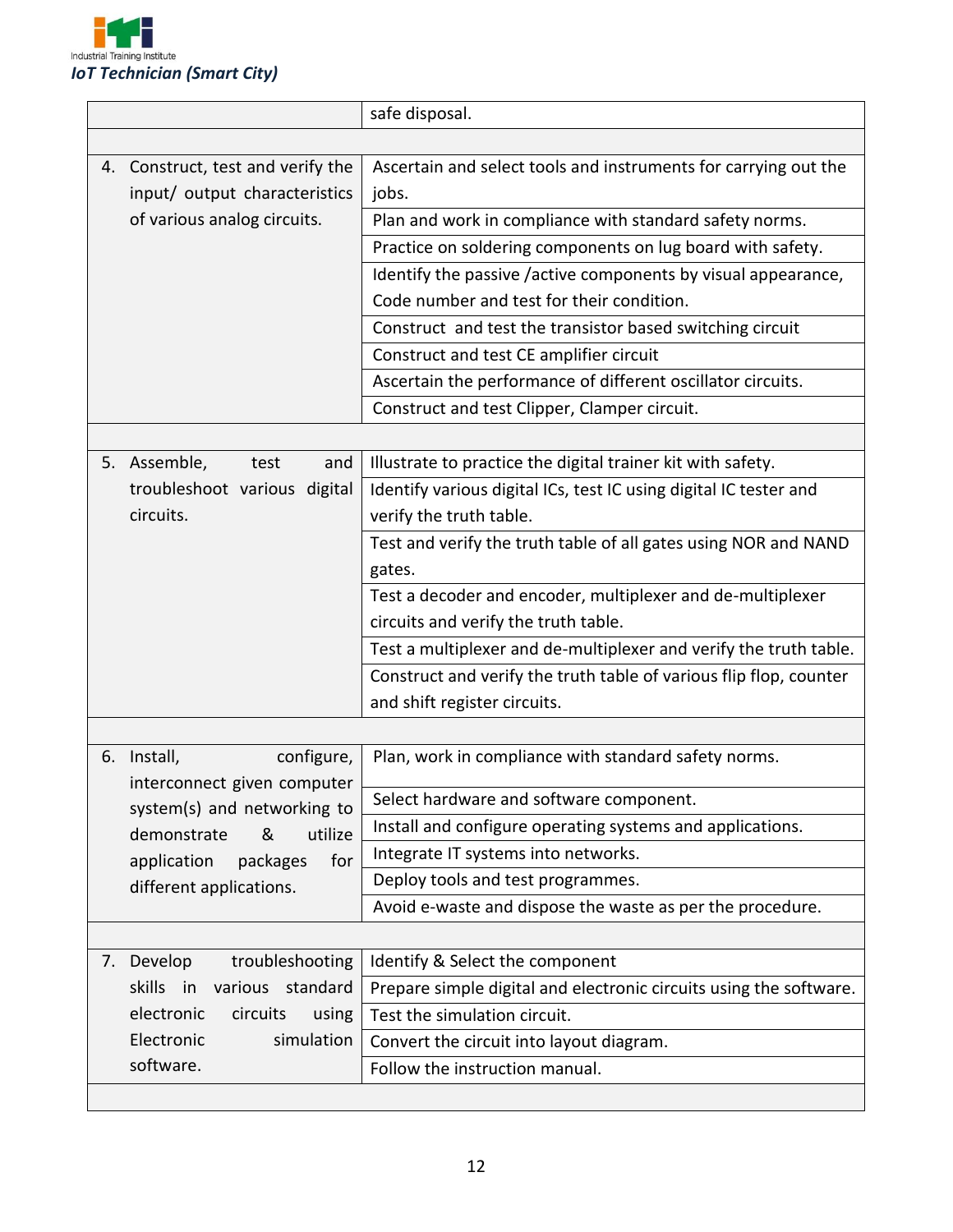

|                |                                                            | safe disposal.                                                     |
|----------------|------------------------------------------------------------|--------------------------------------------------------------------|
|                |                                                            |                                                                    |
|                | 4. Construct, test and verify the                          | Ascertain and select tools and instruments for carrying out the    |
|                | input/ output characteristics                              | jobs.                                                              |
|                | of various analog circuits.                                | Plan and work in compliance with standard safety norms.            |
|                |                                                            | Practice on soldering components on lug board with safety.         |
|                |                                                            | Identify the passive /active components by visual appearance,      |
|                |                                                            | Code number and test for their condition.                          |
|                |                                                            | Construct and test the transistor based switching circuit          |
|                |                                                            | Construct and test CE amplifier circuit                            |
|                |                                                            | Ascertain the performance of different oscillator circuits.        |
|                |                                                            | Construct and test Clipper, Clamper circuit.                       |
|                |                                                            |                                                                    |
| 5. Assemble,   | and<br>test                                                | Illustrate to practice the digital trainer kit with safety.        |
|                | troubleshoot various digital                               | Identify various digital ICs, test IC using digital IC tester and  |
| circuits.      |                                                            | verify the truth table.                                            |
|                |                                                            | Test and verify the truth table of all gates using NOR and NAND    |
|                |                                                            | gates.                                                             |
|                |                                                            | Test a decoder and encoder, multiplexer and de-multiplexer         |
|                |                                                            | circuits and verify the truth table.                               |
|                |                                                            | Test a multiplexer and de-multiplexer and verify the truth table.  |
|                |                                                            | Construct and verify the truth table of various flip flop, counter |
|                |                                                            | and shift register circuits.                                       |
|                |                                                            |                                                                    |
| Install,<br>6. | configure,                                                 | Plan, work in compliance with standard safety norms.               |
|                | interconnect given computer                                | Select hardware and software component.                            |
|                | system(s) and networking to<br>utilize<br>demonstrate<br>& | Install and configure operating systems and applications.          |
| application    | for<br>packages                                            | Integrate IT systems into networks.                                |
|                | different applications.                                    | Deploy tools and test programmes.                                  |
|                |                                                            | Avoid e-waste and dispose the waste as per the procedure.          |
|                |                                                            |                                                                    |
| 7. Develop     | troubleshooting                                            | Identify & Select the component                                    |
| skills         | various standard<br>in                                     | Prepare simple digital and electronic circuits using the software. |
| electronic     | circuits<br>using                                          | Test the simulation circuit.                                       |
| Electronic     | simulation                                                 | Convert the circuit into layout diagram.                           |
| software.      |                                                            | Follow the instruction manual.                                     |
|                |                                                            |                                                                    |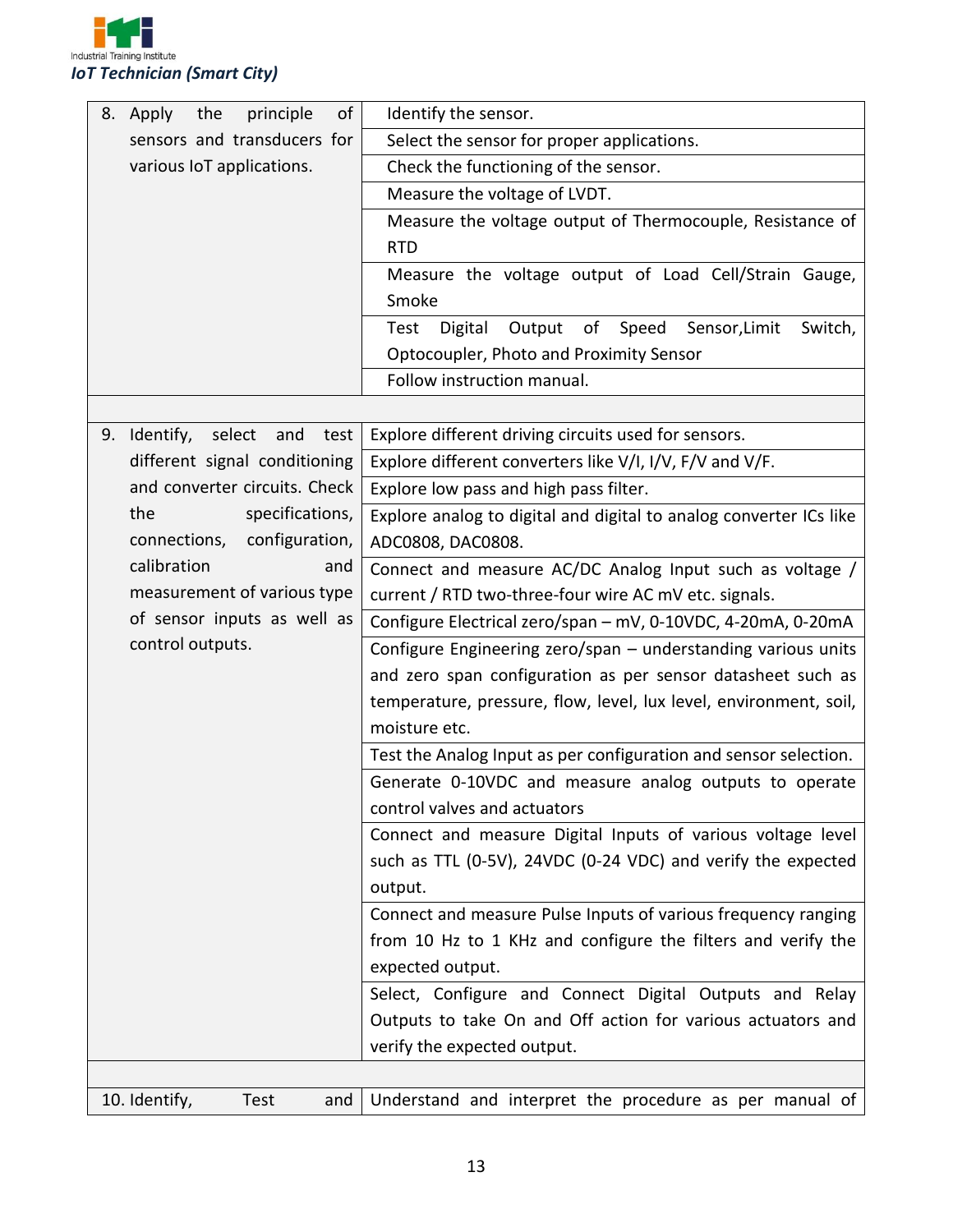

| of<br>principle<br>8. Apply<br>the    | Identify the sensor.                                                        |
|---------------------------------------|-----------------------------------------------------------------------------|
| sensors and transducers for           | Select the sensor for proper applications.                                  |
| various IoT applications.             | Check the functioning of the sensor.                                        |
|                                       | Measure the voltage of LVDT.                                                |
|                                       | Measure the voltage output of Thermocouple, Resistance of                   |
|                                       | <b>RTD</b>                                                                  |
|                                       | Measure the voltage output of Load Cell/Strain Gauge,                       |
|                                       | Smoke                                                                       |
|                                       | of<br>Speed<br>Sensor, Limit<br><b>Test</b><br>Digital<br>Output<br>Switch, |
|                                       | Optocoupler, Photo and Proximity Sensor                                     |
|                                       | Follow instruction manual.                                                  |
|                                       |                                                                             |
| 9. Identify,<br>select<br>test<br>and | Explore different driving circuits used for sensors.                        |
| different signal conditioning         | Explore different converters like V/I, I/V, F/V and V/F.                    |
| and converter circuits. Check         | Explore low pass and high pass filter.                                      |
| specifications,<br>the                | Explore analog to digital and digital to analog converter ICs like          |
| configuration,<br>connections,        | ADC0808, DAC0808.                                                           |
| calibration<br>and                    | Connect and measure AC/DC Analog Input such as voltage /                    |
| measurement of various type           | current / RTD two-three-four wire AC mV etc. signals.                       |
| of sensor inputs as well as           | Configure Electrical zero/span - mV, 0-10VDC, 4-20mA, 0-20mA                |
| control outputs.                      | Configure Engineering zero/span - understanding various units               |
|                                       | and zero span configuration as per sensor datasheet such as                 |
|                                       | temperature, pressure, flow, level, lux level, environment, soil,           |
|                                       | moisture etc.                                                               |
|                                       | Test the Analog Input as per configuration and sensor selection.            |
|                                       | Generate 0-10VDC and measure analog outputs to operate                      |
|                                       | control valves and actuators                                                |
|                                       | Connect and measure Digital Inputs of various voltage level                 |
|                                       | such as TTL (0-5V), 24VDC (0-24 VDC) and verify the expected                |
|                                       | output.                                                                     |
|                                       | Connect and measure Pulse Inputs of various frequency ranging               |
|                                       | from 10 Hz to 1 KHz and configure the filters and verify the                |
|                                       | expected output.                                                            |
|                                       | Select, Configure and Connect Digital Outputs and Relay                     |
|                                       | Outputs to take On and Off action for various actuators and                 |
|                                       | verify the expected output.                                                 |
|                                       |                                                                             |
| 10. Identify,<br>Test<br>and          | Understand and interpret the procedure as per manual of                     |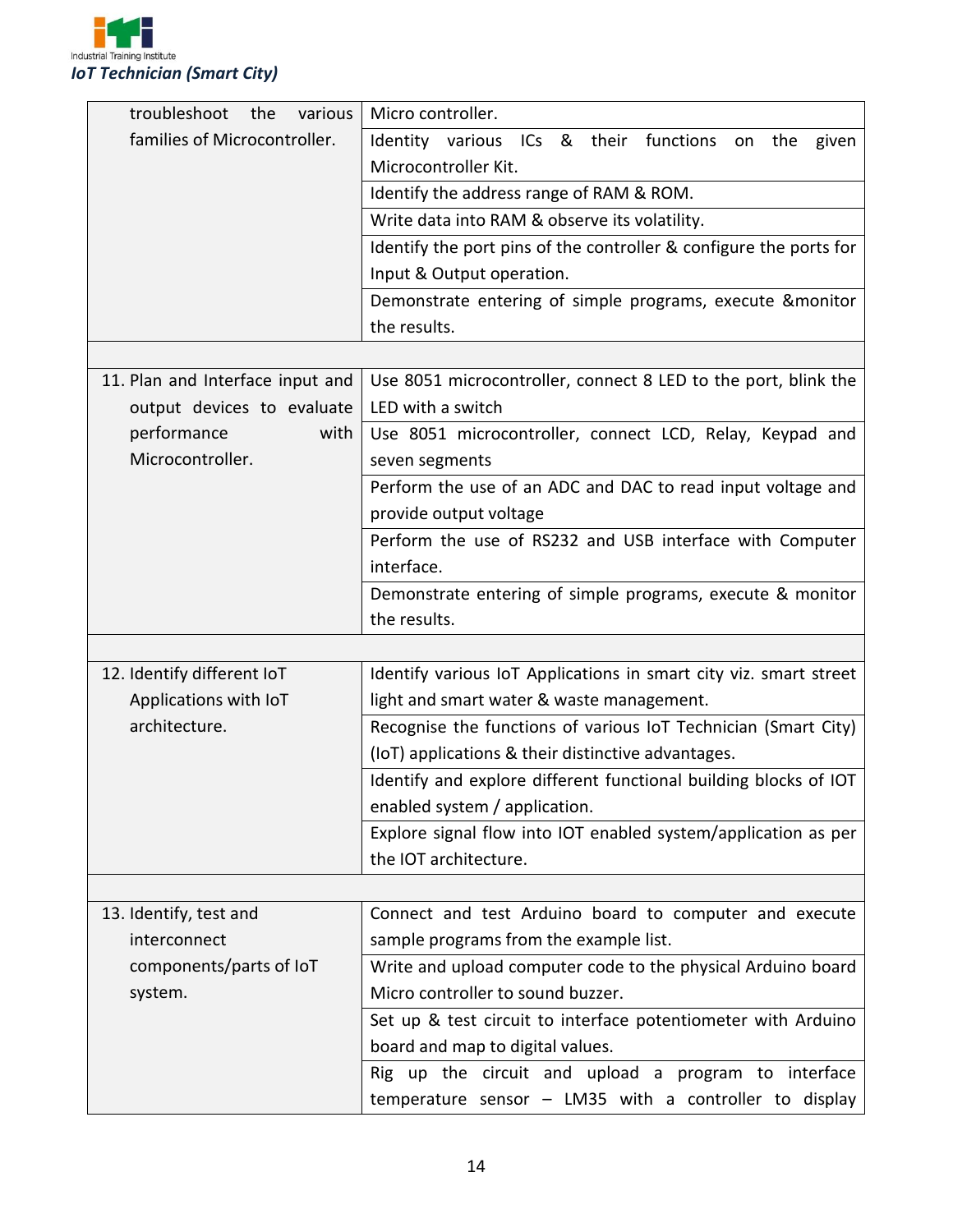

| troubleshoot<br>various<br>the   | Micro controller.                                                  |  |
|----------------------------------|--------------------------------------------------------------------|--|
| families of Microcontroller.     | & their functions<br>Identity various ICs<br>the<br>given<br>on    |  |
|                                  | Microcontroller Kit.                                               |  |
|                                  | Identify the address range of RAM & ROM.                           |  |
|                                  | Write data into RAM & observe its volatility.                      |  |
|                                  | Identify the port pins of the controller & configure the ports for |  |
|                                  | Input & Output operation.                                          |  |
|                                  | Demonstrate entering of simple programs, execute & monitor         |  |
|                                  | the results.                                                       |  |
|                                  |                                                                    |  |
| 11. Plan and Interface input and | Use 8051 microcontroller, connect 8 LED to the port, blink the     |  |
| output devices to evaluate       | LED with a switch                                                  |  |
| performance<br>with              | Use 8051 microcontroller, connect LCD, Relay, Keypad and           |  |
| Microcontroller.                 | seven segments                                                     |  |
|                                  | Perform the use of an ADC and DAC to read input voltage and        |  |
|                                  | provide output voltage                                             |  |
|                                  | Perform the use of RS232 and USB interface with Computer           |  |
|                                  | interface.                                                         |  |
|                                  | Demonstrate entering of simple programs, execute & monitor         |  |
|                                  | the results.                                                       |  |
|                                  |                                                                    |  |
| 12. Identify different IoT       | Identify various IoT Applications in smart city viz. smart street  |  |
| Applications with IoT            | light and smart water & waste management.                          |  |
| architecture.                    | Recognise the functions of various IoT Technician (Smart City)     |  |
|                                  | (IoT) applications & their distinctive advantages.                 |  |
|                                  | Identify and explore different functional building blocks of IOT   |  |
|                                  | enabled system / application.                                      |  |
|                                  | Explore signal flow into IOT enabled system/application as per     |  |
|                                  | the IOT architecture.                                              |  |
|                                  |                                                                    |  |
| 13. Identify, test and           | Connect and test Arduino board to computer and execute             |  |
| interconnect                     | sample programs from the example list.                             |  |
| components/parts of IoT          | Write and upload computer code to the physical Arduino board       |  |
| system.                          | Micro controller to sound buzzer.                                  |  |
|                                  | Set up & test circuit to interface potentiometer with Arduino      |  |
|                                  | board and map to digital values.                                   |  |
|                                  | Rig up the circuit and upload a program to interface               |  |
|                                  | temperature sensor $-$ LM35 with a controller to display           |  |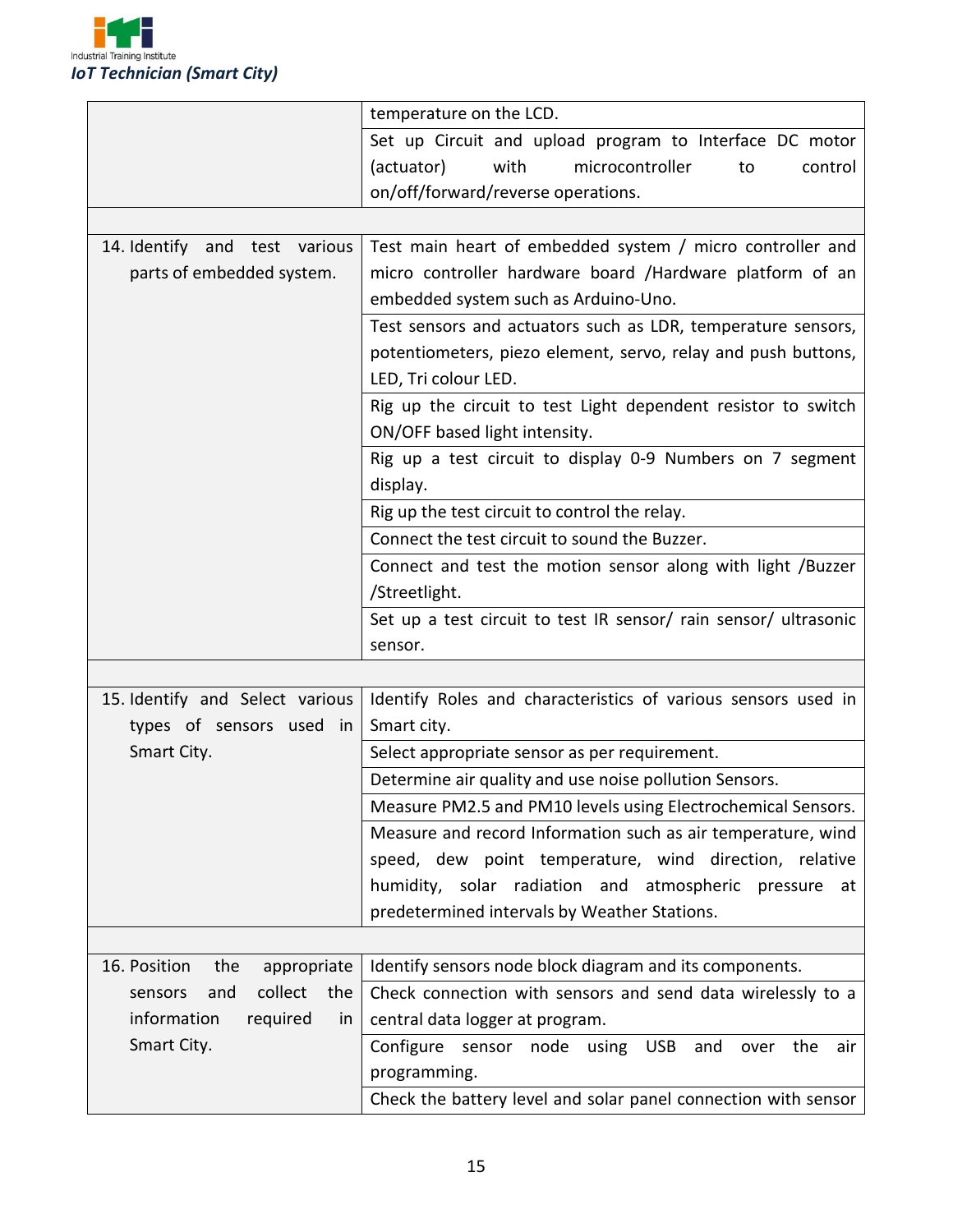

|                                    | temperature on the LCD.                                          |
|------------------------------------|------------------------------------------------------------------|
|                                    | Set up Circuit and upload program to Interface DC motor          |
|                                    | microcontroller<br>(actuator)<br>with<br>control<br>to           |
|                                    | on/off/forward/reverse operations.                               |
|                                    |                                                                  |
| 14. Identify and test various      | Test main heart of embedded system / micro controller and        |
| parts of embedded system.          | micro controller hardware board /Hardware platform of an         |
|                                    | embedded system such as Arduino-Uno.                             |
|                                    | Test sensors and actuators such as LDR, temperature sensors,     |
|                                    | potentiometers, piezo element, servo, relay and push buttons,    |
|                                    | LED, Tri colour LED.                                             |
|                                    | Rig up the circuit to test Light dependent resistor to switch    |
|                                    | ON/OFF based light intensity.                                    |
|                                    | Rig up a test circuit to display 0-9 Numbers on 7 segment        |
|                                    | display.                                                         |
|                                    | Rig up the test circuit to control the relay.                    |
|                                    | Connect the test circuit to sound the Buzzer.                    |
|                                    | Connect and test the motion sensor along with light /Buzzer      |
|                                    | /Streetlight.                                                    |
|                                    | Set up a test circuit to test IR sensor/ rain sensor/ ultrasonic |
|                                    | sensor.                                                          |
|                                    |                                                                  |
| 15. Identify and Select various    | Identify Roles and characteristics of various sensors used in    |
| types of sensors used in           | Smart city.                                                      |
| Smart City.                        | Select appropriate sensor as per requirement.                    |
|                                    | Determine air quality and use noise pollution Sensors.           |
|                                    | Measure PM2.5 and PM10 levels using Electrochemical Sensors.     |
|                                    | Measure and record Information such as air temperature, wind     |
|                                    | speed, dew point temperature, wind direction, relative           |
|                                    | humidity, solar radiation and atmospheric pressure at            |
|                                    | predetermined intervals by Weather Stations.                     |
|                                    |                                                                  |
| 16. Position<br>appropriate<br>the | Identify sensors node block diagram and its components.          |
| collect<br>the<br>and<br>sensors   | Check connection with sensors and send data wirelessly to a      |
| information<br>required<br>in      | central data logger at program.                                  |
| Smart City.                        | Configure<br>sensor node using USB<br>and<br>the<br>air<br>over  |
|                                    | programming.                                                     |
|                                    | Check the battery level and solar panel connection with sensor   |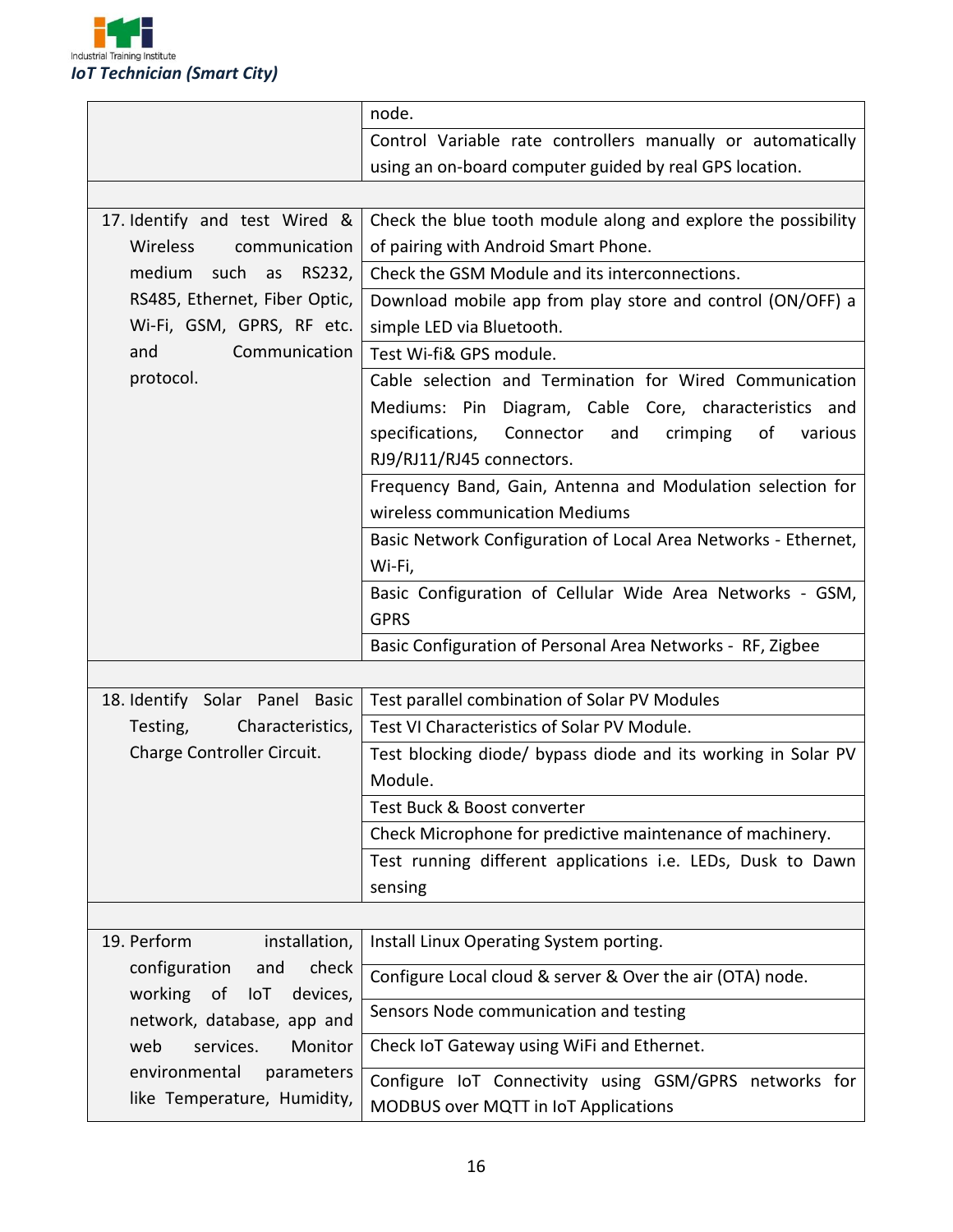

|                                                         | node.                                                            |
|---------------------------------------------------------|------------------------------------------------------------------|
|                                                         | Control Variable rate controllers manually or automatically      |
|                                                         | using an on-board computer guided by real GPS location.          |
|                                                         |                                                                  |
| 17. Identify and test Wired &                           | Check the blue tooth module along and explore the possibility    |
| Wireless<br>communication                               | of pairing with Android Smart Phone.                             |
| medium such as RS232,                                   | Check the GSM Module and its interconnections.                   |
| RS485, Ethernet, Fiber Optic,                           | Download mobile app from play store and control (ON/OFF) a       |
| Wi-Fi, GSM, GPRS, RF etc.                               | simple LED via Bluetooth.                                        |
| Communication<br>and                                    | Test Wi-fi& GPS module.                                          |
| protocol.                                               | Cable selection and Termination for Wired Communication          |
|                                                         | Mediums: Pin Diagram, Cable Core, characteristics and            |
|                                                         | specifications,<br>Connector<br>and<br>crimping<br>of<br>various |
|                                                         | RJ9/RJ11/RJ45 connectors.                                        |
|                                                         | Frequency Band, Gain, Antenna and Modulation selection for       |
|                                                         | wireless communication Mediums                                   |
|                                                         | Basic Network Configuration of Local Area Networks - Ethernet,   |
|                                                         | Wi-Fi,                                                           |
|                                                         | Basic Configuration of Cellular Wide Area Networks - GSM,        |
|                                                         | <b>GPRS</b>                                                      |
|                                                         | Basic Configuration of Personal Area Networks - RF, Zigbee       |
|                                                         |                                                                  |
| 18. Identify Solar Panel Basic                          | Test parallel combination of Solar PV Modules                    |
| Characteristics,<br>Testing,                            | Test VI Characteristics of Solar PV Module.                      |
| Charge Controller Circuit.                              | Test blocking diode/ bypass diode and its working in Solar PV    |
|                                                         | Module.                                                          |
|                                                         | Test Buck & Boost converter                                      |
|                                                         | Check Microphone for predictive maintenance of machinery.        |
|                                                         | Test running different applications i.e. LEDs, Dusk to Dawn      |
|                                                         | sensing                                                          |
|                                                         |                                                                  |
| 19. Perform<br>installation,                            | Install Linux Operating System porting.                          |
| configuration<br>check<br>and<br>working of<br>devices, | Configure Local cloud & server & Over the air (OTA) node.        |
| loT<br>network, database, app and                       | Sensors Node communication and testing                           |
| web<br>services.<br>Monitor                             | Check IoT Gateway using WiFi and Ethernet.                       |
| environmental<br>parameters                             | Configure IoT Connectivity using GSM/GPRS networks for           |
| like Temperature, Humidity,                             | MODBUS over MQTT in IoT Applications                             |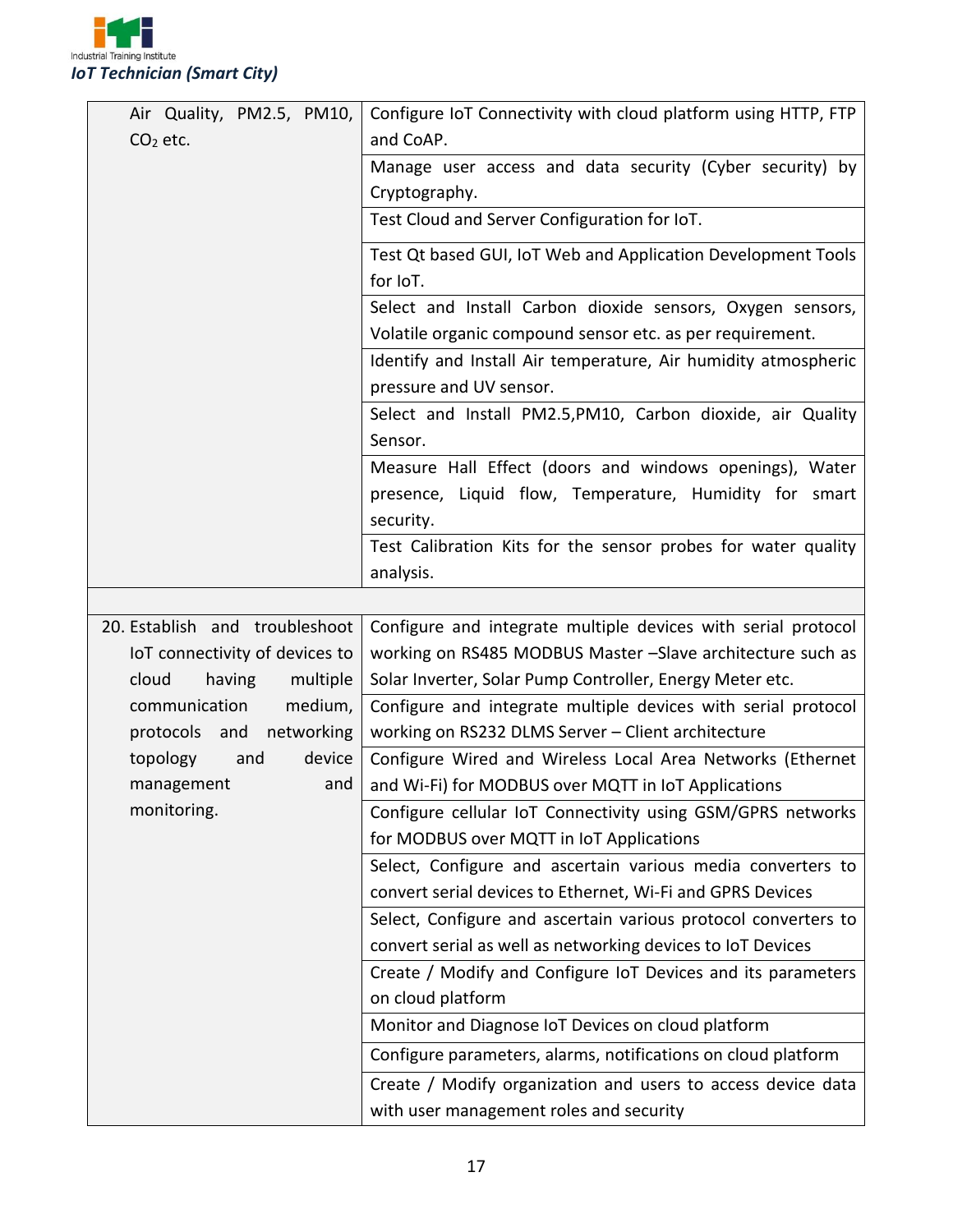

| Air Quality, PM2.5, PM10,      | Configure IoT Connectivity with cloud platform using HTTP, FTP |  |  |
|--------------------------------|----------------------------------------------------------------|--|--|
| $CO2$ etc.                     | and CoAP.                                                      |  |  |
|                                | Manage user access and data security (Cyber security) by       |  |  |
|                                | Cryptography.                                                  |  |  |
|                                | Test Cloud and Server Configuration for IoT.                   |  |  |
|                                | Test Qt based GUI, IoT Web and Application Development Tools   |  |  |
|                                | for IoT.                                                       |  |  |
|                                | Select and Install Carbon dioxide sensors, Oxygen sensors,     |  |  |
|                                | Volatile organic compound sensor etc. as per requirement.      |  |  |
|                                | Identify and Install Air temperature, Air humidity atmospheric |  |  |
|                                | pressure and UV sensor.                                        |  |  |
|                                | Select and Install PM2.5, PM10, Carbon dioxide, air Quality    |  |  |
|                                | Sensor.                                                        |  |  |
|                                | Measure Hall Effect (doors and windows openings), Water        |  |  |
|                                | presence, Liquid flow, Temperature, Humidity for smart         |  |  |
|                                | security.                                                      |  |  |
|                                | Test Calibration Kits for the sensor probes for water quality  |  |  |
|                                | analysis.                                                      |  |  |
|                                |                                                                |  |  |
| 20. Establish and troubleshoot | Configure and integrate multiple devices with serial protocol  |  |  |
| IoT connectivity of devices to | working on RS485 MODBUS Master -Slave architecture such as     |  |  |
| cloud<br>having<br>multiple    | Solar Inverter, Solar Pump Controller, Energy Meter etc.       |  |  |
| communication<br>medium,       | Configure and integrate multiple devices with serial protocol  |  |  |
| networking<br>protocols and    | working on RS232 DLMS Server - Client architecture             |  |  |
| topology<br>device<br>and      | Configure Wired and Wireless Local Area Networks (Ethernet     |  |  |
| management<br>and              | and Wi-Fi) for MODBUS over MQTT in IoT Applications            |  |  |
| monitoring.                    | Configure cellular IoT Connectivity using GSM/GPRS networks    |  |  |
|                                | for MODBUS over MQTT in IoT Applications                       |  |  |
|                                | Select, Configure and ascertain various media converters to    |  |  |
|                                | convert serial devices to Ethernet, Wi-Fi and GPRS Devices     |  |  |
|                                | Select, Configure and ascertain various protocol converters to |  |  |
|                                | convert serial as well as networking devices to IoT Devices    |  |  |
|                                | Create / Modify and Configure IoT Devices and its parameters   |  |  |
|                                | on cloud platform                                              |  |  |
|                                | Monitor and Diagnose IoT Devices on cloud platform             |  |  |
|                                | Configure parameters, alarms, notifications on cloud platform  |  |  |
|                                | Create / Modify organization and users to access device data   |  |  |
|                                | with user management roles and security                        |  |  |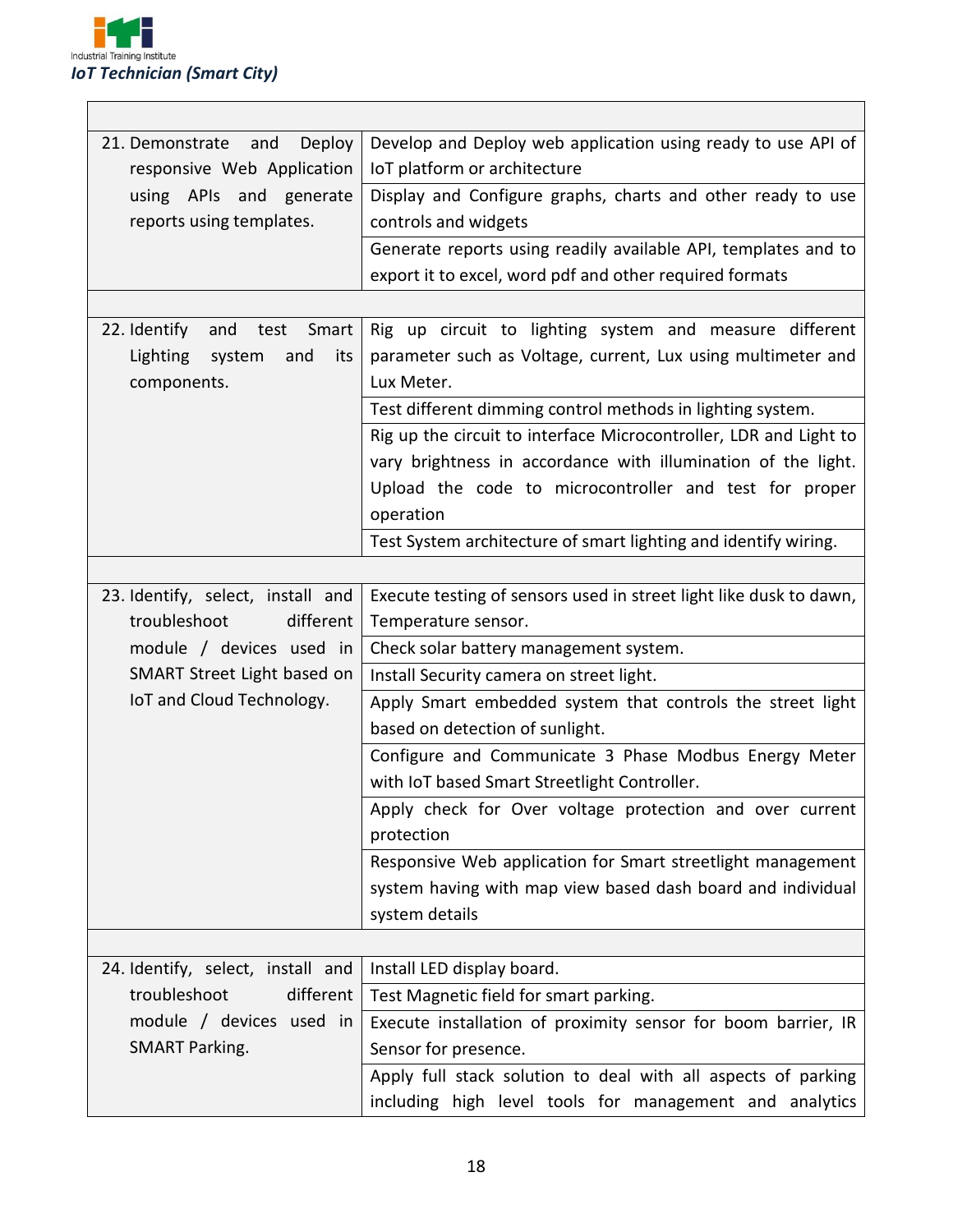

| Deploy<br>21. Demonstrate<br>and<br>responsive Web Application | Develop and Deploy web application using ready to use API of<br>IoT platform or architecture |  |  |
|----------------------------------------------------------------|----------------------------------------------------------------------------------------------|--|--|
| using APIs and generate                                        | Display and Configure graphs, charts and other ready to use                                  |  |  |
| reports using templates.                                       | controls and widgets                                                                         |  |  |
|                                                                |                                                                                              |  |  |
|                                                                | Generate reports using readily available API, templates and to                               |  |  |
|                                                                | export it to excel, word pdf and other required formats                                      |  |  |
|                                                                |                                                                                              |  |  |
| 22. Identify<br>Smart<br>and<br>test                           | Rig up circuit to lighting system and measure different                                      |  |  |
| system<br>and<br>its<br>Lighting                               | parameter such as Voltage, current, Lux using multimeter and                                 |  |  |
| components.                                                    | Lux Meter.                                                                                   |  |  |
|                                                                | Test different dimming control methods in lighting system.                                   |  |  |
|                                                                | Rig up the circuit to interface Microcontroller, LDR and Light to                            |  |  |
|                                                                | vary brightness in accordance with illumination of the light.                                |  |  |
|                                                                | Upload the code to microcontroller and test for proper                                       |  |  |
|                                                                | operation                                                                                    |  |  |
|                                                                | Test System architecture of smart lighting and identify wiring.                              |  |  |
|                                                                |                                                                                              |  |  |
| 23. Identify, select, install and                              | Execute testing of sensors used in street light like dusk to dawn,                           |  |  |
| troubleshoot<br>different                                      | Temperature sensor.                                                                          |  |  |
| module / devices used in                                       | Check solar battery management system.                                                       |  |  |
| SMART Street Light based on                                    | Install Security camera on street light.                                                     |  |  |
| IoT and Cloud Technology.                                      | Apply Smart embedded system that controls the street light                                   |  |  |
|                                                                | based on detection of sunlight.                                                              |  |  |
|                                                                | Configure and Communicate 3 Phase Modbus Energy Meter                                        |  |  |
|                                                                | with IoT based Smart Streetlight Controller.                                                 |  |  |
|                                                                | Apply check for Over voltage protection and over current                                     |  |  |
|                                                                | protection                                                                                   |  |  |
|                                                                | Responsive Web application for Smart streetlight management                                  |  |  |
|                                                                | system having with map view based dash board and individual                                  |  |  |
|                                                                | system details                                                                               |  |  |
|                                                                |                                                                                              |  |  |
| 24. Identify, select, install and                              | Install LED display board.                                                                   |  |  |
| troubleshoot<br>different                                      | Test Magnetic field for smart parking.                                                       |  |  |
| module / devices used in                                       | Execute installation of proximity sensor for boom barrier, IR                                |  |  |
| <b>SMART Parking.</b>                                          | Sensor for presence.                                                                         |  |  |
|                                                                | Apply full stack solution to deal with all aspects of parking                                |  |  |
|                                                                | including high level tools for management and analytics                                      |  |  |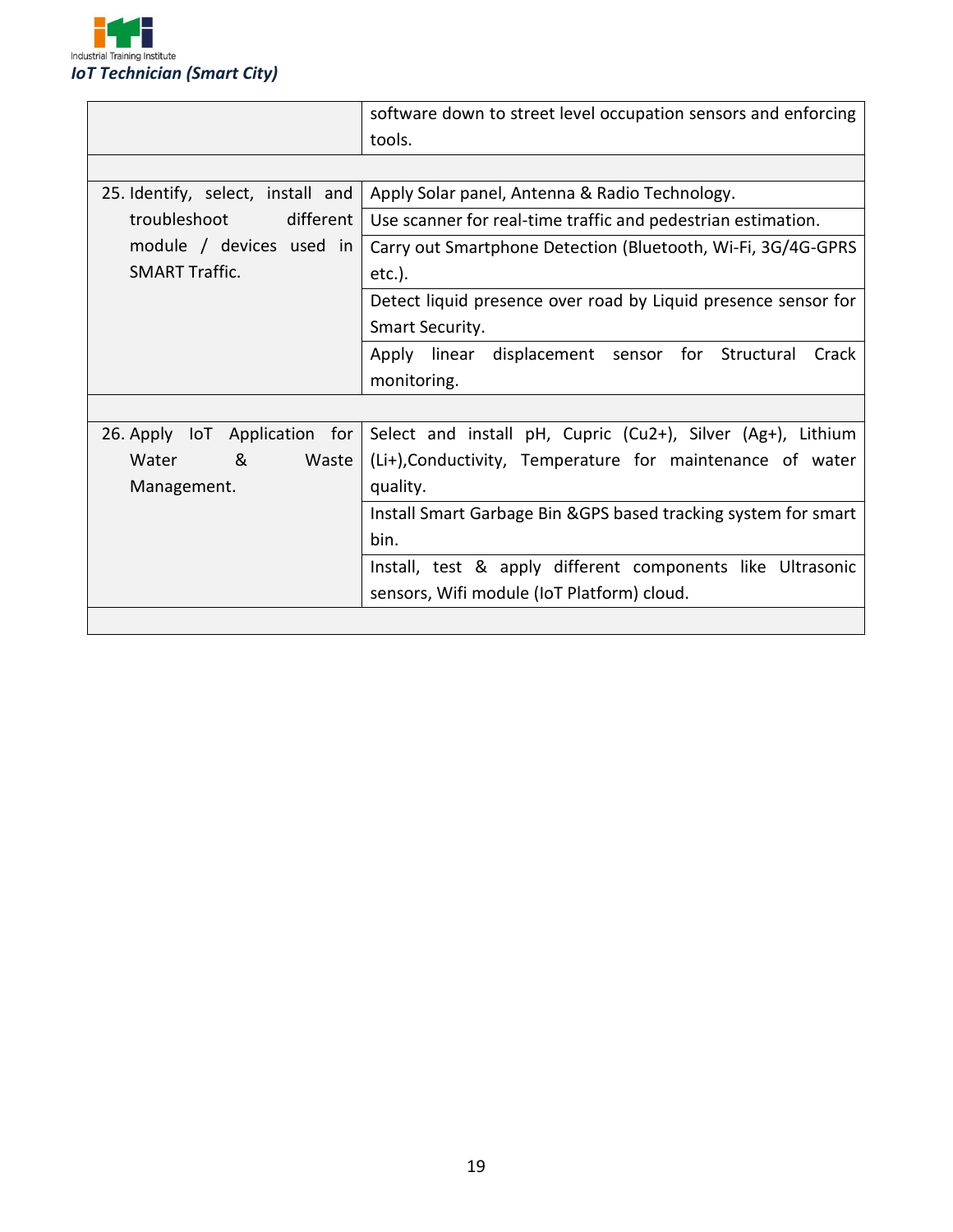

|                                   | software down to street level occupation sensors and enforcing  |  |  |
|-----------------------------------|-----------------------------------------------------------------|--|--|
|                                   | tools.                                                          |  |  |
|                                   |                                                                 |  |  |
| 25. Identify, select, install and | Apply Solar panel, Antenna & Radio Technology.                  |  |  |
| troubleshoot<br>different         | Use scanner for real-time traffic and pedestrian estimation.    |  |  |
| module / devices used in          | Carry out Smartphone Detection (Bluetooth, Wi-Fi, 3G/4G-GPRS    |  |  |
| <b>SMART Traffic.</b>             | $etc.$ ).                                                       |  |  |
|                                   | Detect liquid presence over road by Liquid presence sensor for  |  |  |
|                                   | Smart Security.                                                 |  |  |
|                                   | Structural<br>Apply linear displacement sensor for<br>Crack     |  |  |
|                                   | monitoring.                                                     |  |  |
|                                   |                                                                 |  |  |
| 26. Apply IoT Application<br>for  | Select and install pH, Cupric (Cu2+), Silver (Ag+), Lithium     |  |  |
| &<br>Waste<br>Water               | (Li+), Conductivity, Temperature for maintenance of water       |  |  |
| Management.                       | quality.                                                        |  |  |
|                                   | Install Smart Garbage Bin & GPS based tracking system for smart |  |  |
|                                   | bin.                                                            |  |  |
|                                   | Install, test & apply different components like Ultrasonic      |  |  |
|                                   | sensors, Wifi module (IoT Platform) cloud.                      |  |  |
|                                   |                                                                 |  |  |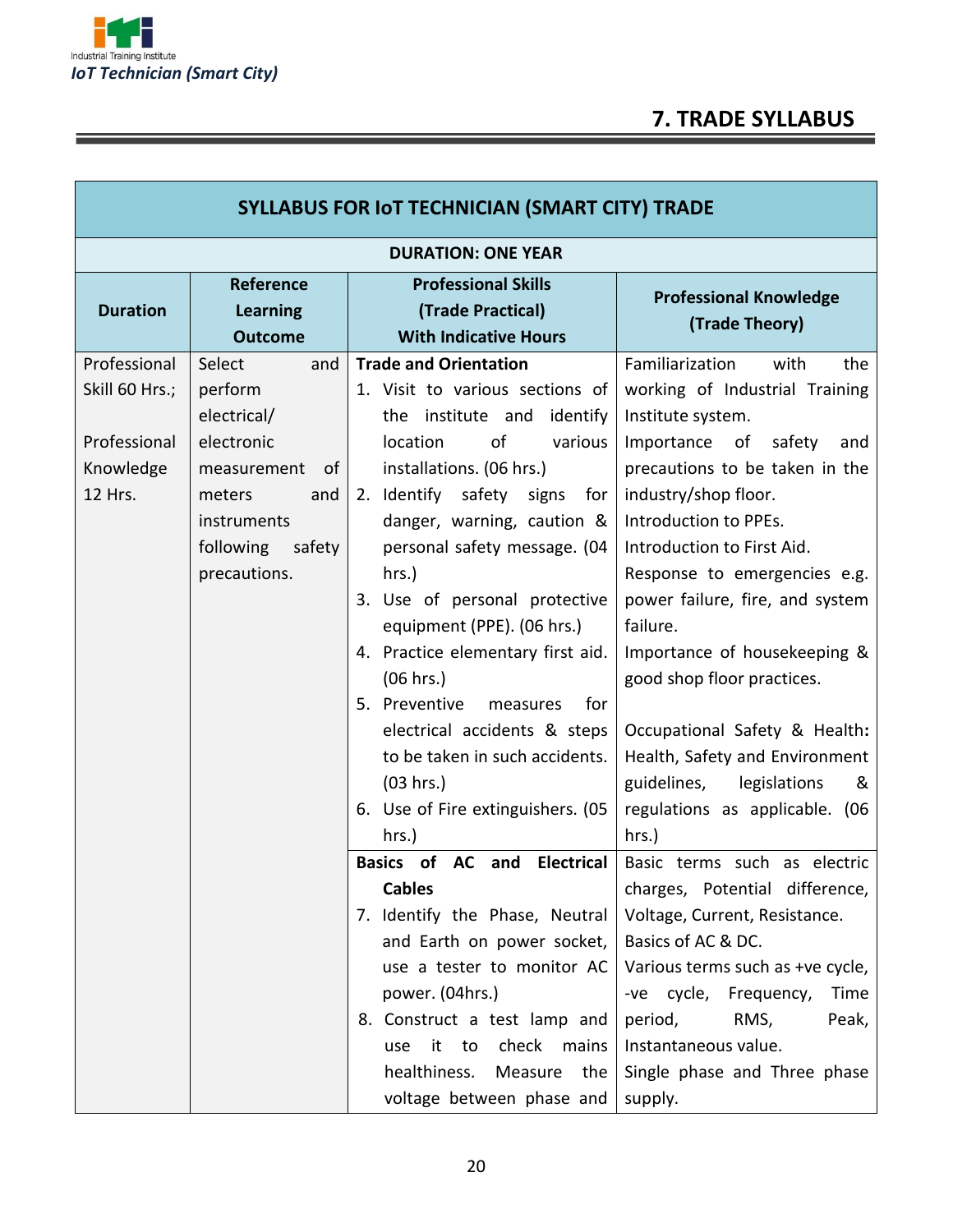

г

## **7. TRADE SYLLABUS**

| <b>SYLLABUS FOR IOT TECHNICIAN (SMART CITY) TRADE</b>                  |                                                                                                                                                   |                                                                                                                                                                                                                                                                                                                                                                                                                                                                                                               |                                                                                                                                                                                                                                                                                                                                                                                                                                                                                                 |  |  |
|------------------------------------------------------------------------|---------------------------------------------------------------------------------------------------------------------------------------------------|---------------------------------------------------------------------------------------------------------------------------------------------------------------------------------------------------------------------------------------------------------------------------------------------------------------------------------------------------------------------------------------------------------------------------------------------------------------------------------------------------------------|-------------------------------------------------------------------------------------------------------------------------------------------------------------------------------------------------------------------------------------------------------------------------------------------------------------------------------------------------------------------------------------------------------------------------------------------------------------------------------------------------|--|--|
| <b>DURATION: ONE YEAR</b>                                              |                                                                                                                                                   |                                                                                                                                                                                                                                                                                                                                                                                                                                                                                                               |                                                                                                                                                                                                                                                                                                                                                                                                                                                                                                 |  |  |
| <b>Duration</b>                                                        | Reference<br>Learning<br><b>Outcome</b>                                                                                                           | <b>Professional Skills</b><br>(Trade Practical)<br><b>With Indicative Hours</b>                                                                                                                                                                                                                                                                                                                                                                                                                               | <b>Professional Knowledge</b><br>(Trade Theory)                                                                                                                                                                                                                                                                                                                                                                                                                                                 |  |  |
| Professional<br>Skill 60 Hrs.;<br>Professional<br>Knowledge<br>12 Hrs. | Select<br>and<br>perform<br>electrical/<br>electronic<br>measurement<br>0f<br>meters<br>and<br>instruments<br>following<br>safety<br>precautions. | <b>Trade and Orientation</b><br>1. Visit to various sections of<br>institute and<br>identify<br>the<br>location<br>of<br>various<br>installations. (06 hrs.)<br>2. Identify safety signs<br>for<br>danger, warning, caution &<br>personal safety message. (04<br>$hrs.$ )<br>3. Use of personal protective<br>equipment (PPE). (06 hrs.)<br>4. Practice elementary first aid.<br>(06 hrs.)<br>5. Preventive<br>for<br>measures<br>electrical accidents & steps<br>to be taken in such accidents.<br>(03 hrs.) | Familiarization<br>with<br>the<br>working of Industrial Training<br>Institute system.<br>Importance<br>safety<br>of<br>and<br>precautions to be taken in the<br>industry/shop floor.<br>Introduction to PPEs.<br>Introduction to First Aid.<br>Response to emergencies e.g.<br>power failure, fire, and system<br>failure.<br>Importance of housekeeping &<br>good shop floor practices.<br>Occupational Safety & Health:<br>Health, Safety and Environment<br>guidelines,<br>legislations<br>& |  |  |
|                                                                        |                                                                                                                                                   | 6. Use of Fire extinguishers. (05<br>hrs.)<br>Basics of AC and Electrical<br><b>Cables</b><br>7. Identify the Phase, Neutral<br>and Earth on power socket,<br>use a tester to monitor AC<br>power. (04hrs.)<br>8. Construct a test lamp and<br>check mains<br>it to<br>use<br>healthiness.<br>Measure the<br>voltage between phase and                                                                                                                                                                        | regulations as applicable. (06<br>hrs.)<br>Basic terms such as electric<br>charges, Potential difference,<br>Voltage, Current, Resistance.<br>Basics of AC & DC.<br>Various terms such as +ve cycle,<br>-ve cycle,<br>Frequency,<br>Time<br>period,<br>RMS,<br>Peak,<br>Instantaneous value.<br>Single phase and Three phase<br>supply.                                                                                                                                                         |  |  |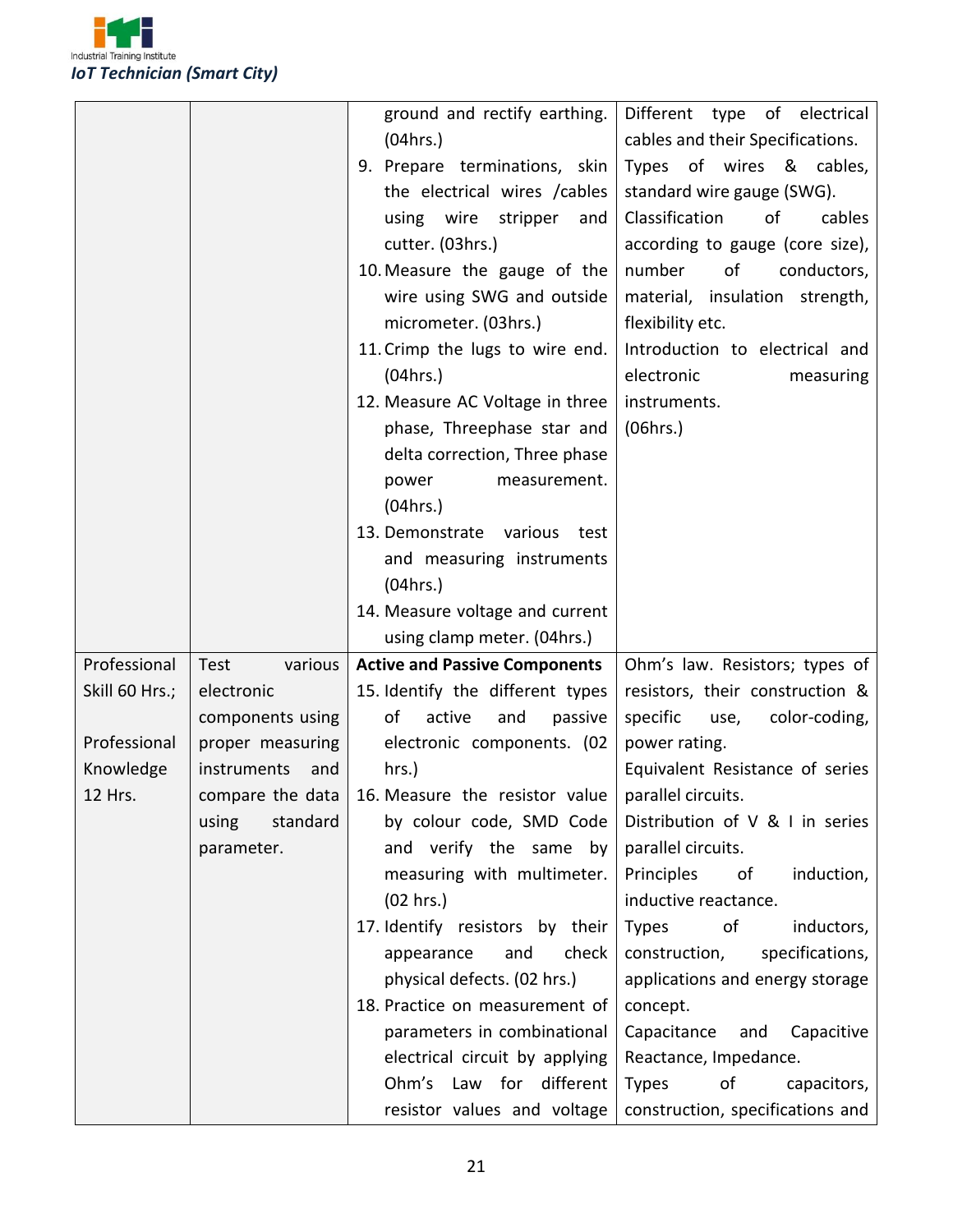

|                      |                                 | ground and rectify earthing.<br>(04hrs.)<br>9. Prepare terminations, skin<br>the electrical wires / cables<br>using wire<br>stripper<br>and<br>cutter. (03hrs.)<br>10. Measure the gauge of the<br>wire using SWG and outside<br>micrometer. (03hrs.)<br>11. Crimp the lugs to wire end.<br>(04 hrs.)<br>12. Measure AC Voltage in three<br>phase, Threephase star and<br>delta correction, Three phase<br>power<br>measurement.<br>(04hrs.)<br>13. Demonstrate various<br>test<br>and measuring instruments<br>(04 hrs.) | Different type of electrical<br>cables and their Specifications.<br>Types of wires & cables,<br>standard wire gauge (SWG).<br>Classification<br>of<br>cables<br>according to gauge (core size),<br>number<br>of<br>conductors,<br>material, insulation strength,<br>flexibility etc.<br>Introduction to electrical and<br>electronic<br>measuring<br>instruments.<br>(06hrs.) |
|----------------------|---------------------------------|---------------------------------------------------------------------------------------------------------------------------------------------------------------------------------------------------------------------------------------------------------------------------------------------------------------------------------------------------------------------------------------------------------------------------------------------------------------------------------------------------------------------------|-------------------------------------------------------------------------------------------------------------------------------------------------------------------------------------------------------------------------------------------------------------------------------------------------------------------------------------------------------------------------------|
|                      |                                 | 14. Measure voltage and current                                                                                                                                                                                                                                                                                                                                                                                                                                                                                           |                                                                                                                                                                                                                                                                                                                                                                               |
|                      |                                 |                                                                                                                                                                                                                                                                                                                                                                                                                                                                                                                           |                                                                                                                                                                                                                                                                                                                                                                               |
|                      |                                 | using clamp meter. (04hrs.)                                                                                                                                                                                                                                                                                                                                                                                                                                                                                               |                                                                                                                                                                                                                                                                                                                                                                               |
| Professional         | Test<br>various                 | <b>Active and Passive Components</b>                                                                                                                                                                                                                                                                                                                                                                                                                                                                                      | Ohm's law. Resistors; types of                                                                                                                                                                                                                                                                                                                                                |
| Skill 60 Hrs.;       | electronic                      | 15. Identify the different types                                                                                                                                                                                                                                                                                                                                                                                                                                                                                          | resistors, their construction &                                                                                                                                                                                                                                                                                                                                               |
|                      | components using                | of<br>active<br>and<br>passive                                                                                                                                                                                                                                                                                                                                                                                                                                                                                            | specific<br>use,<br>color-coding,                                                                                                                                                                                                                                                                                                                                             |
| Professional         | proper measuring<br>and         | electronic components. (02                                                                                                                                                                                                                                                                                                                                                                                                                                                                                                | power rating.                                                                                                                                                                                                                                                                                                                                                                 |
| Knowledge<br>12 Hrs. | instruments<br>compare the data | hrs.)<br>16. Measure the resistor value                                                                                                                                                                                                                                                                                                                                                                                                                                                                                   | Equivalent Resistance of series<br>parallel circuits.                                                                                                                                                                                                                                                                                                                         |
|                      | standard<br>using               | by colour code, SMD Code                                                                                                                                                                                                                                                                                                                                                                                                                                                                                                  | Distribution of V & I in series                                                                                                                                                                                                                                                                                                                                               |
|                      | parameter.                      | and verify the same by                                                                                                                                                                                                                                                                                                                                                                                                                                                                                                    | parallel circuits.                                                                                                                                                                                                                                                                                                                                                            |
|                      |                                 | measuring with multimeter.                                                                                                                                                                                                                                                                                                                                                                                                                                                                                                | Principles<br>of<br>induction,                                                                                                                                                                                                                                                                                                                                                |
|                      |                                 | (02 hrs.)                                                                                                                                                                                                                                                                                                                                                                                                                                                                                                                 | inductive reactance.                                                                                                                                                                                                                                                                                                                                                          |
|                      |                                 | 17. Identify resistors by their                                                                                                                                                                                                                                                                                                                                                                                                                                                                                           | inductors,<br>Types<br>of                                                                                                                                                                                                                                                                                                                                                     |
|                      |                                 | check<br>appearance<br>and                                                                                                                                                                                                                                                                                                                                                                                                                                                                                                | specifications,<br>construction,                                                                                                                                                                                                                                                                                                                                              |
|                      |                                 | physical defects. (02 hrs.)                                                                                                                                                                                                                                                                                                                                                                                                                                                                                               | applications and energy storage                                                                                                                                                                                                                                                                                                                                               |
|                      |                                 | 18. Practice on measurement of                                                                                                                                                                                                                                                                                                                                                                                                                                                                                            | concept.                                                                                                                                                                                                                                                                                                                                                                      |
|                      |                                 | parameters in combinational                                                                                                                                                                                                                                                                                                                                                                                                                                                                                               | Capacitance<br>and<br>Capacitive                                                                                                                                                                                                                                                                                                                                              |
|                      |                                 | electrical circuit by applying                                                                                                                                                                                                                                                                                                                                                                                                                                                                                            | Reactance, Impedance.                                                                                                                                                                                                                                                                                                                                                         |
|                      |                                 | Ohm's Law for different<br>resistor values and voltage                                                                                                                                                                                                                                                                                                                                                                                                                                                                    | <b>Types</b><br>of<br>capacitors,<br>construction, specifications and                                                                                                                                                                                                                                                                                                         |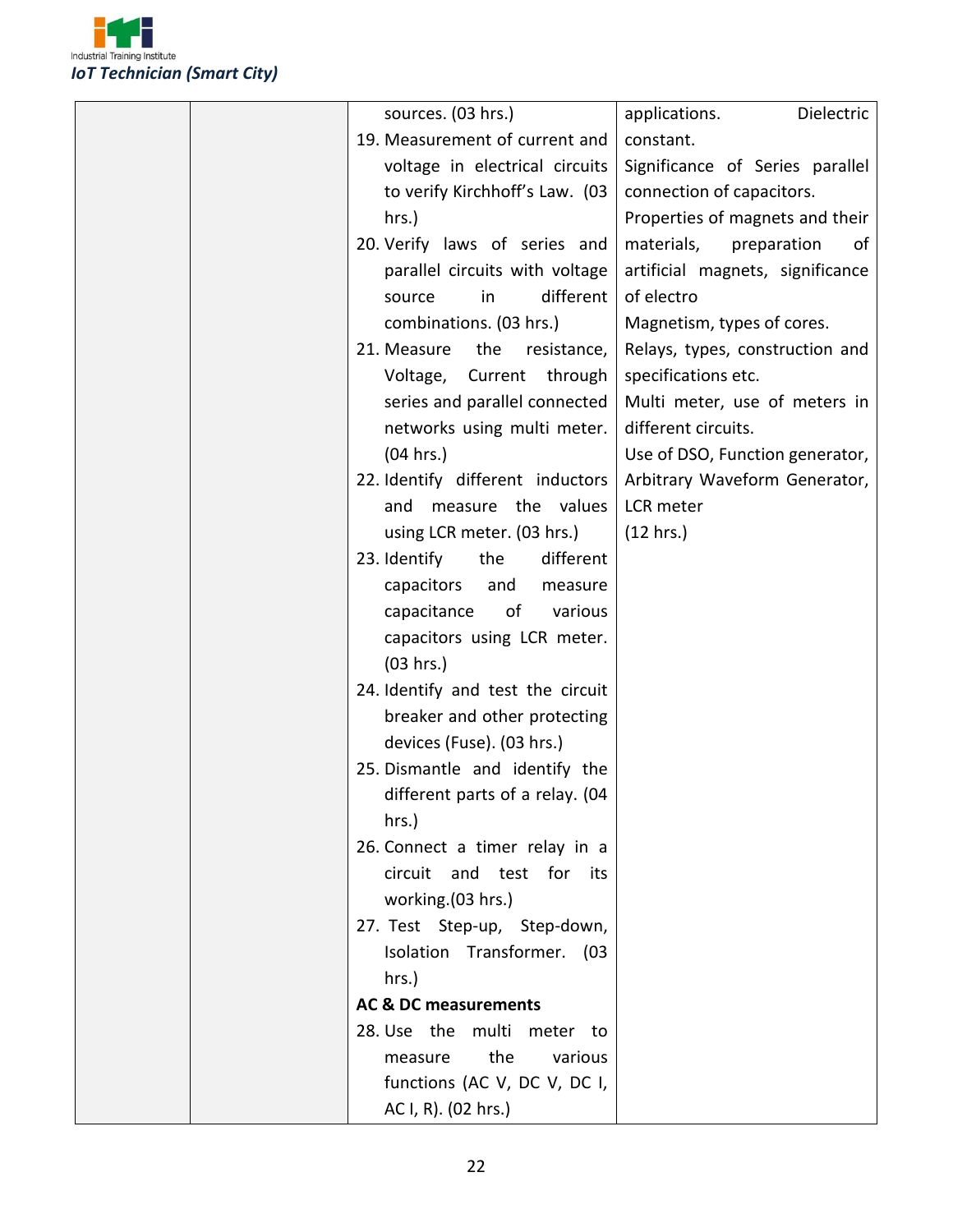

| sources. (03 hrs.)                | applications.<br>Dielectric      |
|-----------------------------------|----------------------------------|
| 19. Measurement of current and    | constant.                        |
| voltage in electrical circuits    | Significance of Series parallel  |
| to verify Kirchhoff's Law. (03    | connection of capacitors.        |
| hrs.)                             | Properties of magnets and their  |
| 20. Verify laws of series and     | materials,<br>preparation<br>οf  |
| parallel circuits with voltage    | artificial magnets, significance |
| different<br>in<br>source         | of electro                       |
| combinations. (03 hrs.)           | Magnetism, types of cores.       |
| 21. Measure<br>the<br>resistance, | Relays, types, construction and  |
| Voltage,<br>Current through       | specifications etc.              |
| series and parallel connected     | Multi meter, use of meters in    |
| networks using multi meter.       | different circuits.              |
| (04 hrs.)                         | Use of DSO, Function generator,  |
| 22. Identify different inductors  | Arbitrary Waveform Generator,    |
| measure the values<br>and         | LCR meter                        |
| using LCR meter. (03 hrs.)        | (12 hrs.)                        |
| 23. Identify<br>the<br>different  |                                  |
| capacitors<br>and<br>measure      |                                  |
| capacitance<br>of<br>various      |                                  |
| capacitors using LCR meter.       |                                  |
| (03 hrs.)                         |                                  |
| 24. Identify and test the circuit |                                  |
| breaker and other protecting      |                                  |
| devices (Fuse). (03 hrs.)         |                                  |
| 25. Dismantle and identify the    |                                  |
| different parts of a relay. (04   |                                  |
| hrs.)                             |                                  |
| 26. Connect a timer relay in a    |                                  |
| circuit and test for its          |                                  |
| working.(03 hrs.)                 |                                  |
| 27. Test Step-up, Step-down,      |                                  |
| Isolation Transformer. (03        |                                  |
| hrs.)                             |                                  |
| <b>AC &amp; DC measurements</b>   |                                  |
| 28. Use the multi meter to        |                                  |
| the<br>various<br>measure         |                                  |
| functions (AC V, DC V, DC I,      |                                  |
| AC I, R). (02 hrs.)               |                                  |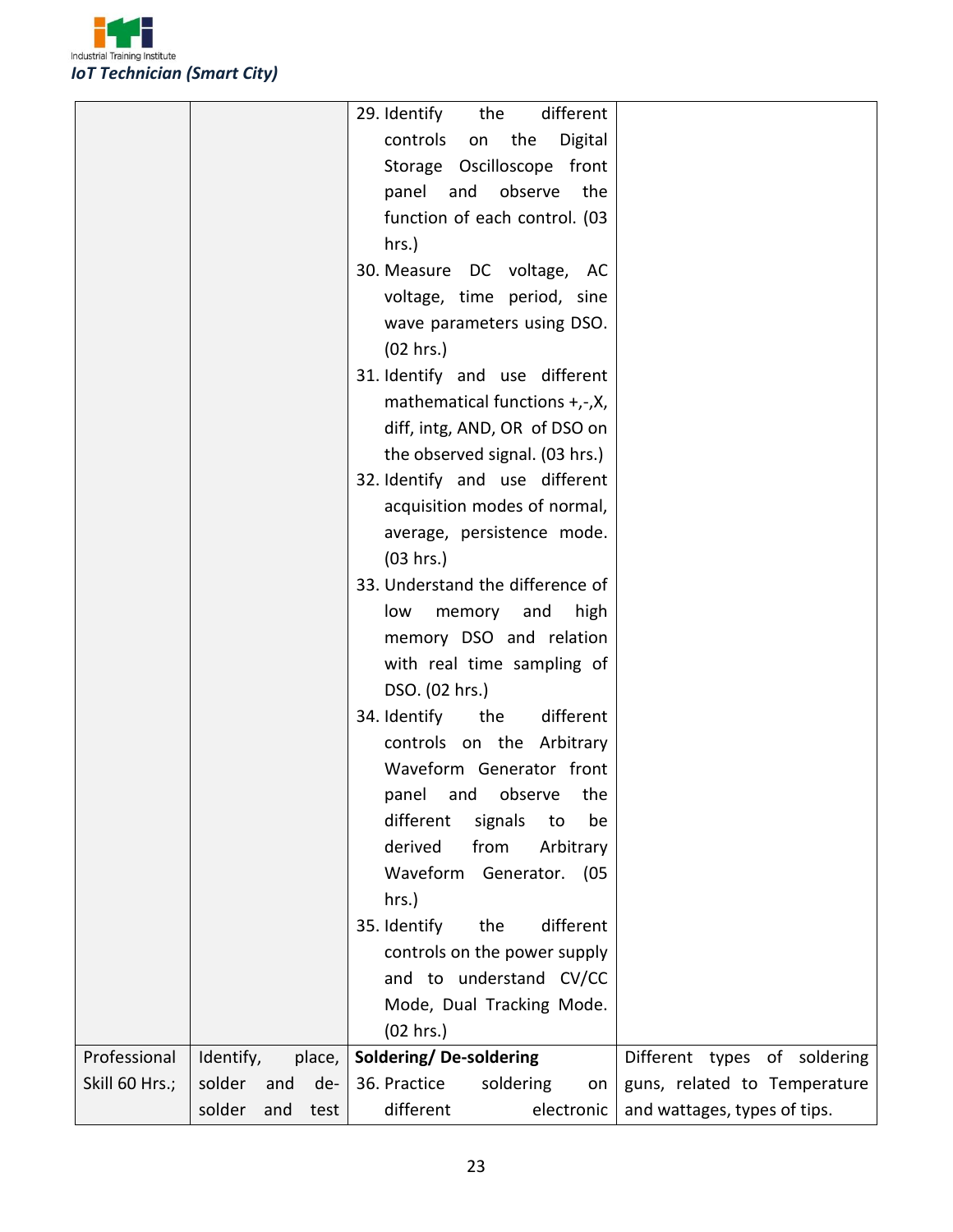

|                |           |     |        | different<br>29. Identify<br>the                                |
|----------------|-----------|-----|--------|-----------------------------------------------------------------|
|                |           |     |        | controls<br>the<br>Digital<br>on                                |
|                |           |     |        | Storage Oscilloscope front                                      |
|                |           |     |        | panel and observe<br>the                                        |
|                |           |     |        | function of each control. (03                                   |
|                |           |     |        | hrs.)                                                           |
|                |           |     |        | 30. Measure DC voltage, AC                                      |
|                |           |     |        | voltage, time period, sine                                      |
|                |           |     |        | wave parameters using DSO.                                      |
|                |           |     |        | (02 hrs.)                                                       |
|                |           |     |        | 31. Identify and use different                                  |
|                |           |     |        | mathematical functions +,-,X,                                   |
|                |           |     |        | diff, intg, AND, OR of DSO on                                   |
|                |           |     |        | the observed signal. (03 hrs.)                                  |
|                |           |     |        | 32. Identify and use different                                  |
|                |           |     |        | acquisition modes of normal,                                    |
|                |           |     |        | average, persistence mode.                                      |
|                |           |     |        | (03 hrs.)                                                       |
|                |           |     |        | 33. Understand the difference of                                |
|                |           |     |        | low memory and<br>high                                          |
|                |           |     |        | memory DSO and relation                                         |
|                |           |     |        | with real time sampling of                                      |
|                |           |     |        | DSO. (02 hrs.)                                                  |
|                |           |     |        | 34. Identify<br>the<br>different                                |
|                |           |     |        | controls on the Arbitrary                                       |
|                |           |     |        | Waveform Generator front                                        |
|                |           |     |        | panel and observe the                                           |
|                |           |     |        | different<br>signals<br>be<br>to                                |
|                |           |     |        | derived<br>from<br>Arbitrary                                    |
|                |           |     |        | Waveform<br>Generator.<br>(05                                   |
|                |           |     |        | hrs.)                                                           |
|                |           |     |        | 35. Identify<br>the<br>different                                |
|                |           |     |        | controls on the power supply                                    |
|                |           |     |        | and to understand CV/CC                                         |
|                |           |     |        | Mode, Dual Tracking Mode.                                       |
|                |           |     |        | (02 hrs.)                                                       |
| Professional   | Identify, |     | place, | Soldering/De-soldering<br>Different types of soldering          |
| Skill 60 Hrs.; | solder    | and | de-    | 36. Practice<br>soldering<br>guns, related to Temperature<br>on |
|                | solder    | and | test   | different<br>electronic<br>and wattages, types of tips.         |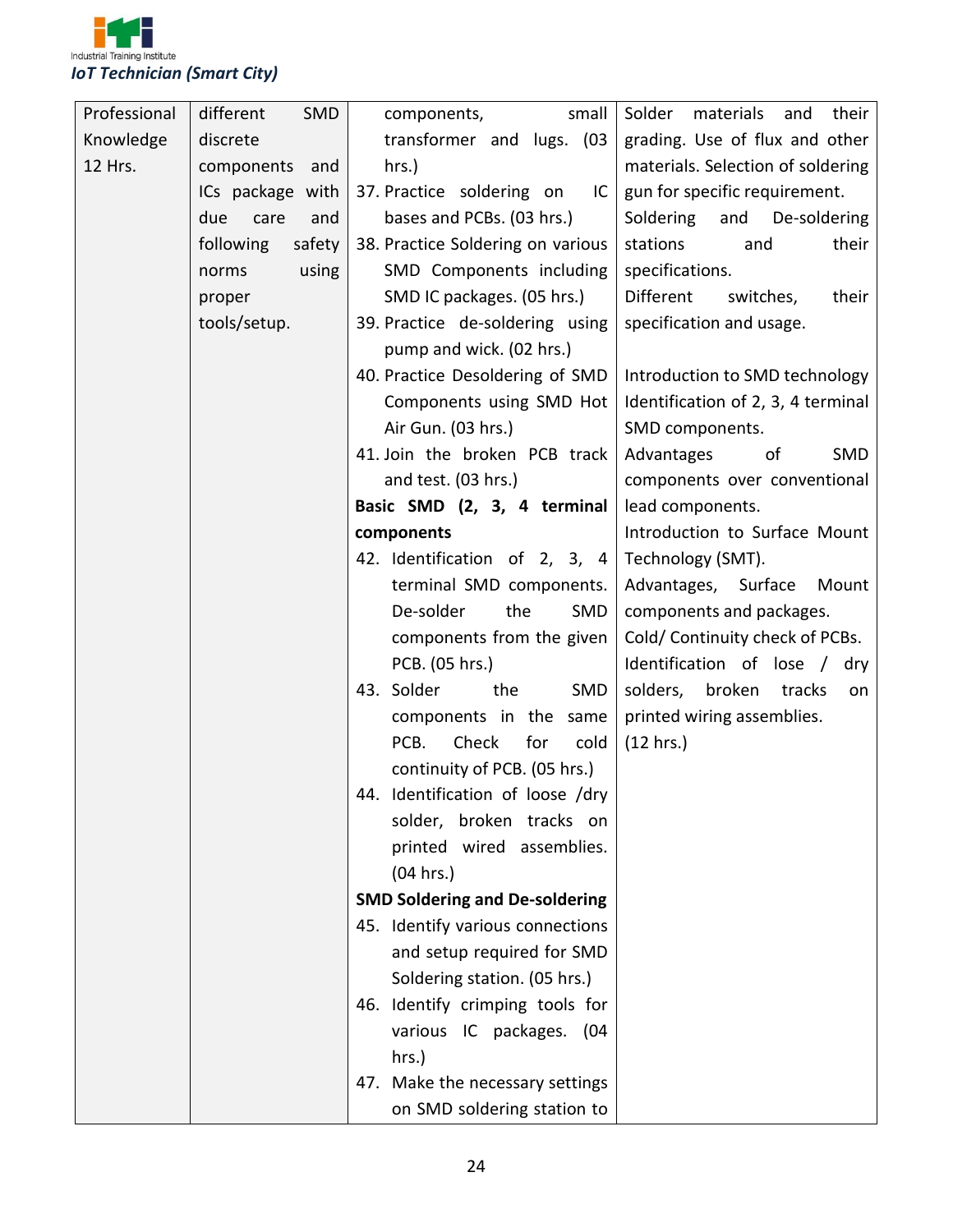

| Professional | different<br>SMD    | small<br>components,                  | Solder materials<br>and<br>their   |
|--------------|---------------------|---------------------------------------|------------------------------------|
| Knowledge    | discrete            | transformer and lugs. (03             | grading. Use of flux and other     |
| 12 Hrs.      | components and      | hrs.)                                 | materials. Selection of soldering  |
|              | ICs package with    | 37. Practice soldering on<br>IC       | gun for specific requirement.      |
|              | due<br>care<br>and  | bases and PCBs. (03 hrs.)             | Soldering<br>and<br>De-soldering   |
|              | following<br>safety | 38. Practice Soldering on various     | stations<br>and<br>their           |
|              | using<br>norms      | SMD Components including              | specifications.                    |
|              | proper              | SMD IC packages. (05 hrs.)            | Different<br>switches,<br>their    |
|              | tools/setup.        | 39. Practice de-soldering using       | specification and usage.           |
|              |                     | pump and wick. (02 hrs.)              |                                    |
|              |                     | 40. Practice Desoldering of SMD       | Introduction to SMD technology     |
|              |                     | Components using SMD Hot              | Identification of 2, 3, 4 terminal |
|              |                     | Air Gun. (03 hrs.)                    | SMD components.                    |
|              |                     | 41. Join the broken PCB track         | Advantages<br>SMD<br>of            |
|              |                     | and test. (03 hrs.)                   | components over conventional       |
|              |                     | Basic SMD (2, 3, 4 terminal           | lead components.                   |
|              |                     | components                            | Introduction to Surface Mount      |
|              |                     | 42. Identification of 2, 3, 4         | Technology (SMT).                  |
|              |                     | terminal SMD components.              | Advantages, Surface<br>Mount       |
|              |                     | De-solder<br>the<br>SMD               | components and packages.           |
|              |                     | components from the given             | Cold/Continuity check of PCBs.     |
|              |                     | PCB. (05 hrs.)                        | Identification of lose / dry       |
|              |                     | 43. Solder<br>the<br>SMD              | solders,<br>broken<br>tracks<br>on |
|              |                     | components in the<br>same             | printed wiring assemblies.         |
|              |                     | Check<br>for<br>PCB.<br>cold          | (12 hrs.)                          |
|              |                     | continuity of PCB. (05 hrs.)          |                                    |
|              |                     | 44. Identification of loose /dry      |                                    |
|              |                     | solder, broken tracks on              |                                    |
|              |                     | printed wired assemblies.             |                                    |
|              |                     | (04 hrs.)                             |                                    |
|              |                     | <b>SMD Soldering and De-soldering</b> |                                    |
|              |                     | 45. Identify various connections      |                                    |
|              |                     | and setup required for SMD            |                                    |
|              |                     | Soldering station. (05 hrs.)          |                                    |
|              |                     | 46. Identify crimping tools for       |                                    |
|              |                     | various IC packages. (04              |                                    |
|              |                     | hrs.)                                 |                                    |
|              |                     | 47. Make the necessary settings       |                                    |
|              |                     | on SMD soldering station to           |                                    |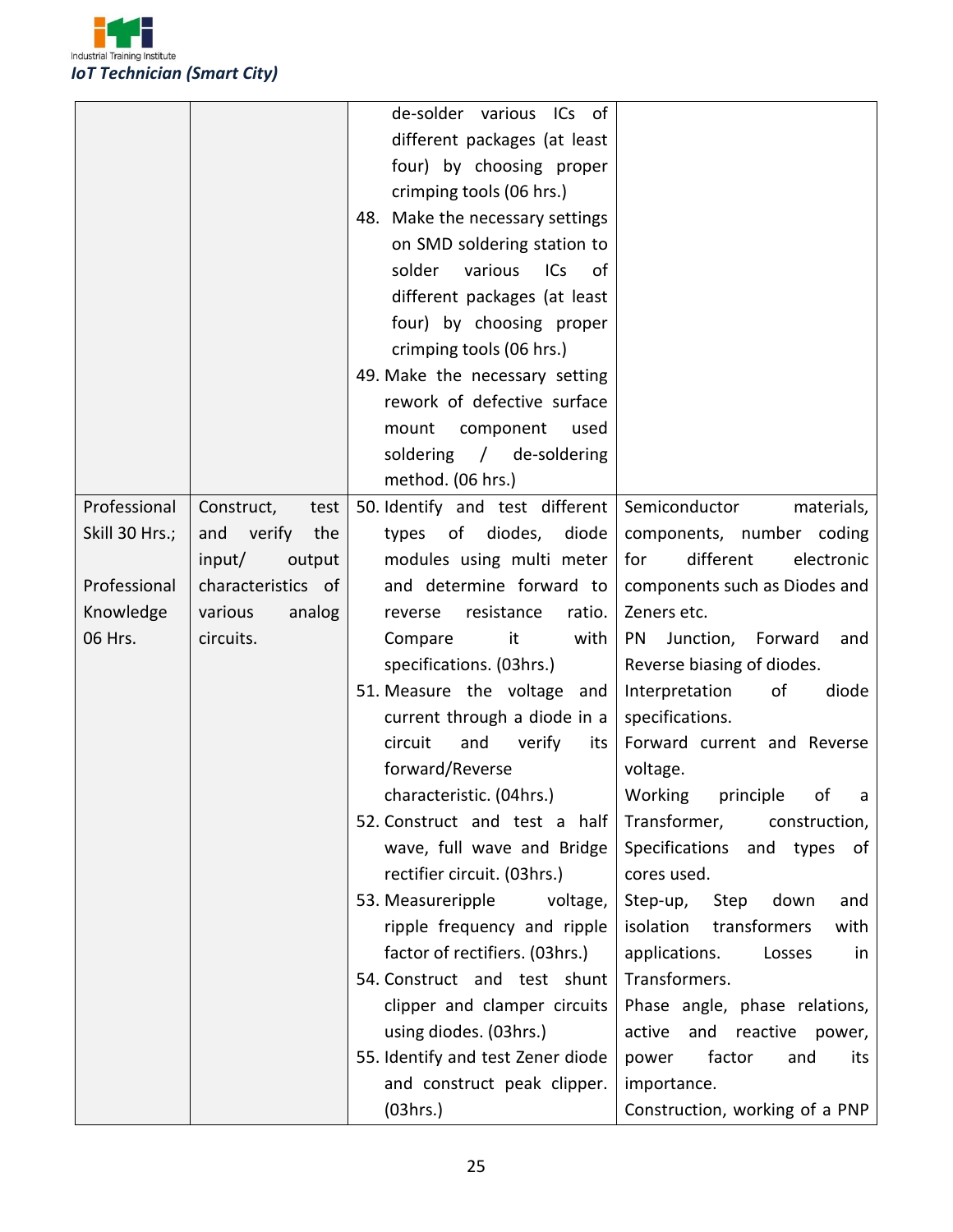

|                |                      | de-solder various ICs of          |                                       |
|----------------|----------------------|-----------------------------------|---------------------------------------|
|                |                      | different packages (at least      |                                       |
|                |                      | four) by choosing proper          |                                       |
|                |                      | crimping tools (06 hrs.)          |                                       |
|                |                      | 48. Make the necessary settings   |                                       |
|                |                      | on SMD soldering station to       |                                       |
|                |                      | solder<br>various<br>ICs<br>of    |                                       |
|                |                      | different packages (at least      |                                       |
|                |                      | four) by choosing proper          |                                       |
|                |                      | crimping tools (06 hrs.)          |                                       |
|                |                      | 49. Make the necessary setting    |                                       |
|                |                      | rework of defective surface       |                                       |
|                |                      | mount<br>component<br>used        |                                       |
|                |                      | soldering / de-soldering          |                                       |
|                |                      | method. (06 hrs.)                 |                                       |
| Professional   | Construct,<br>test   | 50. Identify and test different   | Semiconductor<br>materials,           |
| Skill 30 Hrs.; | verify<br>and<br>the | of diodes,<br>diode<br>types      | components, number coding             |
|                | input/<br>output     | modules using multi meter         | different<br>for<br>electronic        |
| Professional   | characteristics of   | and determine forward to          | components such as Diodes and         |
| Knowledge      | analog<br>various    | resistance<br>ratio.<br>reverse   | Zeners etc.                           |
| 06 Hrs.        | circuits.            | Compare<br>it<br>with             | <b>PN</b><br>Junction, Forward<br>and |
|                |                      | specifications. (03hrs.)          | Reverse biasing of diodes.            |
|                |                      | 51. Measure the voltage and       | of<br>diode<br>Interpretation         |
|                |                      | current through a diode in a      | specifications.                       |
|                |                      | circuit<br>and<br>verify<br>its   | Forward current and Reverse           |
|                |                      | forward/Reverse                   | voltage.                              |
|                |                      | characteristic. (04hrs.)          | Working principle of a                |
|                |                      | 52. Construct and test a half     | Transformer,<br>construction,         |
|                |                      | wave, full wave and Bridge        | Specifications<br>and types of        |
|                |                      | rectifier circuit. (03hrs.)       | cores used.                           |
|                |                      | 53. Measureripple<br>voltage,     | Step-up,<br>Step<br>down<br>and       |
|                |                      | ripple frequency and ripple       | isolation<br>transformers<br>with     |
|                |                      | factor of rectifiers. (03hrs.)    | applications.<br>Losses<br>in         |
|                |                      | 54. Construct and test shunt      | Transformers.                         |
|                |                      | clipper and clamper circuits      | Phase angle, phase relations,         |
|                |                      | using diodes. (03hrs.)            | active and reactive power,            |
|                |                      | 55. Identify and test Zener diode | factor<br>power<br>and<br>its         |
|                |                      | and construct peak clipper.       | importance.                           |
|                |                      | (03hrs.)                          | Construction, working of a PNP        |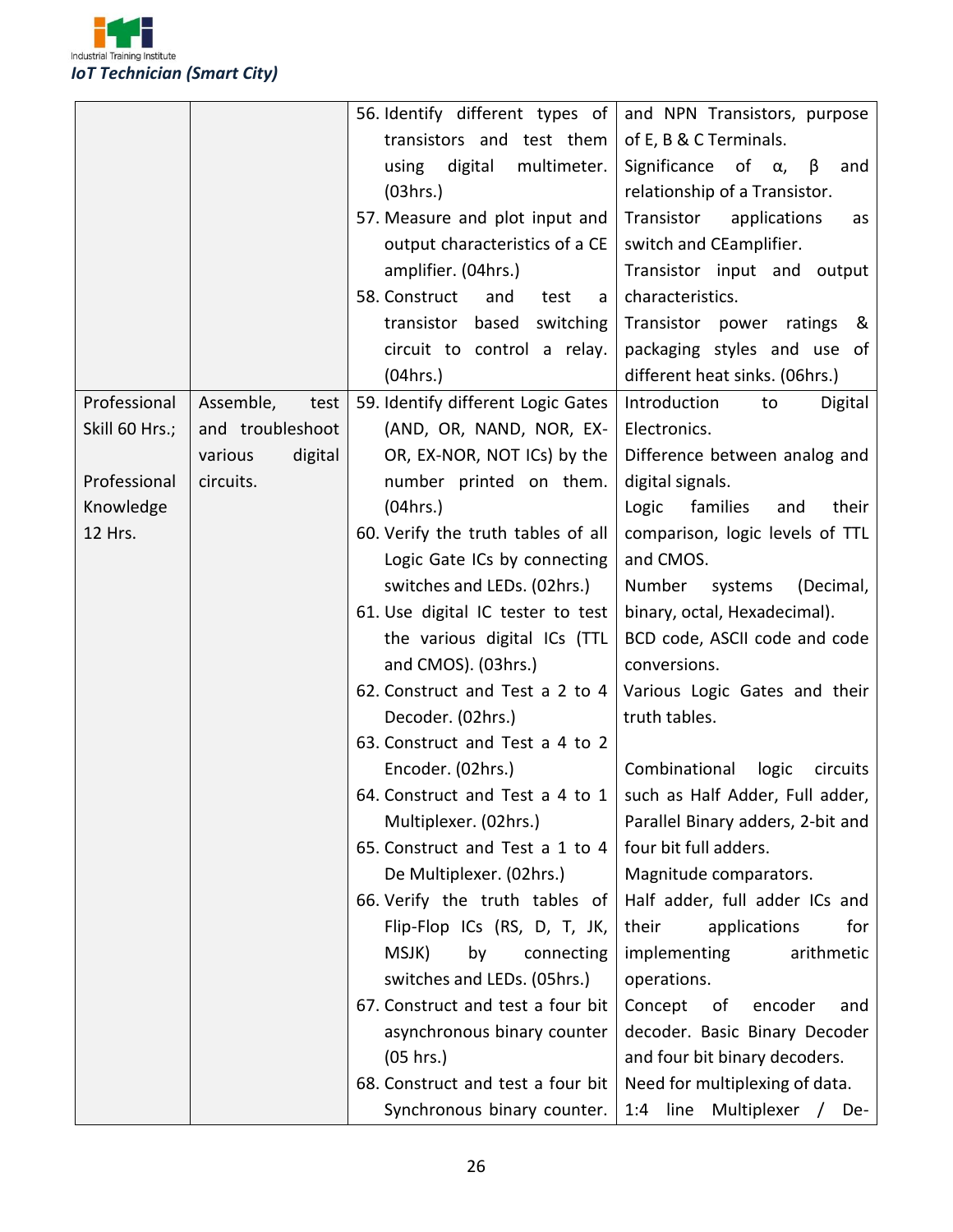

|                |                    | 56. Identify different types of                                   | and NPN Transistors, purpose              |
|----------------|--------------------|-------------------------------------------------------------------|-------------------------------------------|
|                |                    | transistors and test them                                         | of E, B & C Terminals.                    |
|                |                    | digital<br>multimeter.<br>using                                   | Significance<br>of $\alpha$ ,<br>β<br>and |
|                |                    | (03hrs.)                                                          | relationship of a Transistor.             |
|                |                    | 57. Measure and plot input and                                    | Transistor<br>applications<br>as          |
|                |                    | output characteristics of a CE                                    | switch and CEamplifier.                   |
|                |                    | amplifier. (04hrs.)                                               | Transistor input and output               |
|                |                    | 58. Construct<br>and<br>test<br>a                                 | characteristics.                          |
|                |                    | switching<br>transistor based                                     | Transistor power ratings<br>&             |
|                |                    | circuit to control a relay.                                       | packaging styles and use of               |
|                |                    | (04 hrs.)                                                         | different heat sinks. (06hrs.)            |
| Professional   | Assemble,<br>test  | 59. Identify different Logic Gates                                | Introduction<br>Digital<br>to             |
| Skill 60 Hrs.; | and troubleshoot   | (AND, OR, NAND, NOR, EX-                                          | Electronics.                              |
|                | digital<br>various | OR, EX-NOR, NOT ICs) by the                                       | Difference between analog and             |
| Professional   | circuits.          | number printed on them.                                           | digital signals.                          |
| Knowledge      |                    | (04 hrs.)                                                         | Logic<br>families<br>and<br>their         |
| 12 Hrs.        |                    | 60. Verify the truth tables of all                                | comparison, logic levels of TTL           |
|                |                    | Logic Gate ICs by connecting                                      | and CMOS.                                 |
|                |                    | switches and LEDs. (02hrs.)                                       | (Decimal,<br>Number systems               |
|                |                    | 61. Use digital IC tester to test                                 | binary, octal, Hexadecimal).              |
|                |                    | the various digital ICs (TTL                                      | BCD code, ASCII code and code             |
|                |                    | and CMOS). (03hrs.)                                               | conversions.                              |
|                |                    | 62. Construct and Test a 2 to 4                                   | Various Logic Gates and their             |
|                |                    | Decoder. (02hrs.)                                                 | truth tables.                             |
|                |                    | 63. Construct and Test a 4 to 2                                   |                                           |
|                |                    | Encoder. (02hrs.)                                                 | Combinational<br>logic<br>circuits        |
|                |                    | 64. Construct and Test a 4 to $1$ such as Half Adder, Full adder, |                                           |
|                |                    | Multiplexer. (02hrs.)                                             | Parallel Binary adders, 2-bit and         |
|                |                    | 65. Construct and Test a 1 to 4                                   | four bit full adders.                     |
|                |                    | De Multiplexer. (02hrs.)                                          | Magnitude comparators.                    |
|                |                    | 66. Verify the truth tables of                                    | Half adder, full adder ICs and            |
|                |                    | Flip-Flop ICs (RS, D, T, JK,                                      | their<br>applications<br>for              |
|                |                    | MSJK)<br>by<br>connecting                                         | arithmetic<br>implementing                |
|                |                    | switches and LEDs. (05hrs.)                                       | operations.                               |
|                |                    | 67. Construct and test a four bit                                 | Concept<br>of<br>encoder<br>and           |
|                |                    | asynchronous binary counter                                       | decoder. Basic Binary Decoder             |
|                |                    | (05 hrs.)                                                         | and four bit binary decoders.             |
|                |                    | 68. Construct and test a four bit                                 | Need for multiplexing of data.            |
|                |                    | Synchronous binary counter.                                       | 1:4 line Multiplexer / De-                |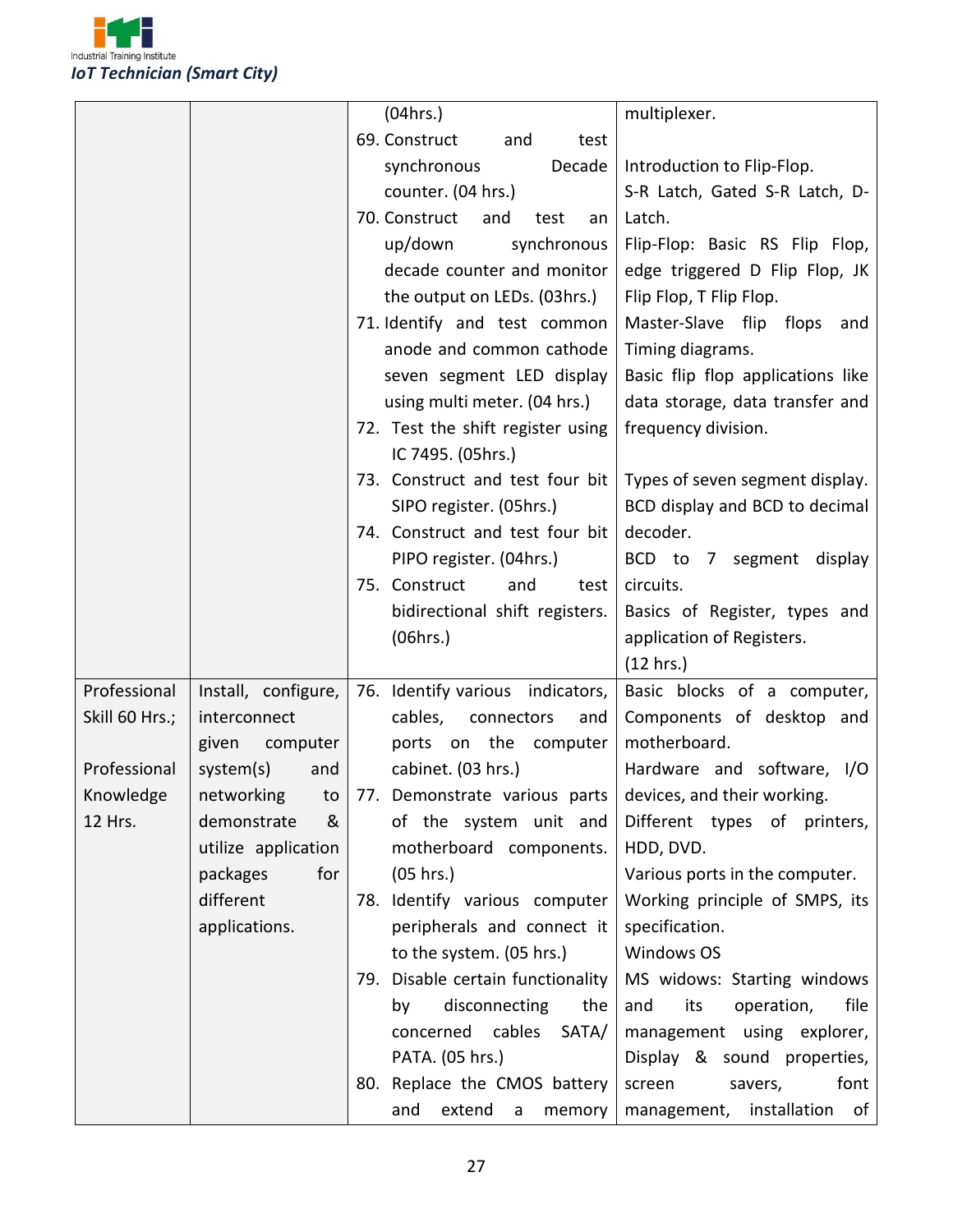

|                |                     | (04 hrs.)                               | multiplexer.                      |
|----------------|---------------------|-----------------------------------------|-----------------------------------|
|                |                     | 69. Construct<br>and<br>test            |                                   |
|                |                     | Decade<br>synchronous                   | Introduction to Flip-Flop.        |
|                |                     | counter. (04 hrs.)                      | S-R Latch, Gated S-R Latch, D-    |
|                |                     | 70. Construct<br>and<br>test<br>an      | Latch.                            |
|                |                     | up/down<br>synchronous                  | Flip-Flop: Basic RS Flip Flop,    |
|                |                     | decade counter and monitor              | edge triggered D Flip Flop, JK    |
|                |                     | the output on LEDs. (03hrs.)            | Flip Flop, T Flip Flop.           |
|                |                     | 71. Identify and test common            | Master-Slave flip flops<br>and    |
|                |                     | anode and common cathode                | Timing diagrams.                  |
|                |                     | seven segment LED display               | Basic flip flop applications like |
|                |                     | using multi meter. (04 hrs.)            | data storage, data transfer and   |
|                |                     | 72. Test the shift register using       | frequency division.               |
|                |                     | IC 7495. (05hrs.)                       |                                   |
|                |                     | 73. Construct and test four bit         | Types of seven segment display.   |
|                |                     | SIPO register. (05hrs.)                 | BCD display and BCD to decimal    |
|                |                     | 74. Construct and test four bit         | decoder.                          |
|                |                     | PIPO register. (04hrs.)                 | BCD to 7 segment display          |
|                |                     | 75. Construct<br>and<br>test            | circuits.                         |
|                |                     | bidirectional shift registers.          | Basics of Register, types and     |
|                |                     | (06hrs.)                                | application of Registers.         |
|                |                     |                                         | (12 hrs.)                         |
| Professional   | Install, configure, | 76. Identify various indicators,        | Basic blocks of a computer,       |
| Skill 60 Hrs.; | interconnect        | cables,<br>connectors<br>and            | Components of desktop and         |
|                | given<br>computer   | ports on the computer                   | motherboard.                      |
| Professional   | system(s)<br>and    | cabinet. (03 hrs.)                      | Hardware and software, I/O        |
| Knowledge      | networking to       | 77. Demonstrate various parts           | devices, and their working.       |
| 12 Hrs.        | demonstrate<br>&    | of the system unit and                  | Different types of printers,      |
|                | utilize application | motherboard components.                 | HDD, DVD.                         |
|                | for<br>packages     | (05 hrs.)                               | Various ports in the computer.    |
|                | different           | 78. Identify various computer           | Working principle of SMPS, its    |
|                | applications.       | peripherals and connect it              | specification.                    |
|                |                     | to the system. (05 hrs.)                | <b>Windows OS</b>                 |
|                |                     | 79. Disable certain functionality       | MS widows: Starting windows       |
|                |                     | disconnecting<br>the<br>by              | operation,<br>file<br>and<br>its  |
|                |                     | concerned<br>cables<br>SATA/            | management using explorer,        |
|                |                     | PATA. (05 hrs.)                         | Display & sound properties,       |
|                |                     | 80. Replace the CMOS battery            | font<br>savers,<br>screen         |
|                |                     | extend<br>and<br>$\mathsf{a}$<br>memory | management, installation of       |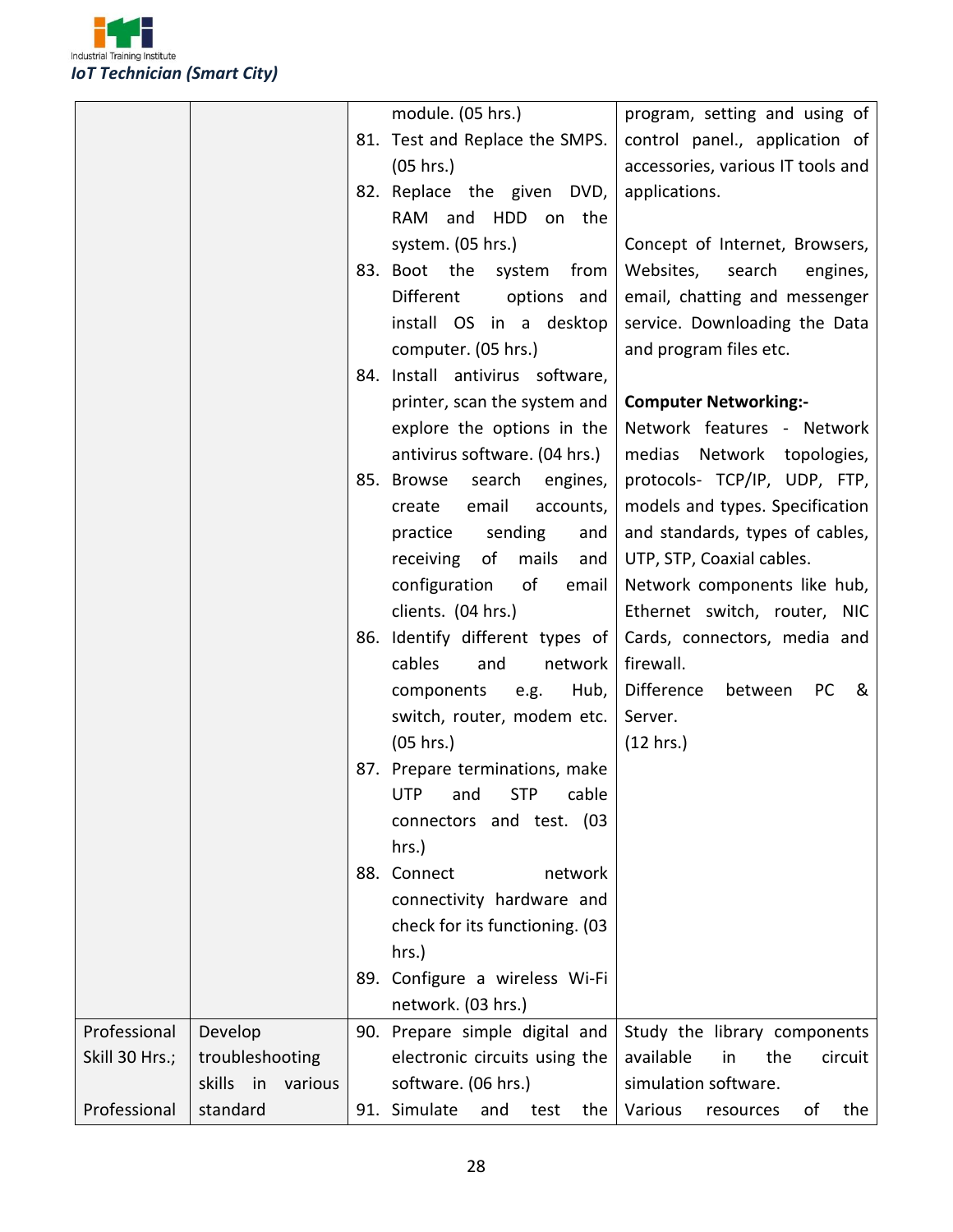

|                |                      | module. (05 hrs.)                  | program, setting and using of     |
|----------------|----------------------|------------------------------------|-----------------------------------|
|                |                      | 81. Test and Replace the SMPS.     | control panel., application of    |
|                |                      | (05 hrs.)                          | accessories, various IT tools and |
|                |                      | 82. Replace the given DVD,         | applications.                     |
|                |                      | and HDD<br>RAM<br>on the           |                                   |
|                |                      | system. (05 hrs.)                  | Concept of Internet, Browsers,    |
|                |                      | 83. Boot the<br>system<br>from     | Websites,<br>search<br>engines,   |
|                |                      | <b>Different</b><br>options and    | email, chatting and messenger     |
|                |                      | install OS in a desktop            | service. Downloading the Data     |
|                |                      | computer. (05 hrs.)                | and program files etc.            |
|                |                      | 84. Install antivirus software,    |                                   |
|                |                      | printer, scan the system and       | <b>Computer Networking:-</b>      |
|                |                      | explore the options in the         | Network features - Network        |
|                |                      | antivirus software. (04 hrs.)      | medias Network topologies,        |
|                |                      | 85. Browse<br>search<br>engines,   | protocols- TCP/IP, UDP, FTP,      |
|                |                      | email<br>accounts,<br>create       | models and types. Specification   |
|                |                      | sending<br>practice<br>and         | and standards, types of cables,   |
|                |                      | receiving<br>of<br>mails<br>and    | UTP, STP, Coaxial cables.         |
|                |                      | of<br>configuration<br>email       | Network components like hub,      |
|                |                      | clients. (04 hrs.)                 | Ethernet switch, router, NIC      |
|                |                      | 86. Identify different types of    | Cards, connectors, media and      |
|                |                      | cables<br>and<br>network           | firewall.                         |
|                |                      | components<br>e.g.<br>Hub,         | Difference<br>between<br>PC<br>&  |
|                |                      | switch, router, modem etc.         | Server.                           |
|                |                      | (05 hrs.)                          | (12 hrs.)                         |
|                |                      | 87. Prepare terminations, make     |                                   |
|                |                      | UTP and STP cable                  |                                   |
|                |                      | connectors and test. (03           |                                   |
|                |                      | hrs.)                              |                                   |
|                |                      | 88. Connect<br>network             |                                   |
|                |                      | connectivity hardware and          |                                   |
|                |                      | check for its functioning. (03     |                                   |
|                |                      | hrs.)                              |                                   |
|                |                      | 89. Configure a wireless Wi-Fi     |                                   |
|                |                      | network. (03 hrs.)                 |                                   |
| Professional   | Develop              | 90. Prepare simple digital and     | Study the library components      |
| Skill 30 Hrs.; | troubleshooting      | electronic circuits using the      | available<br>circuit<br>in<br>the |
|                | skills in<br>various | software. (06 hrs.)                | simulation software.              |
| Professional   | standard             | 91. Simulate<br>and<br>test<br>the | Various<br>the<br>resources<br>οf |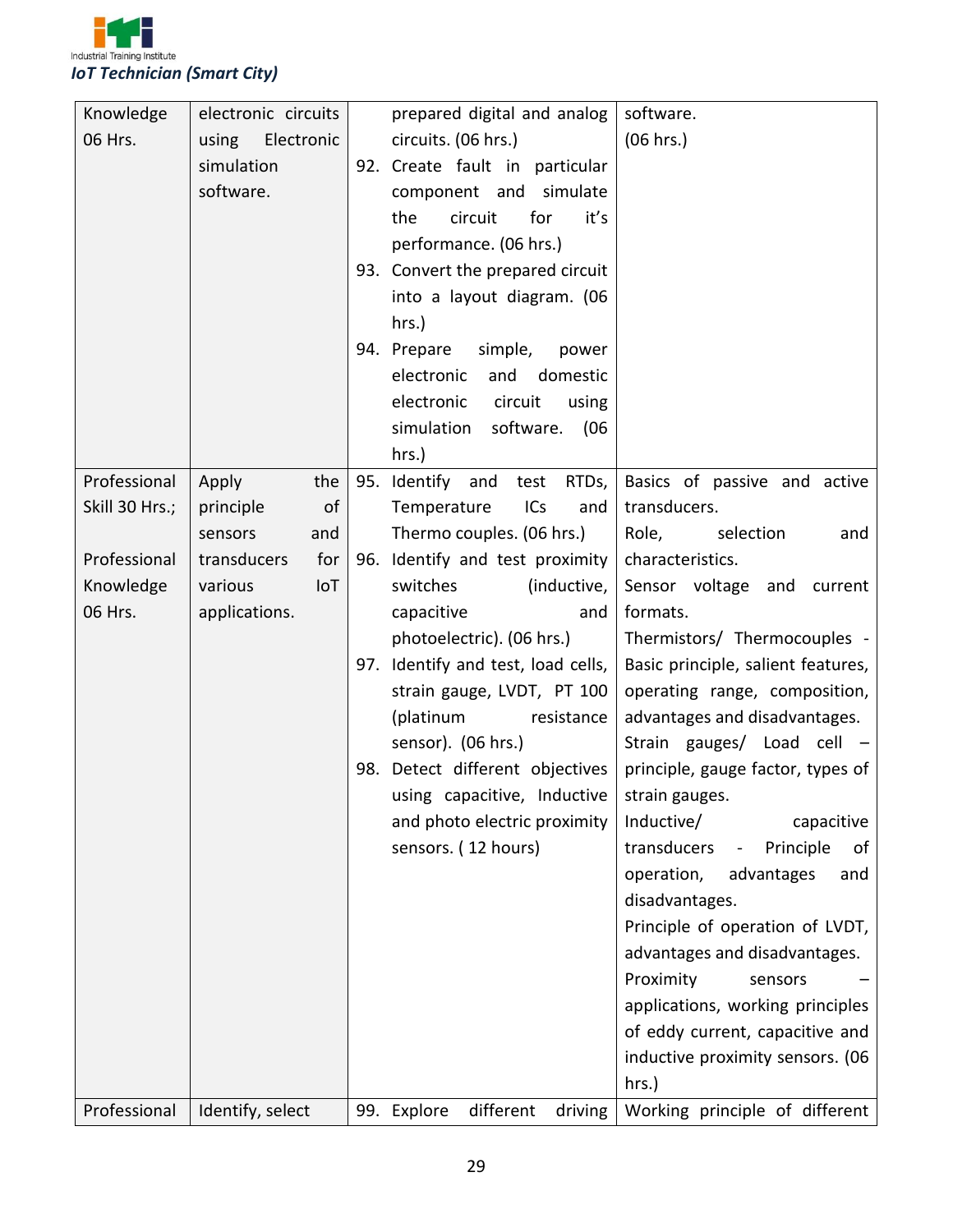

| Knowledge      | electronic circuits | prepared digital and analog                        | software.                          |
|----------------|---------------------|----------------------------------------------------|------------------------------------|
| 06 Hrs.        | Electronic<br>using | circuits. (06 hrs.)                                | (06 hrs.)                          |
|                | simulation          | 92. Create fault in particular                     |                                    |
|                | software.           | component and simulate                             |                                    |
|                |                     | it's<br>the<br>circuit<br>for                      |                                    |
|                |                     | performance. (06 hrs.)                             |                                    |
|                |                     | 93. Convert the prepared circuit                   |                                    |
|                |                     | into a layout diagram. (06                         |                                    |
|                |                     | $hrs.$ )                                           |                                    |
|                |                     | 94. Prepare<br>simple,<br>power                    |                                    |
|                |                     | electronic<br>and domestic                         |                                    |
|                |                     | electronic<br>circuit<br>using                     |                                    |
|                |                     | software.<br>simulation<br>(06)                    |                                    |
|                |                     | hrs.)                                              |                                    |
| Professional   | the<br>Apply        | 95. Identify and<br>RTDs,<br>test                  | Basics of passive and active       |
| Skill 30 Hrs.; | of<br>principle     | ICs<br>Temperature<br>and                          | transducers.                       |
|                | sensors<br>and      | Thermo couples. (06 hrs.)                          | Role,<br>selection<br>and          |
| Professional   | transducers<br>for  | 96. Identify and test proximity                    | characteristics.                   |
| Knowledge      | IoT<br>various      | switches<br>(inductive,                            | Sensor voltage and<br>current      |
| 06 Hrs.        | applications.       | capacitive<br>and                                  | formats.                           |
|                |                     | photoelectric). (06 hrs.)                          | Thermistors/ Thermocouples -       |
|                |                     | 97. Identify and test, load cells,                 | Basic principle, salient features, |
|                |                     | strain gauge, LVDT, PT 100                         | operating range, composition,      |
|                |                     | (platinum<br>resistance                            | advantages and disadvantages.      |
|                |                     | sensor). (06 hrs.)                                 | Strain gauges/ Load cell -         |
|                |                     | 98. Detect different objectives                    | principle, gauge factor, types of  |
|                |                     | using capacitive, Inductive $\vert$ strain gauges. |                                    |
|                |                     | and photo electric proximity                       | Inductive/<br>capacitive           |
|                |                     | sensors. (12 hours)                                | transducers<br>Principle<br>of     |
|                |                     |                                                    | operation,<br>advantages<br>and    |
|                |                     |                                                    | disadvantages.                     |
|                |                     |                                                    | Principle of operation of LVDT,    |
|                |                     |                                                    | advantages and disadvantages.      |
|                |                     |                                                    | Proximity<br>sensors               |
|                |                     |                                                    | applications, working principles   |
|                |                     |                                                    | of eddy current, capacitive and    |
|                |                     |                                                    | inductive proximity sensors. (06   |
|                |                     |                                                    | hrs.)                              |
| Professional   | Identify, select    | different<br>driving<br>99. Explore                | Working principle of different     |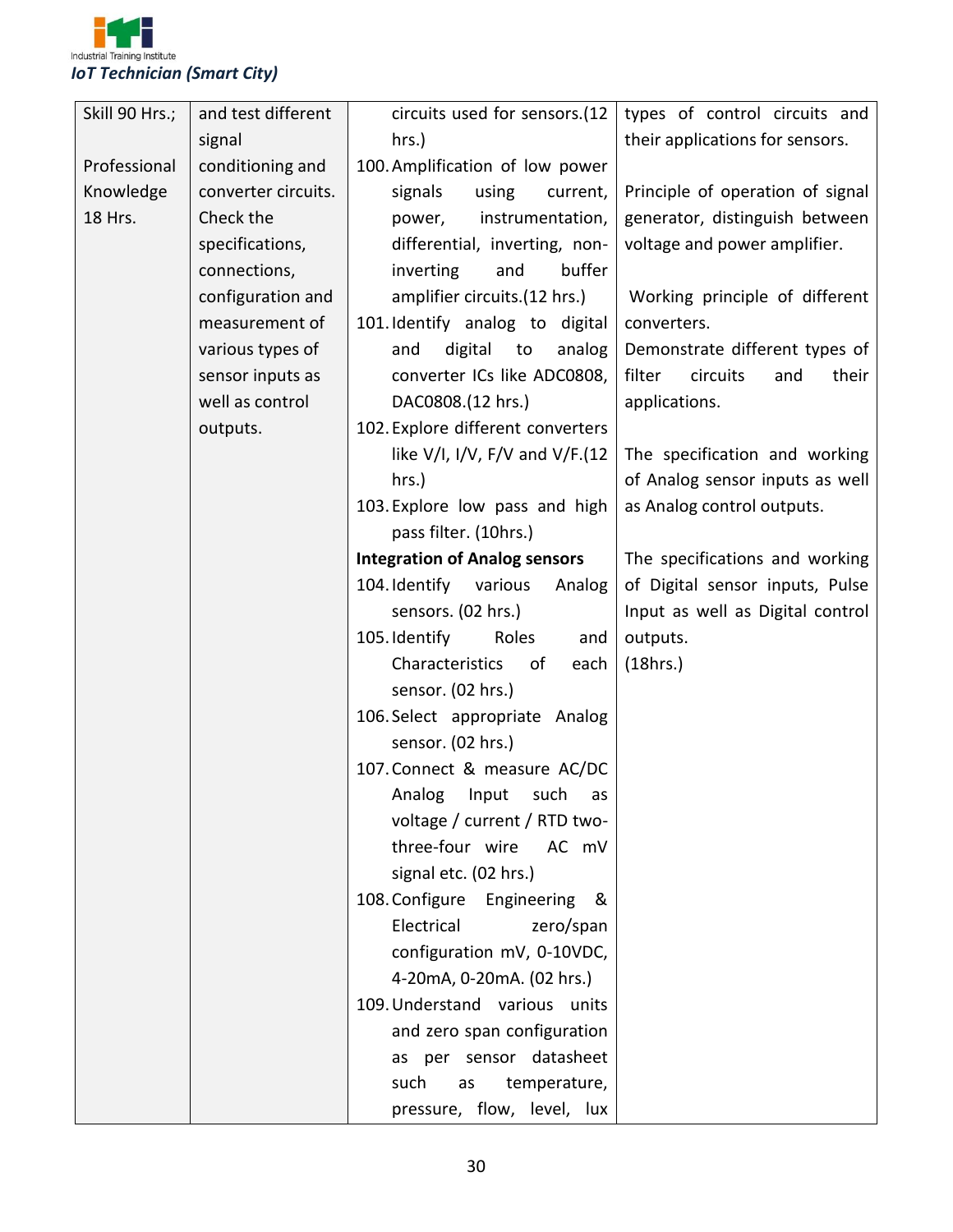

| Skill 90 Hrs.; | and test different  | circuits used for sensors.(12             | types of control circuits and      |
|----------------|---------------------|-------------------------------------------|------------------------------------|
|                | signal              | hrs.)                                     | their applications for sensors.    |
| Professional   | conditioning and    | 100. Amplification of low power           |                                    |
| Knowledge      | converter circuits. | signals<br>using<br>current,              | Principle of operation of signal   |
| 18 Hrs.        | Check the           | instrumentation,<br>power,                | generator, distinguish between     |
|                | specifications,     | differential, inverting, non-             | voltage and power amplifier.       |
|                | connections,        | buffer<br>inverting<br>and                |                                    |
|                | configuration and   | amplifier circuits.(12 hrs.)              | Working principle of different     |
|                | measurement of      | 101. Identify analog to digital           | converters.                        |
|                | various types of    | digital<br>and<br>analog<br>to            | Demonstrate different types of     |
|                | sensor inputs as    | converter ICs like ADC0808,               | filter<br>circuits<br>and<br>their |
|                | well as control     | DAC0808.(12 hrs.)                         | applications.                      |
|                | outputs.            | 102. Explore different converters         |                                    |
|                |                     | like $V/I$ , $I/V$ , $F/V$ and $V/F.(12)$ | The specification and working      |
|                |                     | hrs.)                                     | of Analog sensor inputs as well    |
|                |                     | 103. Explore low pass and high            | as Analog control outputs.         |
|                |                     | pass filter. (10hrs.)                     |                                    |
|                |                     | <b>Integration of Analog sensors</b>      | The specifications and working     |
|                |                     | 104. Identify<br>various<br>Analog        | of Digital sensor inputs, Pulse    |
|                |                     | sensors. (02 hrs.)                        | Input as well as Digital control   |
|                |                     | 105. Identify<br>Roles<br>and             | outputs.                           |
|                |                     | Characteristics<br>of<br>each             | (18hrs.)                           |
|                |                     | sensor. (02 hrs.)                         |                                    |
|                |                     | 106. Select appropriate Analog            |                                    |
|                |                     | sensor. (02 hrs.)                         |                                    |
|                |                     | 107. Connect & measure AC/DC              |                                    |
|                |                     | Analog Input such as                      |                                    |
|                |                     | voltage / current / RTD two-              |                                    |
|                |                     | three-four wire<br>AC mV                  |                                    |
|                |                     | signal etc. (02 hrs.)                     |                                    |
|                |                     | 108. Configure Engineering<br>&           |                                    |
|                |                     | Electrical<br>zero/span                   |                                    |
|                |                     | configuration mV, 0-10VDC,                |                                    |
|                |                     | 4-20mA, 0-20mA. (02 hrs.)                 |                                    |
|                |                     | 109. Understand various units             |                                    |
|                |                     | and zero span configuration               |                                    |
|                |                     | as per sensor datasheet                   |                                    |
|                |                     | such<br>temperature,<br>as                |                                    |
|                |                     | pressure, flow, level, lux                |                                    |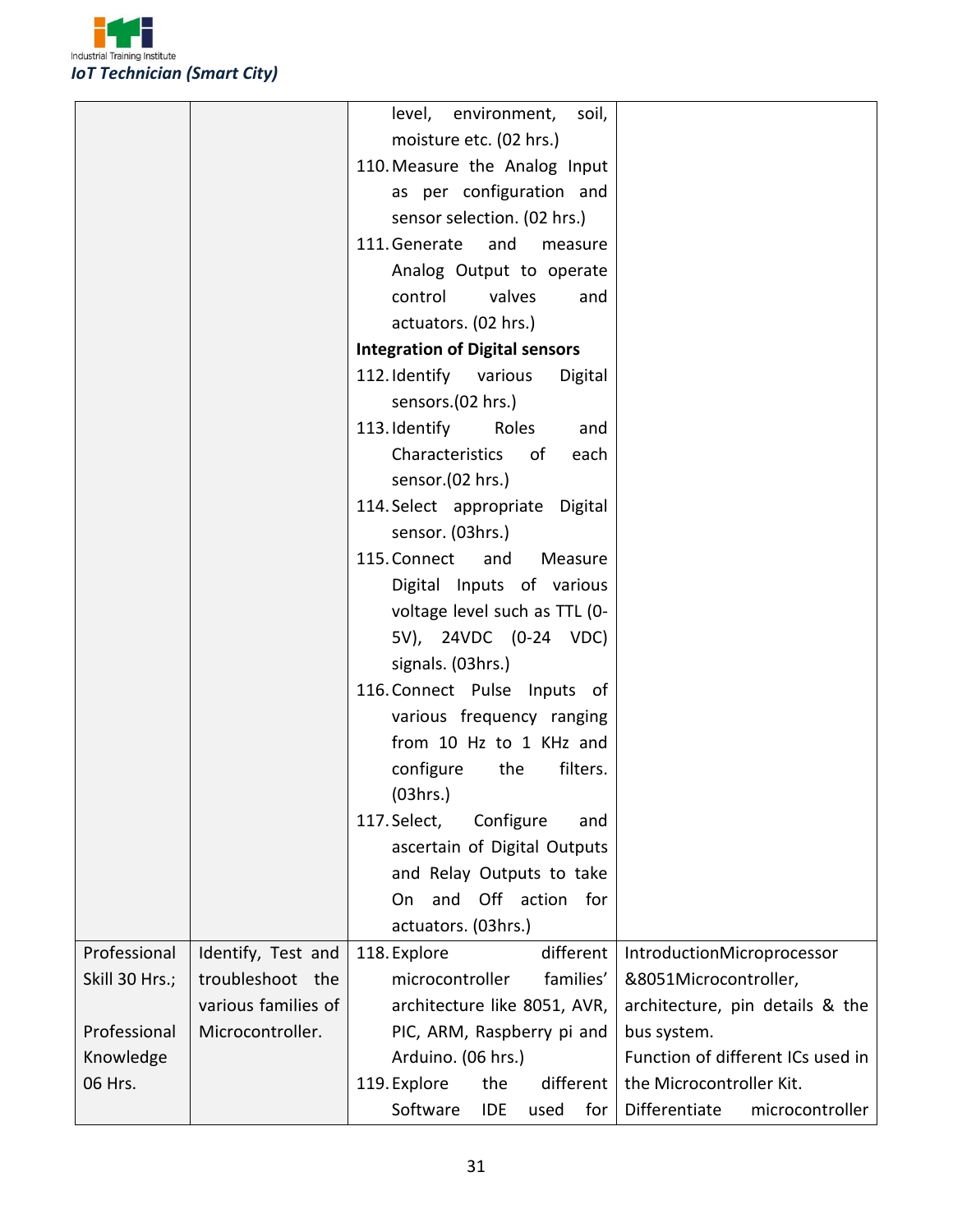

|                |                     | level, environment,<br>soil,          |                                   |
|----------------|---------------------|---------------------------------------|-----------------------------------|
|                |                     | moisture etc. (02 hrs.)               |                                   |
|                |                     | 110. Measure the Analog Input         |                                   |
|                |                     | as per configuration and              |                                   |
|                |                     | sensor selection. (02 hrs.)           |                                   |
|                |                     | 111. Generate<br>and<br>measure       |                                   |
|                |                     | Analog Output to operate              |                                   |
|                |                     | control<br>valves<br>and              |                                   |
|                |                     | actuators. (02 hrs.)                  |                                   |
|                |                     | <b>Integration of Digital sensors</b> |                                   |
|                |                     | 112. Identify various<br>Digital      |                                   |
|                |                     | sensors.(02 hrs.)                     |                                   |
|                |                     | 113. Identify<br>Roles<br>and         |                                   |
|                |                     | Characteristics<br>of<br>each         |                                   |
|                |                     | sensor.(02 hrs.)                      |                                   |
|                |                     | 114. Select appropriate Digital       |                                   |
|                |                     | sensor. (03hrs.)                      |                                   |
|                |                     | 115. Connect<br>Measure<br>and        |                                   |
|                |                     | Digital Inputs of various             |                                   |
|                |                     | voltage level such as TTL (0-         |                                   |
|                |                     | 5V), 24VDC (0-24 VDC)                 |                                   |
|                |                     | signals. (03hrs.)                     |                                   |
|                |                     | 116. Connect Pulse Inputs of          |                                   |
|                |                     | various frequency ranging             |                                   |
|                |                     | from 10 Hz to 1 KHz and               |                                   |
|                |                     | configure<br>filters.<br>the          |                                   |
|                |                     | (03hrs.)                              |                                   |
|                |                     | Configure<br>117. Select,<br>and      |                                   |
|                |                     | ascertain of Digital Outputs          |                                   |
|                |                     | and Relay Outputs to take             |                                   |
|                |                     | Off action for<br>and<br>On           |                                   |
|                |                     | actuators. (03hrs.)                   |                                   |
| Professional   | Identify, Test and  | 118. Explore<br>different             | IntroductionMicroprocessor        |
| Skill 30 Hrs.; | troubleshoot the    | families'<br>microcontroller          | &8051Microcontroller,             |
|                | various families of | architecture like 8051, AVR,          | architecture, pin details & the   |
| Professional   | Microcontroller.    | PIC, ARM, Raspberry pi and            | bus system.                       |
| Knowledge      |                     | Arduino. (06 hrs.)                    | Function of different ICs used in |
| 06 Hrs.        |                     | 119. Explore<br>different<br>the      | the Microcontroller Kit.          |
|                |                     | Software<br>for<br>IDE<br>used        | Differentiate<br>microcontroller  |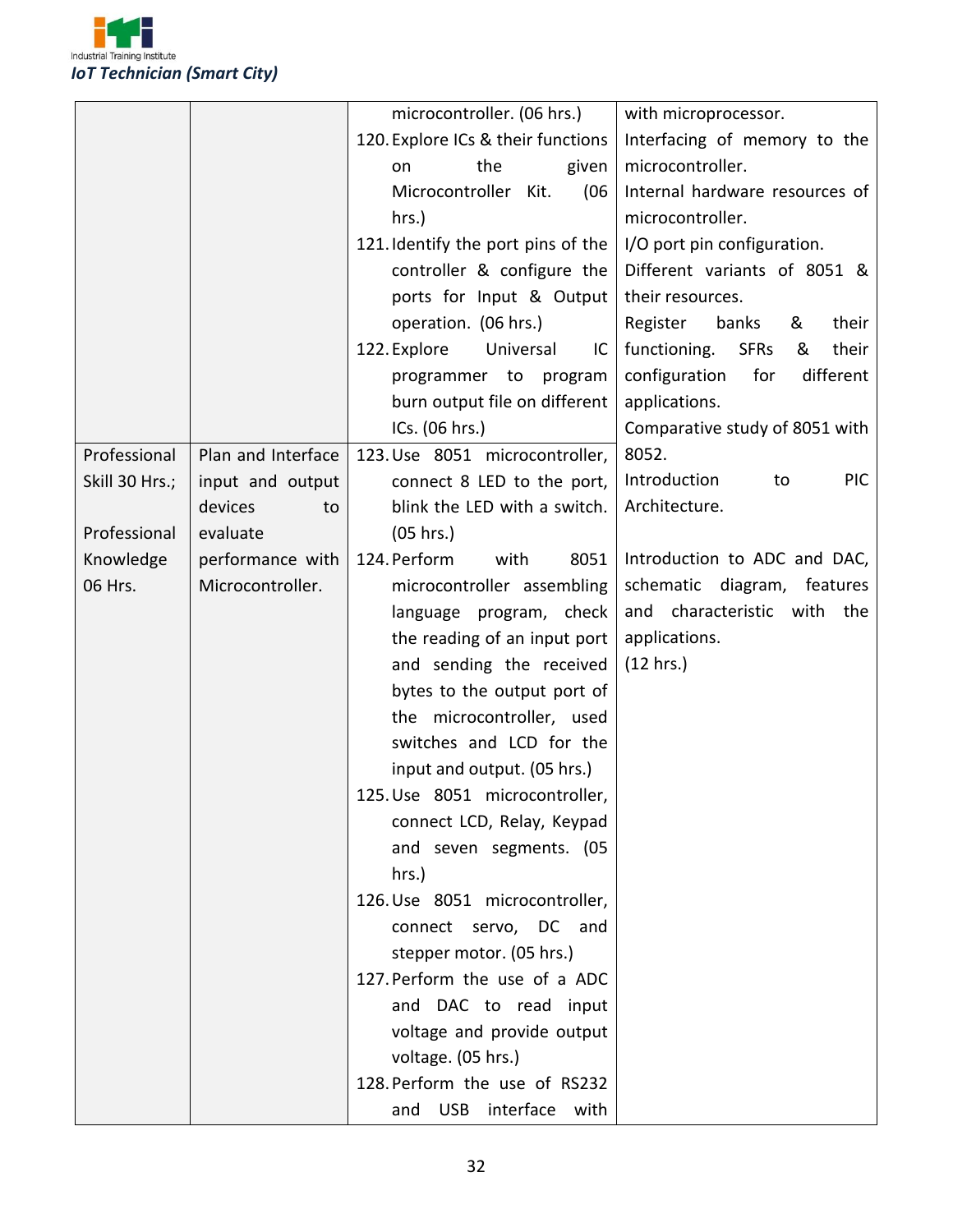

|                |                    | microcontroller. (06 hrs.)         | with microprocessor.                      |
|----------------|--------------------|------------------------------------|-------------------------------------------|
|                |                    | 120. Explore ICs & their functions | Interfacing of memory to the              |
|                |                    | the<br>given<br>on                 | microcontroller.                          |
|                |                    | Microcontroller Kit.<br>(06)       | Internal hardware resources of            |
|                |                    | $hrs.$ )                           | microcontroller.                          |
|                |                    |                                    |                                           |
|                |                    | 121. Identify the port pins of the | I/O port pin configuration.               |
|                |                    | controller & configure the         | Different variants of 8051 &              |
|                |                    | ports for Input & Output           | their resources.                          |
|                |                    | operation. (06 hrs.)               | Register<br>their<br>banks<br>&           |
|                |                    | 122. Explore<br>Universal<br>IC    | functioning.<br><b>SFRs</b><br>their<br>& |
|                |                    | programmer to<br>program           | for<br>configuration<br>different         |
|                |                    | burn output file on different      | applications.                             |
|                |                    | ICs. (06 hrs.)                     | Comparative study of 8051 with            |
| Professional   | Plan and Interface | 123. Use 8051 microcontroller,     | 8052.                                     |
| Skill 30 Hrs.; | input and output   | connect 8 LED to the port,         | Introduction<br><b>PIC</b><br>to          |
|                | devices<br>to      | blink the LED with a switch.       | Architecture.                             |
| Professional   | evaluate           | (05 hrs.)                          |                                           |
| Knowledge      | performance with   | 124. Perform<br>with<br>8051       | Introduction to ADC and DAC,              |
| 06 Hrs.        | Microcontroller.   | microcontroller assembling         | schematic<br>diagram,<br>features         |
|                |                    | language program, check            | and characteristic with the               |
|                |                    | the reading of an input port       | applications.                             |
|                |                    | and sending the received           | (12 hrs.)                                 |
|                |                    | bytes to the output port of        |                                           |
|                |                    | the microcontroller, used          |                                           |
|                |                    | switches and LCD for the           |                                           |
|                |                    | input and output. (05 hrs.)        |                                           |
|                |                    | 125. Use 8051 microcontroller,     |                                           |
|                |                    | connect LCD, Relay, Keypad         |                                           |
|                |                    | and seven segments. (05            |                                           |
|                |                    | hrs.)                              |                                           |
|                |                    | 126. Use 8051 microcontroller,     |                                           |
|                |                    | connect servo, DC and              |                                           |
|                |                    | stepper motor. (05 hrs.)           |                                           |
|                |                    | 127. Perform the use of a ADC      |                                           |
|                |                    | and DAC to read input              |                                           |
|                |                    | voltage and provide output         |                                           |
|                |                    | voltage. (05 hrs.)                 |                                           |
|                |                    | 128. Perform the use of RS232      |                                           |
|                |                    |                                    |                                           |
|                |                    | and USB interface with             |                                           |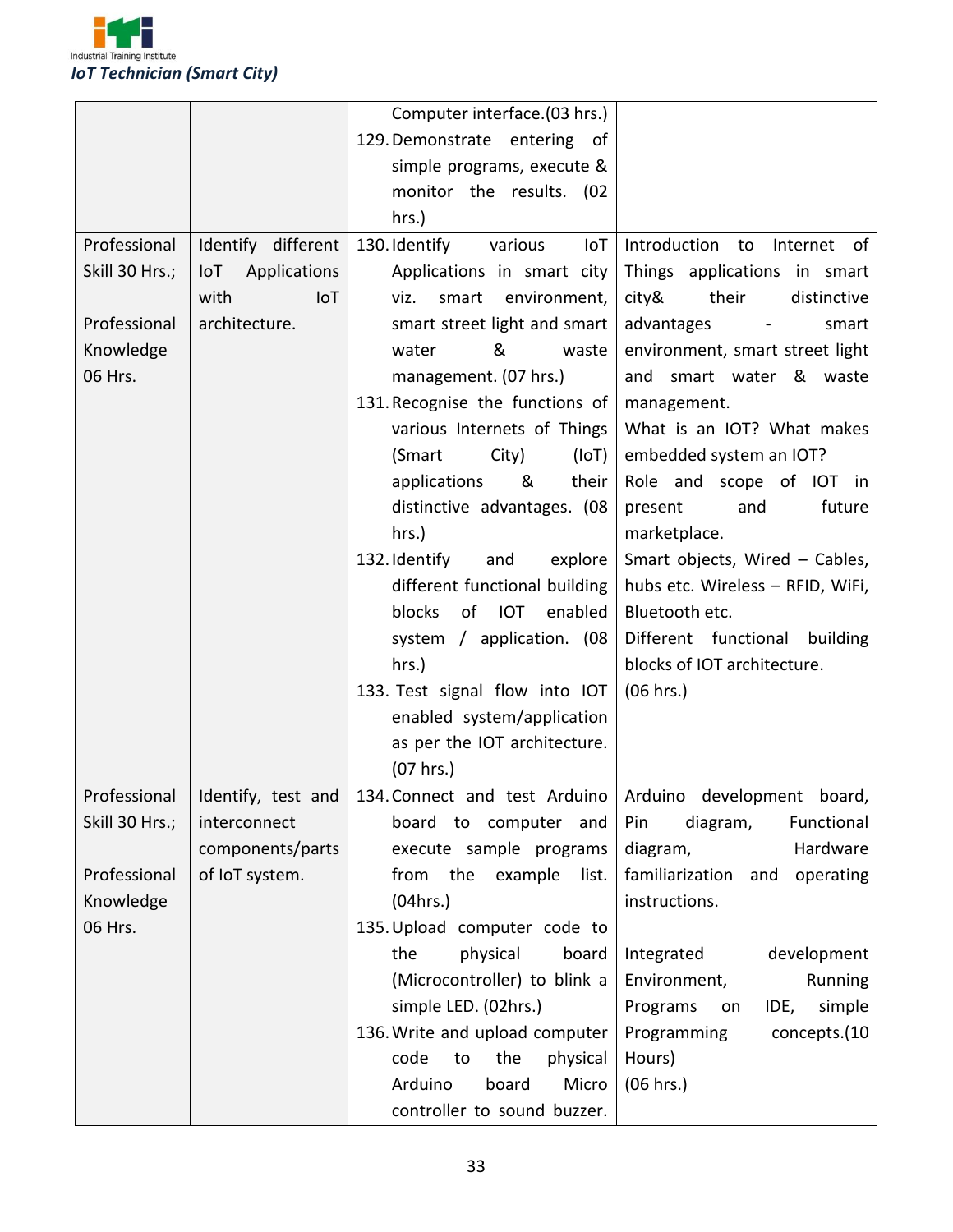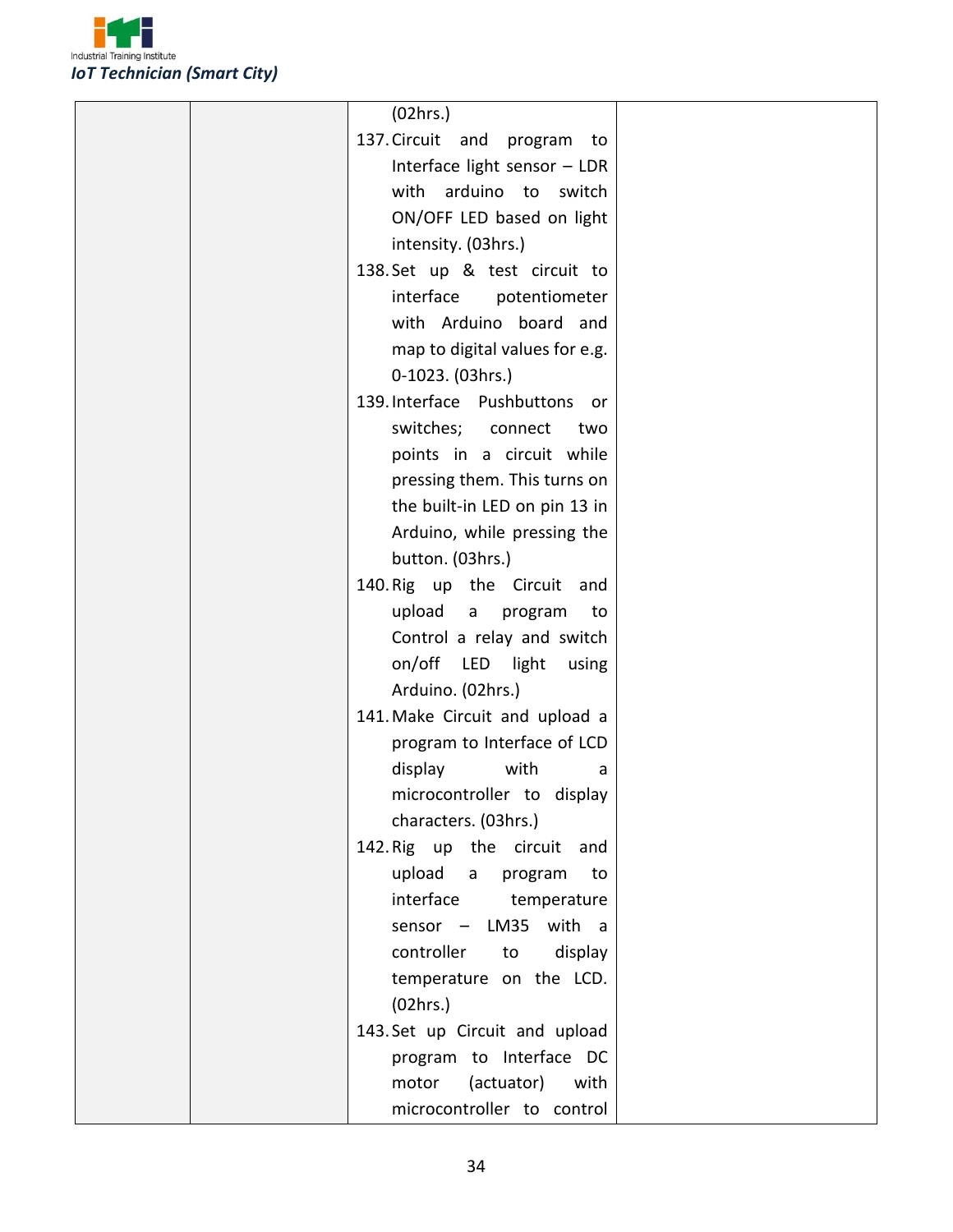

| (02hrs.)                                |  |
|-----------------------------------------|--|
| 137. Circuit and program<br>to          |  |
| Interface light sensor - LDR            |  |
| with arduino to switch                  |  |
| ON/OFF LED based on light               |  |
| intensity. (03hrs.)                     |  |
| 138. Set up & test circuit to           |  |
| interface<br>potentiometer              |  |
| with Arduino board and                  |  |
| map to digital values for e.g.          |  |
| 0-1023. (03hrs.)                        |  |
| 139. Interface Pushbuttons or           |  |
| switches; connect<br>two                |  |
| points in a circuit while               |  |
| pressing them. This turns on            |  |
| the built-in LED on pin 13 in           |  |
| Arduino, while pressing the             |  |
| button. (03hrs.)                        |  |
| 140. Rig up the Circuit<br>and          |  |
| upload<br>program<br>$\mathsf{a}$<br>to |  |
| Control a relay and switch              |  |
| on/off LED light<br>using               |  |
| Arduino. (02hrs.)                       |  |
| 141. Make Circuit and upload a          |  |
| program to Interface of LCD             |  |
| display<br>with<br>a                    |  |
| microcontroller to display              |  |
| characters. (03hrs.)                    |  |
| 142. Rig up the circuit and             |  |
| upload a program<br>to                  |  |
| interface<br>temperature                |  |
| sensor - LM35 with a                    |  |
| controller<br>display<br>to             |  |
| temperature on the LCD.                 |  |
| (02hrs.)                                |  |
| 143. Set up Circuit and upload          |  |
| program to Interface DC                 |  |
| (actuator) with<br>motor                |  |
| microcontroller to control              |  |
|                                         |  |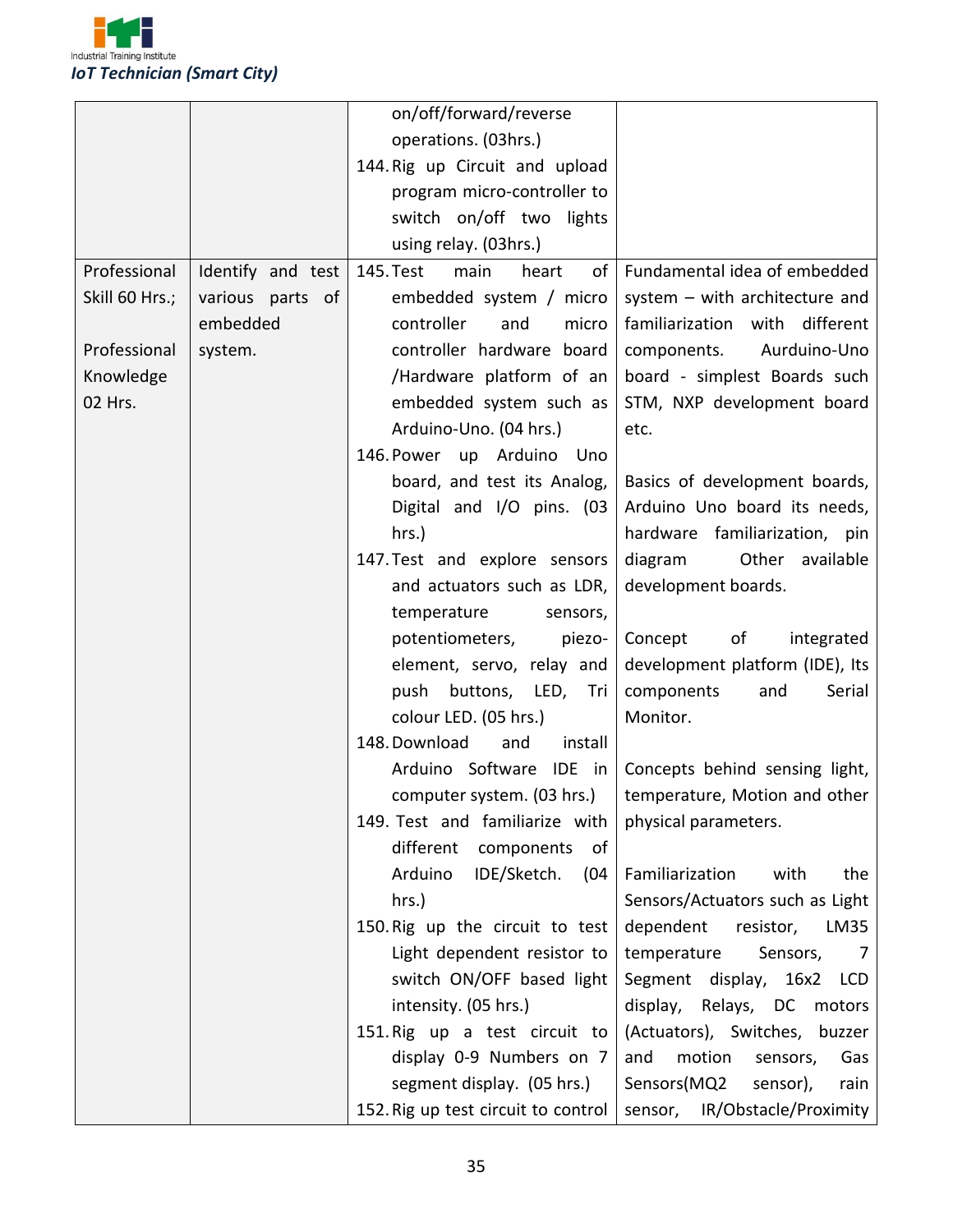

|                |                   | on/off/forward/reverse              |                                                                      |
|----------------|-------------------|-------------------------------------|----------------------------------------------------------------------|
|                |                   | operations. (03hrs.)                |                                                                      |
|                |                   | 144. Rig up Circuit and upload      |                                                                      |
|                |                   | program micro-controller to         |                                                                      |
|                |                   | switch on/off two lights            |                                                                      |
|                |                   | using relay. (03hrs.)               |                                                                      |
| Professional   | Identify and test | main<br>of<br>145. Test<br>heart    | Fundamental idea of embedded                                         |
| Skill 60 Hrs.; | various parts of  | embedded system / micro             | system - with architecture and                                       |
|                | embedded          | controller<br>and<br>micro          | familiarization with different                                       |
| Professional   | system.           | controller hardware board           | Aurduino-Uno<br>components.                                          |
| Knowledge      |                   | /Hardware platform of an            | board - simplest Boards such                                         |
| 02 Hrs.        |                   | embedded system such as             | STM, NXP development board                                           |
|                |                   | Arduino-Uno. (04 hrs.)              | etc.                                                                 |
|                |                   | 146. Power up Arduino<br>Uno        |                                                                      |
|                |                   | board, and test its Analog,         | Basics of development boards,                                        |
|                |                   | Digital and I/O pins. (03           | Arduino Uno board its needs,                                         |
|                |                   | hrs.)                               | hardware familiarization, pin                                        |
|                |                   | 147. Test and explore sensors       | diagram<br>Other available                                           |
|                |                   | and actuators such as LDR,          | development boards.                                                  |
|                |                   | temperature<br>sensors,             |                                                                      |
|                |                   | potentiometers,<br>piezo-           | of<br>Concept<br>integrated                                          |
|                |                   | element, servo, relay and           | development platform (IDE), Its                                      |
|                |                   | push buttons, LED,<br>Tri           | components<br>Serial<br>and                                          |
|                |                   | colour LED. (05 hrs.)               | Monitor.                                                             |
|                |                   | 148. Download<br>install<br>and     |                                                                      |
|                |                   | Arduino Software IDE in             | Concepts behind sensing light,                                       |
|                |                   |                                     | computer system. $(03 \text{ hrs.})$   temperature, Motion and other |
|                |                   | 149. Test and familiarize with      | physical parameters.                                                 |
|                |                   | different<br>components<br>of       |                                                                      |
|                |                   | Arduino<br>IDE/Sketch.<br>(04)      | Familiarization<br>with<br>the                                       |
|                |                   | hrs.)                               | Sensors/Actuators such as Light                                      |
|                |                   | 150. Rig up the circuit to test     | dependent<br>resistor,<br>LM35                                       |
|                |                   | Light dependent resistor to         | temperature<br>Sensors,<br>7                                         |
|                |                   | switch ON/OFF based light           | Segment display, 16x2<br>LCD                                         |
|                |                   | intensity. (05 hrs.)                | display, Relays, DC<br>motors                                        |
|                |                   | 151. Rig up a test circuit to       | (Actuators), Switches, buzzer                                        |
|                |                   | display 0-9 Numbers on 7            | motion<br>and<br>Gas<br>sensors,                                     |
|                |                   | segment display. (05 hrs.)          | Sensors(MQ2<br>sensor),<br>rain                                      |
|                |                   | 152. Rig up test circuit to control | sensor, IR/Obstacle/Proximity                                        |
|                |                   |                                     |                                                                      |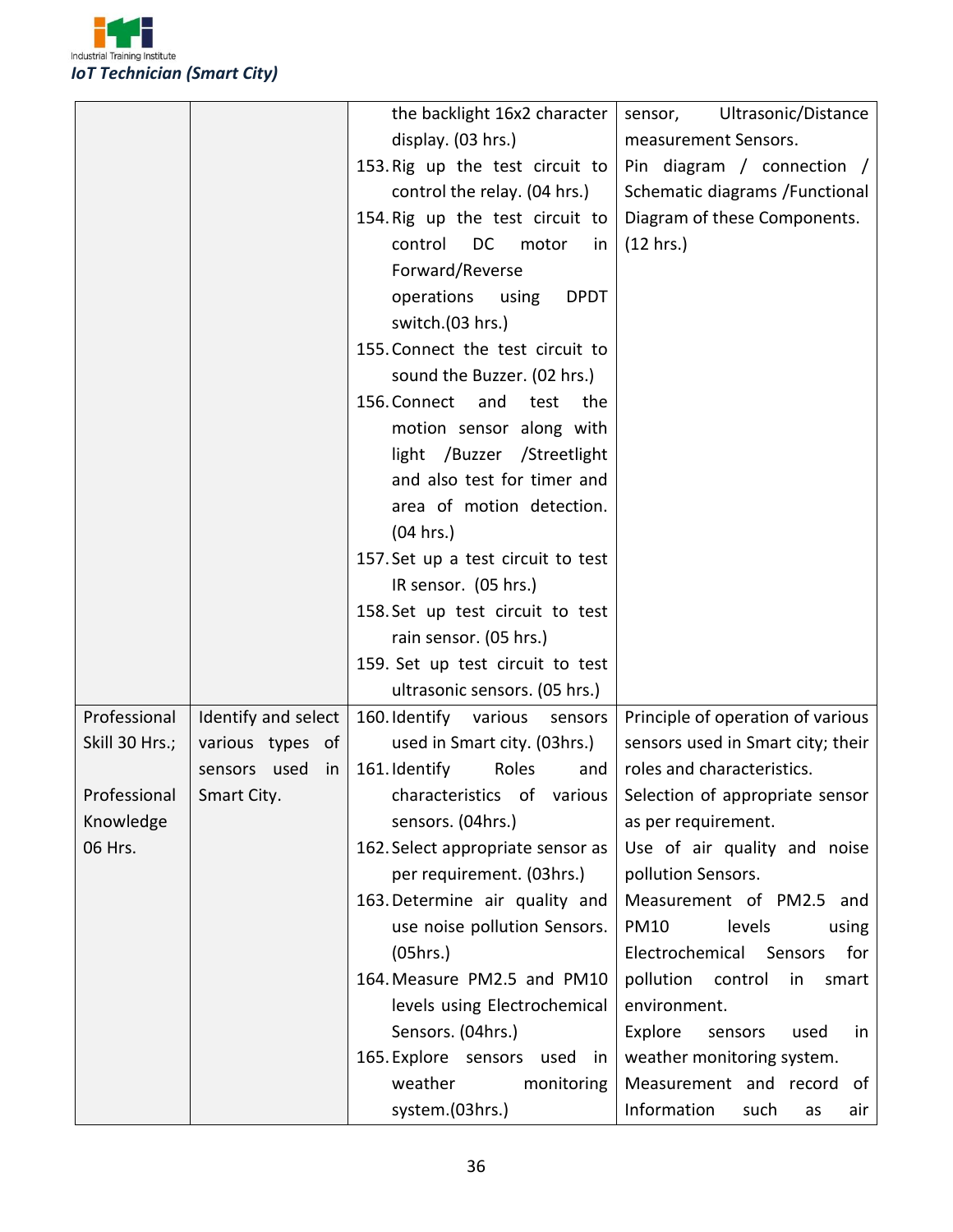

|                |                     | the backlight 16x2 character       | Ultrasonic/Distance<br>sensor,    |
|----------------|---------------------|------------------------------------|-----------------------------------|
|                |                     | display. (03 hrs.)                 | measurement Sensors.              |
|                |                     | 153. Rig up the test circuit to    | Pin diagram / connection /        |
|                |                     | control the relay. (04 hrs.)       | Schematic diagrams / Functional   |
|                |                     | 154. Rig up the test circuit to    | Diagram of these Components.      |
|                |                     | DC<br>control<br>motor<br>in       | (12 hrs.)                         |
|                |                     | Forward/Reverse                    |                                   |
|                |                     | operations using<br><b>DPDT</b>    |                                   |
|                |                     | switch.(03 hrs.)                   |                                   |
|                |                     | 155. Connect the test circuit to   |                                   |
|                |                     | sound the Buzzer. (02 hrs.)        |                                   |
|                |                     | 156. Connect and test<br>the       |                                   |
|                |                     | motion sensor along with           |                                   |
|                |                     | light /Buzzer /Streetlight         |                                   |
|                |                     | and also test for timer and        |                                   |
|                |                     | area of motion detection.          |                                   |
|                |                     | (04 hrs.)                          |                                   |
|                |                     | 157. Set up a test circuit to test |                                   |
|                |                     | IR sensor. (05 hrs.)               |                                   |
|                |                     | 158. Set up test circuit to test   |                                   |
|                |                     | rain sensor. (05 hrs.)             |                                   |
|                |                     | 159. Set up test circuit to test   |                                   |
|                |                     | ultrasonic sensors. (05 hrs.)      |                                   |
| Professional   | Identify and select | 160. Identify various sensors      | Principle of operation of various |
| Skill 30 Hrs.; | various types of    | used in Smart city. (03hrs.)       | sensors used in Smart city; their |
|                | sensors used<br>in  | Roles<br>161. Identify<br>and      | roles and characteristics.        |
| Professional   | Smart City.         | characteristics of various         | Selection of appropriate sensor   |
| Knowledge      |                     | sensors. (04hrs.)                  | as per requirement.               |
| 06 Hrs.        |                     | 162. Select appropriate sensor as  | Use of air quality and noise      |
|                |                     | per requirement. (03hrs.)          | pollution Sensors.                |
|                |                     | 163. Determine air quality and     | Measurement of PM2.5 and          |
|                |                     | use noise pollution Sensors.       | <b>PM10</b><br>levels<br>using    |
|                |                     | (05hrs.)                           | Electrochemical Sensors<br>for    |
|                |                     | 164. Measure PM2.5 and PM10        | pollution control<br>in<br>smart  |
|                |                     | levels using Electrochemical       | environment.                      |
|                |                     | Sensors. (04hrs.)                  | Explore<br>sensors<br>used<br>in. |
|                |                     | 165. Explore sensors used in       | weather monitoring system.        |
|                |                     | weather<br>monitoring              | Measurement and record of         |
|                |                     | system.(03hrs.)                    | Information<br>such<br>air<br>as  |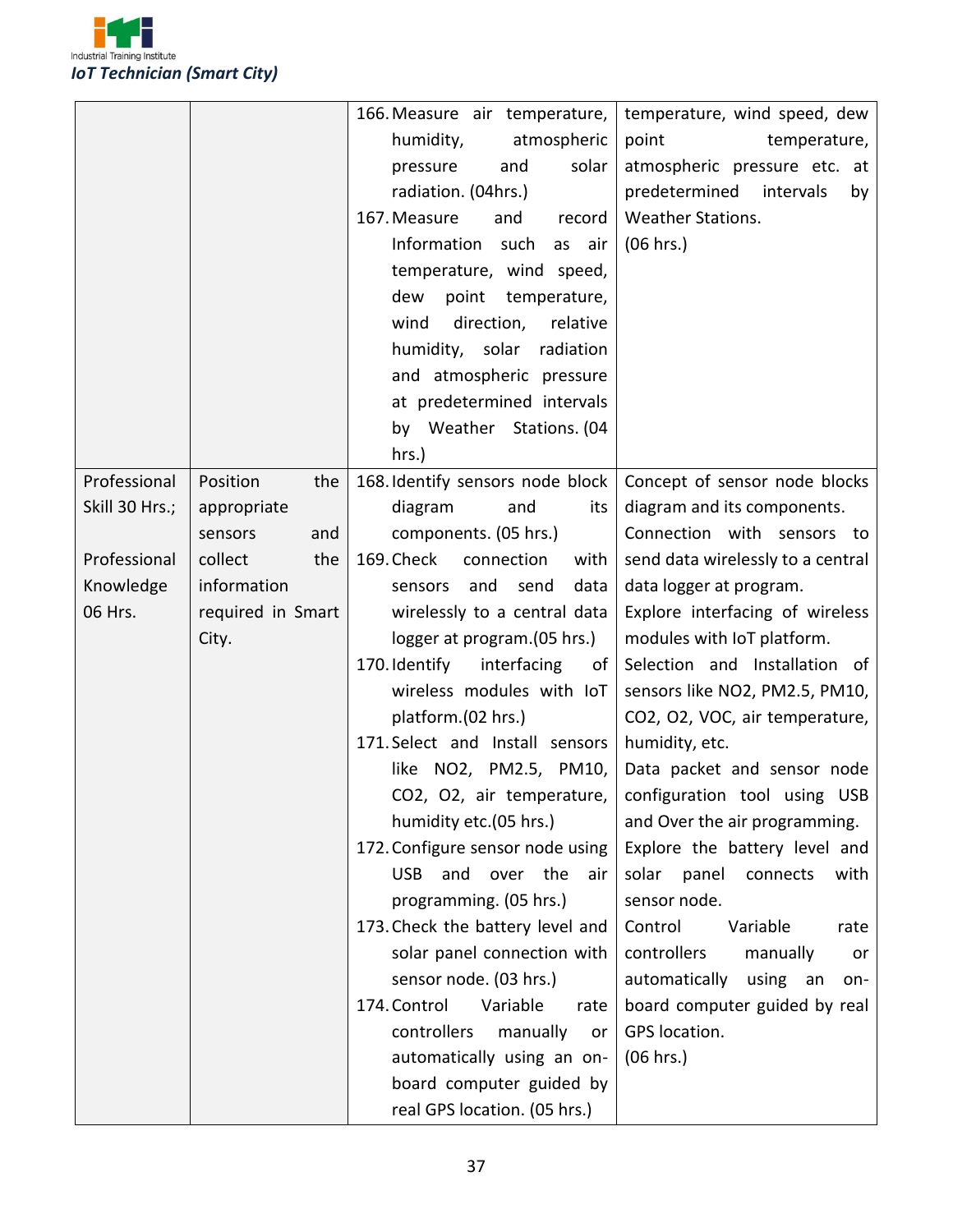

|                |                   | 166. Measure air temperature,                                                                                                                                                                                       | temperature, wind speed, dew                                                                                                                                                                          |
|----------------|-------------------|---------------------------------------------------------------------------------------------------------------------------------------------------------------------------------------------------------------------|-------------------------------------------------------------------------------------------------------------------------------------------------------------------------------------------------------|
|                |                   | atmospheric<br>humidity,                                                                                                                                                                                            | point<br>temperature,                                                                                                                                                                                 |
|                |                   | solar<br>and<br>pressure                                                                                                                                                                                            | atmospheric pressure etc. at                                                                                                                                                                          |
|                |                   | radiation. (04hrs.)                                                                                                                                                                                                 | predetermined<br>intervals<br>by                                                                                                                                                                      |
|                |                   | 167. Measure<br>and<br>record                                                                                                                                                                                       | Weather Stations.                                                                                                                                                                                     |
|                |                   | Information<br>such<br>air<br>as                                                                                                                                                                                    | (06 hrs.)                                                                                                                                                                                             |
|                |                   | temperature, wind speed,                                                                                                                                                                                            |                                                                                                                                                                                                       |
|                |                   | point temperature,<br>dew                                                                                                                                                                                           |                                                                                                                                                                                                       |
|                |                   | direction,<br>wind<br>relative                                                                                                                                                                                      |                                                                                                                                                                                                       |
|                |                   | humidity, solar radiation                                                                                                                                                                                           |                                                                                                                                                                                                       |
|                |                   | and atmospheric pressure                                                                                                                                                                                            |                                                                                                                                                                                                       |
|                |                   | at predetermined intervals                                                                                                                                                                                          |                                                                                                                                                                                                       |
|                |                   | by Weather Stations. (04                                                                                                                                                                                            |                                                                                                                                                                                                       |
|                |                   | $hrs.$ )                                                                                                                                                                                                            |                                                                                                                                                                                                       |
| Professional   | Position<br>the   | 168. Identify sensors node block                                                                                                                                                                                    | Concept of sensor node blocks                                                                                                                                                                         |
| Skill 30 Hrs.; | appropriate       | and<br>diagram<br>its                                                                                                                                                                                               | diagram and its components.                                                                                                                                                                           |
|                | and<br>sensors    | components. (05 hrs.)                                                                                                                                                                                               | Connection with sensors to                                                                                                                                                                            |
| Professional   | collect<br>the    | 169. Check<br>connection<br>with                                                                                                                                                                                    | send data wirelessly to a central                                                                                                                                                                     |
| Knowledge      | information       | and<br>send<br>data<br>sensors                                                                                                                                                                                      | data logger at program.                                                                                                                                                                               |
| 06 Hrs.        | required in Smart | wirelessly to a central data                                                                                                                                                                                        | Explore interfacing of wireless                                                                                                                                                                       |
|                | City.             | logger at program.(05 hrs.)                                                                                                                                                                                         | modules with IoT platform.                                                                                                                                                                            |
|                |                   | 170. Identify<br>interfacing<br>of                                                                                                                                                                                  | Selection and Installation of                                                                                                                                                                         |
|                |                   | wireless modules with IoT                                                                                                                                                                                           | sensors like NO2, PM2.5, PM10,                                                                                                                                                                        |
|                |                   | platform.(02 hrs.)                                                                                                                                                                                                  | CO2, O2, VOC, air temperature,                                                                                                                                                                        |
|                |                   | 171. Select and Install sensors                                                                                                                                                                                     | humidity, etc.                                                                                                                                                                                        |
|                |                   | like NO2, PM2.5, PM10,                                                                                                                                                                                              | Data packet and sensor node                                                                                                                                                                           |
|                |                   | CO2, O2, air temperature,                                                                                                                                                                                           | configuration tool using USB                                                                                                                                                                          |
|                |                   | humidity etc.(05 hrs.)                                                                                                                                                                                              | and Over the air programming.                                                                                                                                                                         |
|                |                   | 172. Configure sensor node using                                                                                                                                                                                    | Explore the battery level and                                                                                                                                                                         |
|                |                   |                                                                                                                                                                                                                     |                                                                                                                                                                                                       |
|                |                   |                                                                                                                                                                                                                     |                                                                                                                                                                                                       |
|                |                   |                                                                                                                                                                                                                     |                                                                                                                                                                                                       |
|                |                   |                                                                                                                                                                                                                     |                                                                                                                                                                                                       |
|                |                   |                                                                                                                                                                                                                     |                                                                                                                                                                                                       |
|                |                   |                                                                                                                                                                                                                     |                                                                                                                                                                                                       |
|                |                   |                                                                                                                                                                                                                     |                                                                                                                                                                                                       |
|                |                   |                                                                                                                                                                                                                     |                                                                                                                                                                                                       |
|                |                   |                                                                                                                                                                                                                     |                                                                                                                                                                                                       |
|                |                   | automatically using an on-<br>board computer guided by                                                                                                                                                              | (06 hrs.)                                                                                                                                                                                             |
|                |                   | USB and over the<br>air<br>programming. (05 hrs.)<br>173. Check the battery level and<br>solar panel connection with<br>sensor node. (03 hrs.)<br>174. Control<br>Variable<br>rate<br>controllers<br>manually<br>or | panel<br>solar<br>connects<br>with<br>sensor node.<br>Control<br>Variable<br>rate<br>controllers<br>manually<br>or<br>automatically using an<br>on-<br>board computer guided by real<br>GPS location. |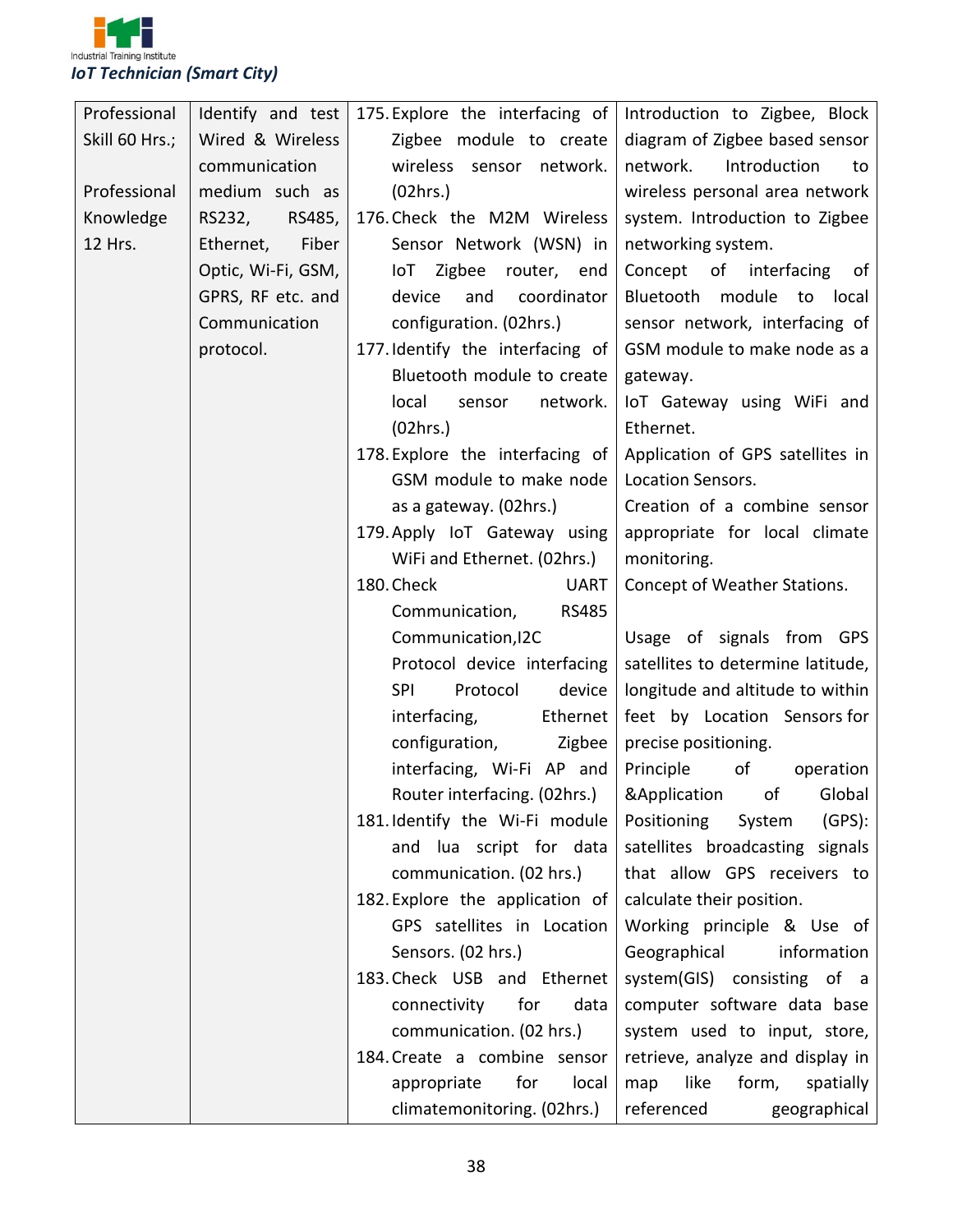

| Professional   | Identify and test  | 175. Explore the interfacing of  | Introduction to Zigbee, Block            |
|----------------|--------------------|----------------------------------|------------------------------------------|
| Skill 60 Hrs.; | Wired & Wireless   | Zigbee module to create          | diagram of Zigbee based sensor           |
|                | communication      | wireless sensor network.         | network.<br>Introduction<br>to           |
| Professional   | medium such as     | (02hrs.)                         | wireless personal area network           |
| Knowledge      | RS232,<br>RS485,   | 176. Check the M2M Wireless      | system. Introduction to Zigbee           |
| 12 Hrs.        | Fiber<br>Ethernet, | Sensor Network (WSN) in          | networking system.                       |
|                | Optic, Wi-Fi, GSM, | loT Zigbee router, end           | Concept of interfacing<br>of             |
|                | GPRS, RF etc. and  | device<br>and<br>coordinator     | Bluetooth module to<br>local             |
|                | Communication      | configuration. (02hrs.)          | sensor network, interfacing of           |
|                | protocol.          | 177. Identify the interfacing of | GSM module to make node as a             |
|                |                    | Bluetooth module to create       | gateway.                                 |
|                |                    | local<br>network.<br>sensor      | IoT Gateway using WiFi and               |
|                |                    | (02hrs.)                         | Ethernet.                                |
|                |                    | 178. Explore the interfacing of  | Application of GPS satellites in         |
|                |                    | GSM module to make node          | Location Sensors.                        |
|                |                    | as a gateway. (02hrs.)           | Creation of a combine sensor             |
|                |                    | 179. Apply IoT Gateway using     | appropriate for local climate            |
|                |                    | WiFi and Ethernet. (02hrs.)      | monitoring.                              |
|                |                    | 180. Check<br><b>UART</b>        | Concept of Weather Stations.             |
|                |                    | Communication,<br><b>RS485</b>   |                                          |
|                |                    | Communication, I2C               | Usage of signals from GPS                |
|                |                    | Protocol device interfacing      | satellites to determine latitude,        |
|                |                    | <b>SPI</b><br>Protocol<br>device | longitude and altitude to within         |
|                |                    | interfacing,<br>Ethernet         | feet by Location Sensors for             |
|                |                    | configuration,<br>Zigbee         | precise positioning.                     |
|                |                    | interfacing, Wi-Fi AP and        | Principle<br>of the control<br>operation |
|                |                    | Router interfacing. (02hrs.)     | &Application of Global                   |
|                |                    | 181. Identify the Wi-Fi module   | (GPS):<br>Positioning<br>System          |
|                |                    | and lua script for data          | satellites broadcasting signals          |
|                |                    | communication. (02 hrs.)         | that allow GPS receivers to              |
|                |                    | 182. Explore the application of  | calculate their position.                |
|                |                    | GPS satellites in Location       | Working principle & Use of               |
|                |                    | Sensors. (02 hrs.)               | Geographical<br>information              |
|                |                    | 183. Check USB and Ethernet      | system(GIS) consisting of a              |
|                |                    | for<br>data<br>connectivity      | computer software data base              |
|                |                    | communication. (02 hrs.)         | system used to input, store,             |
|                |                    | 184. Create a combine sensor     | retrieve, analyze and display in         |
|                |                    | for<br>appropriate<br>local      | like<br>form,<br>spatially<br>map        |
|                |                    | climatemonitoring. (02hrs.)      | referenced<br>geographical               |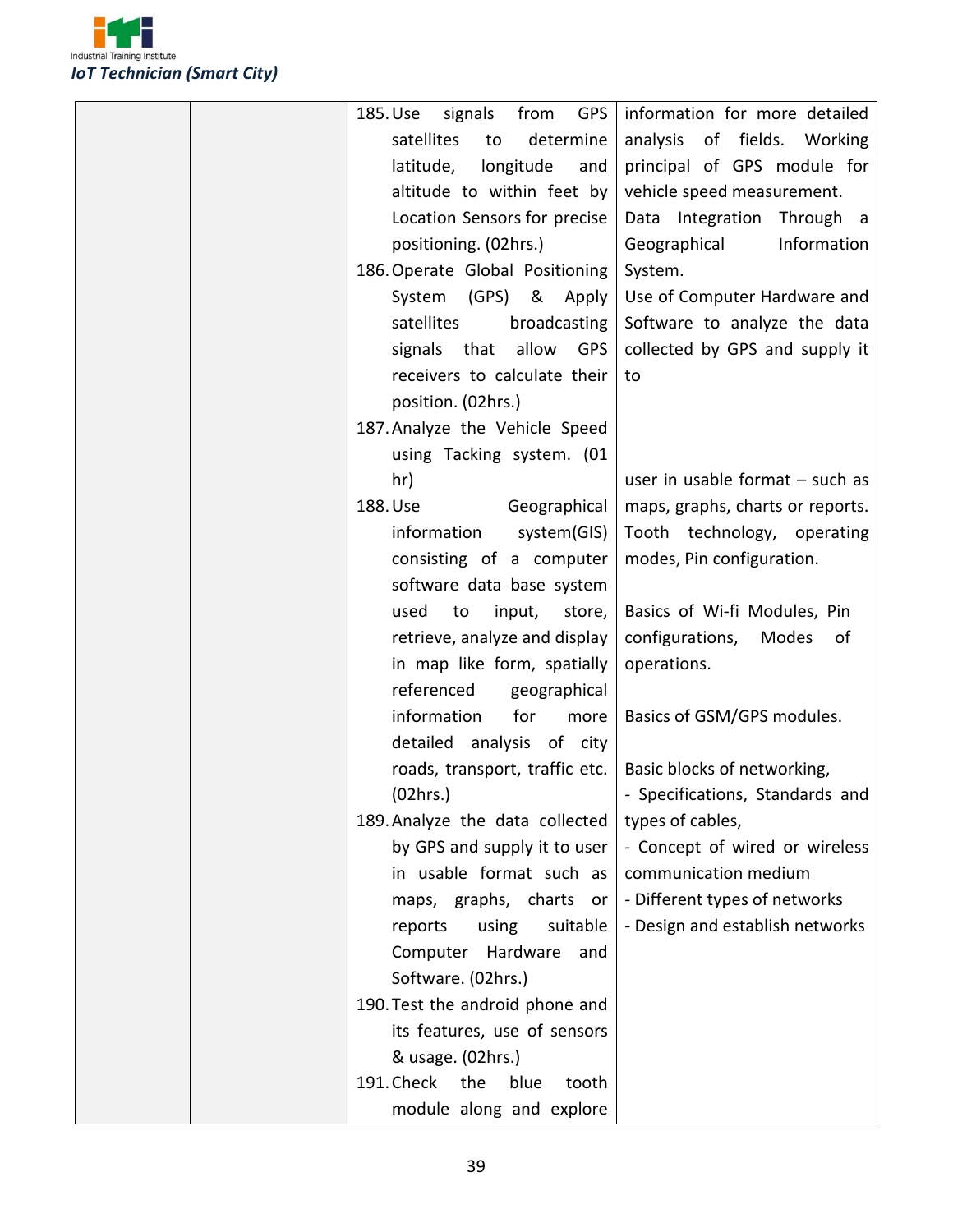

| <b>GPS</b><br>signals<br>from<br>185. Use | information for more detailed     |
|-------------------------------------------|-----------------------------------|
| satellites<br>determine<br>to             | of fields.<br>analysis<br>Working |
| latitude,<br>longitude<br>and             | principal of GPS module for       |
| altitude to within feet by                | vehicle speed measurement.        |
| Location Sensors for precise              | Data Integration Through a        |
| positioning. (02hrs.)                     | Information<br>Geographical       |
| 186. Operate Global Positioning           | System.                           |
| System (GPS)<br>& Apply                   | Use of Computer Hardware and      |
| satellites<br>broadcasting                | Software to analyze the data      |
| signals that allow<br><b>GPS</b>          | collected by GPS and supply it    |
| receivers to calculate their              | to                                |
| position. (02hrs.)                        |                                   |
| 187. Analyze the Vehicle Speed            |                                   |
| using Tacking system. (01                 |                                   |
| hr)                                       | user in usable format $-$ such as |
| Geographical<br>188. Use                  | maps, graphs, charts or reports.  |
| information<br>system(GIS)                | Tooth technology, operating       |
| consisting of a computer                  | modes, Pin configuration.         |
| software data base system                 |                                   |
| used<br>to<br>input,<br>store,            | Basics of Wi-fi Modules, Pin      |
| retrieve, analyze and display             | configurations,<br>Modes<br>οf    |
| in map like form, spatially               | operations.                       |
| referenced<br>geographical                |                                   |
| information<br>for<br>more                | Basics of GSM/GPS modules.        |
| detailed analysis of city                 |                                   |
| roads, transport, traffic etc.            | Basic blocks of networking,       |
| (02hrs.)                                  | - Specifications, Standards and   |
| 189. Analyze the data collected           | types of cables,                  |
| by GPS and supply it to user              | - Concept of wired or wireless    |
| in usable format such as                  | communication medium              |
| maps, graphs, charts or                   | - Different types of networks     |
| suitable<br>reports<br>using              | - Design and establish networks   |
| Computer<br>Hardware<br>and               |                                   |
| Software. (02hrs.)                        |                                   |
| 190. Test the android phone and           |                                   |
| its features, use of sensors              |                                   |
| & usage. (02hrs.)                         |                                   |
| 191. Check<br>the<br>blue<br>tooth        |                                   |
| module along and explore                  |                                   |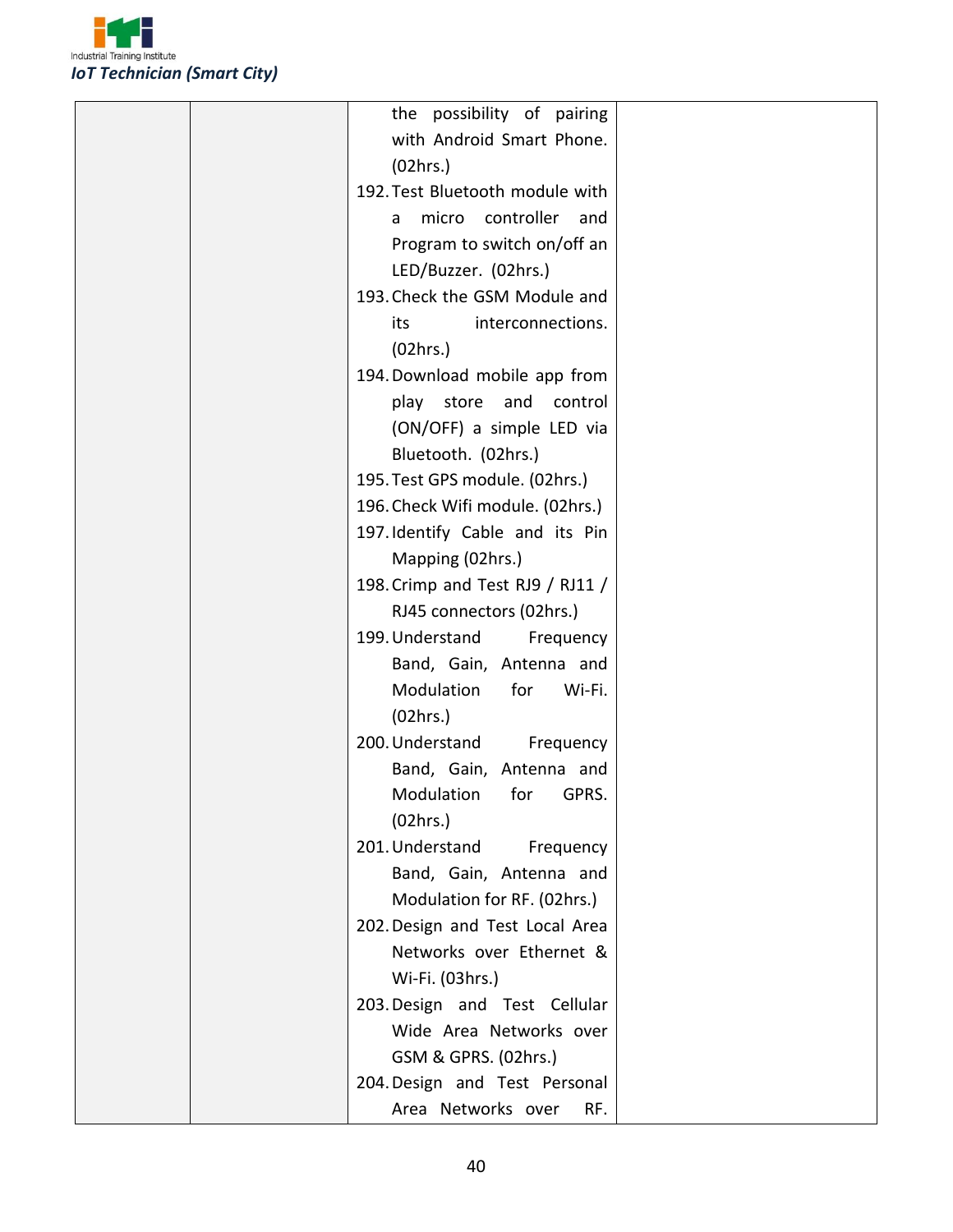

| the possibility of pairing       |  |
|----------------------------------|--|
| with Android Smart Phone.        |  |
| (02hrs.)                         |  |
| 192. Test Bluetooth module with  |  |
| micro controller<br>and<br>a     |  |
| Program to switch on/off an      |  |
| LED/Buzzer. (02hrs.)             |  |
| 193. Check the GSM Module and    |  |
| interconnections.<br>its         |  |
| (02hrs.)                         |  |
| 194. Download mobile app from    |  |
| play store and<br>control        |  |
| (ON/OFF) a simple LED via        |  |
| Bluetooth. (02hrs.)              |  |
| 195. Test GPS module. (02hrs.)   |  |
| 196. Check Wifi module. (02hrs.) |  |
| 197. Identify Cable and its Pin  |  |
| Mapping (02hrs.)                 |  |
| 198. Crimp and Test RJ9 / RJ11 / |  |
| RJ45 connectors (02hrs.)         |  |
| 199. Understand<br>Frequency     |  |
| Band, Gain, Antenna and          |  |
| Modulation<br>for<br>Wi-Fi.      |  |
| (02hrs.)                         |  |
| 200. Understand<br>Frequency     |  |
| Band, Gain, Antenna and          |  |
| Modulation<br>for<br>GPRS.       |  |
| (02hrs.)                         |  |
| 201. Understand<br>Frequency     |  |
| Band, Gain, Antenna and          |  |
| Modulation for RF. (02hrs.)      |  |
| 202. Design and Test Local Area  |  |
| Networks over Ethernet &         |  |
| Wi-Fi. (03hrs.)                  |  |
| 203. Design and Test Cellular    |  |
| Wide Area Networks over          |  |
| GSM & GPRS. (02hrs.)             |  |
| 204. Design and Test Personal    |  |
| Area Networks over<br>RF.        |  |
|                                  |  |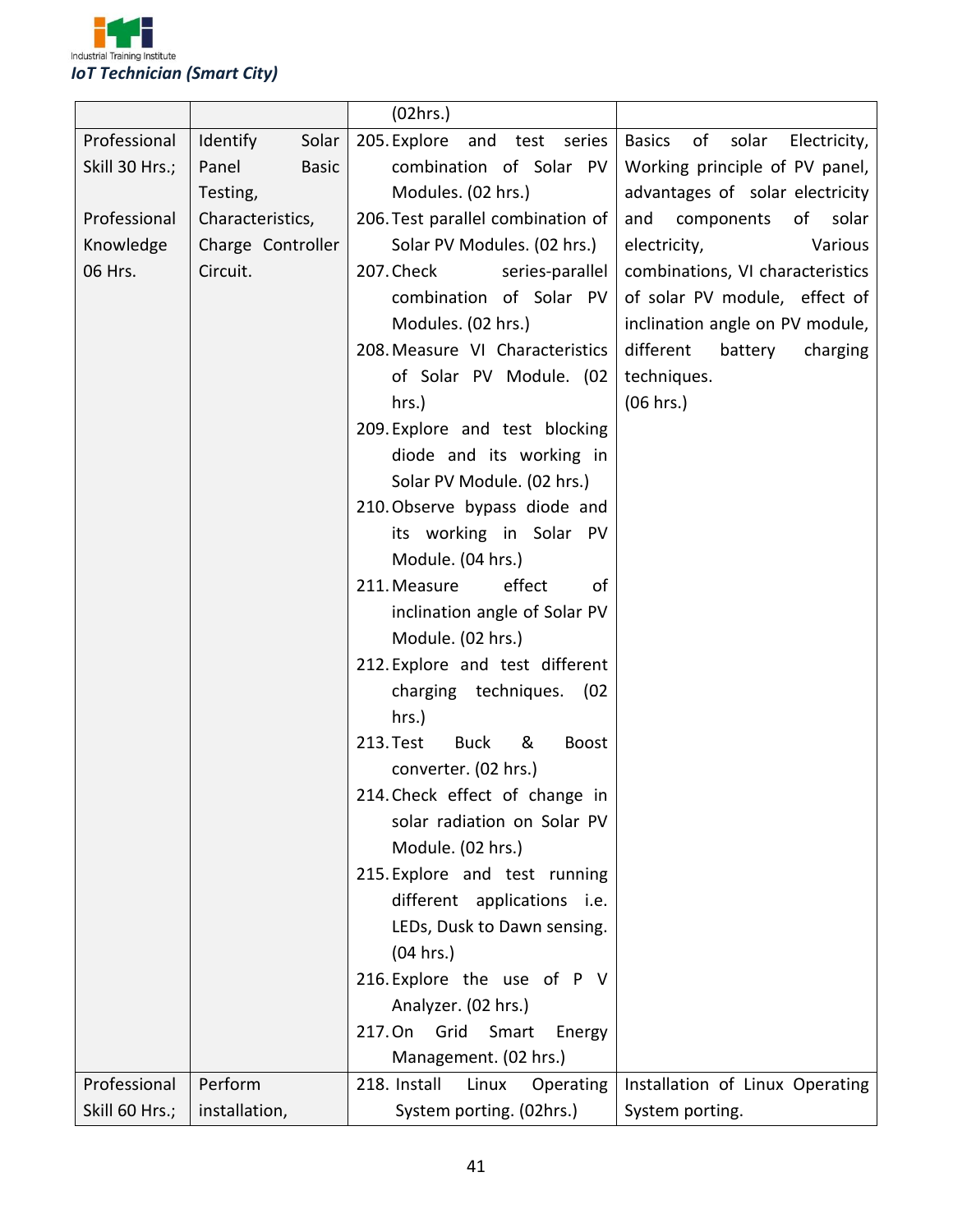

|                |                          | (02hrs.)                                      |                                              |
|----------------|--------------------------|-----------------------------------------------|----------------------------------------------|
| Professional   | Solar<br><b>Identify</b> | 205. Explore and test series                  | <b>Basics</b><br>of<br>solar<br>Electricity, |
| Skill 30 Hrs.; | Panel<br><b>Basic</b>    | combination of Solar PV                       | Working principle of PV panel,               |
|                | Testing,                 | Modules. (02 hrs.)                            | advantages of solar electricity              |
| Professional   | Characteristics,         | 206. Test parallel combination of             | and<br>components<br>of<br>solar             |
| Knowledge      | Charge Controller        | Solar PV Modules. (02 hrs.)                   | electricity,<br>Various                      |
| 06 Hrs.        | Circuit.                 | 207. Check<br>series-parallel                 | combinations, VI characteristics             |
|                |                          | combination of Solar PV                       | of solar PV module, effect of                |
|                |                          | Modules. (02 hrs.)                            | inclination angle on PV module,              |
|                |                          | 208. Measure VI Characteristics               | different<br>battery<br>charging             |
|                |                          | of Solar PV Module. (02                       | techniques.                                  |
|                |                          | $hrs.$ )                                      | (06 hrs.)                                    |
|                |                          | 209. Explore and test blocking                |                                              |
|                |                          | diode and its working in                      |                                              |
|                |                          | Solar PV Module. (02 hrs.)                    |                                              |
|                |                          | 210. Observe bypass diode and                 |                                              |
|                |                          | its working in Solar PV                       |                                              |
|                |                          | Module. (04 hrs.)                             |                                              |
|                |                          | 211. Measure<br>effect<br>of                  |                                              |
|                |                          | inclination angle of Solar PV                 |                                              |
|                |                          | Module. (02 hrs.)                             |                                              |
|                |                          | 212. Explore and test different               |                                              |
|                |                          | charging techniques. (02                      |                                              |
|                |                          | $hrs.$ )                                      |                                              |
|                |                          | &<br>213. Test<br><b>Buck</b><br><b>Boost</b> |                                              |
|                |                          | converter. (02 hrs.)                          |                                              |
|                |                          | 214. Check effect of change in                |                                              |
|                |                          | solar radiation on Solar PV                   |                                              |
|                |                          | Module. (02 hrs.)                             |                                              |
|                |                          | 215. Explore and test running                 |                                              |
|                |                          | different applications i.e.                   |                                              |
|                |                          | LEDs, Dusk to Dawn sensing.                   |                                              |
|                |                          | (04 hrs.)                                     |                                              |
|                |                          | 216. Explore the use of P V                   |                                              |
|                |                          | Analyzer. (02 hrs.)                           |                                              |
|                |                          | 217. On<br>Grid<br>Smart<br>Energy            |                                              |
|                |                          | Management. (02 hrs.)                         |                                              |
| Professional   | Perform                  | 218. Install<br>Linux<br>Operating            | Installation of Linux Operating              |
| Skill 60 Hrs.; | installation,            | System porting. (02hrs.)                      | System porting.                              |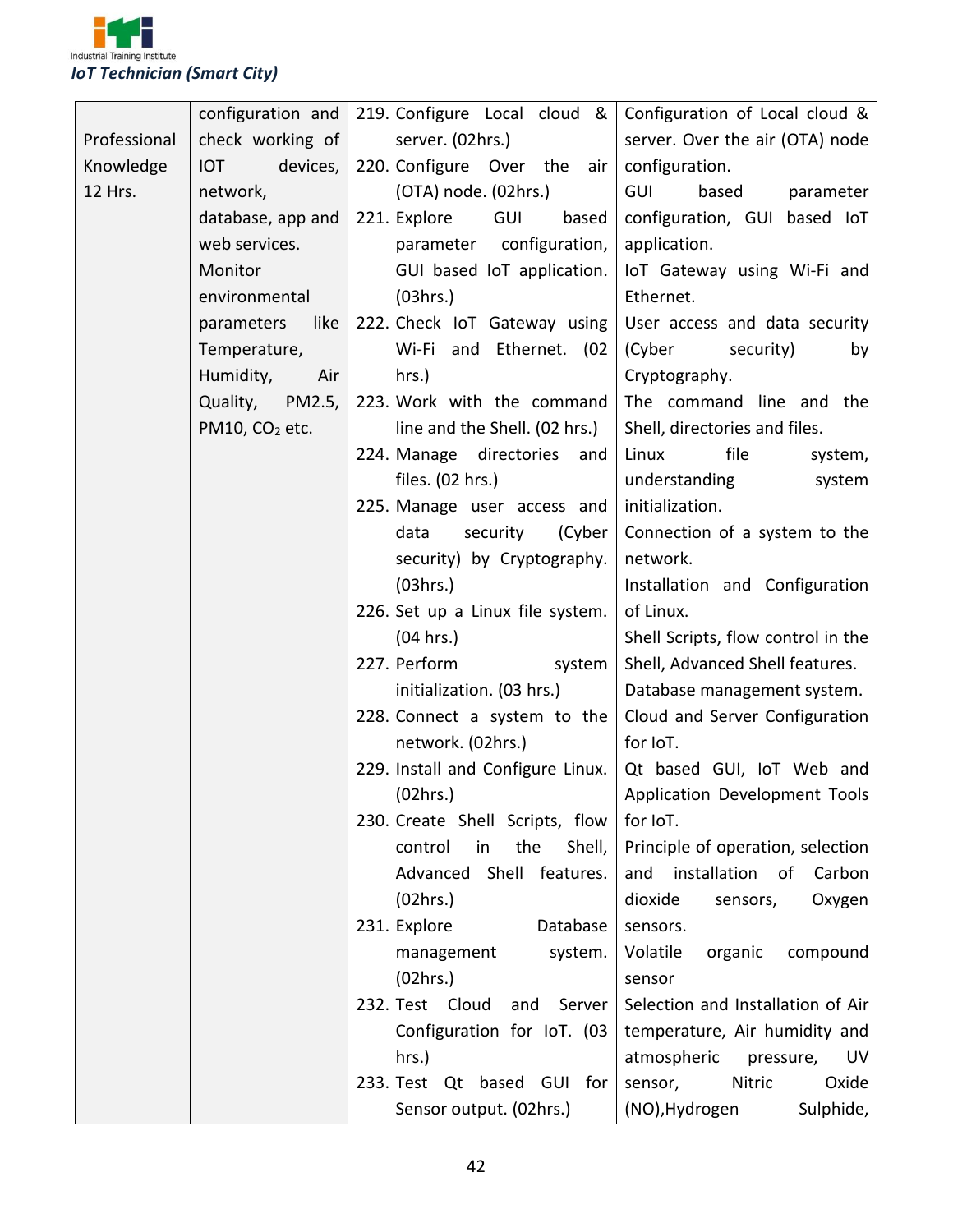

|              | configuration and          | 219. Configure Local cloud &      | Configuration of Local cloud &     |  |
|--------------|----------------------------|-----------------------------------|------------------------------------|--|
| Professional | check working of           | server. (02hrs.)                  | server. Over the air (OTA) node    |  |
| Knowledge    | devices,<br><b>IOT</b>     | 220. Configure Over the<br>air    | configuration.                     |  |
| 12 Hrs.      | network,                   | (OTA) node. (02hrs.)              | GUI<br>based<br>parameter          |  |
|              | database, app and          | 221. Explore<br>GUI<br>based      | configuration, GUI based IoT       |  |
|              | web services.              | configuration,<br>parameter       | application.                       |  |
|              | Monitor                    | GUI based IoT application.        | loT Gateway using Wi-Fi and        |  |
|              | environmental              | (03hrs.)                          | Ethernet.                          |  |
|              | like<br>parameters         | 222. Check IoT Gateway using      | User access and data security      |  |
|              | Temperature,               | Wi-Fi and Ethernet. (02           | (Cyber<br>security)<br>by          |  |
|              | Humidity,<br>Air           | hrs.)                             | Cryptography.                      |  |
|              | PM2.5,<br>Quality,         | 223. Work with the command        | The command line and the           |  |
|              | PM10, CO <sub>2</sub> etc. | line and the Shell. (02 hrs.)     | Shell, directories and files.      |  |
|              |                            | 224. Manage directories<br>and    | Linux<br>file<br>system,           |  |
|              |                            | files. (02 hrs.)                  | understanding<br>system            |  |
|              |                            | 225. Manage user access and       | initialization.                    |  |
|              |                            | data<br>security<br>(Cyber        | Connection of a system to the      |  |
|              |                            | security) by Cryptography.        | network.                           |  |
|              |                            | (03hrs.)                          | Installation and Configuration     |  |
|              |                            | 226. Set up a Linux file system.  | of Linux.                          |  |
|              |                            | (04 hrs.)                         | Shell Scripts, flow control in the |  |
|              |                            | 227. Perform<br>system            | Shell, Advanced Shell features.    |  |
|              |                            | initialization. (03 hrs.)         | Database management system.        |  |
|              |                            | 228. Connect a system to the      | Cloud and Server Configuration     |  |
|              |                            | network. (02hrs.)                 | for IoT.                           |  |
|              |                            | 229. Install and Configure Linux. | Qt based GUI, IoT Web and          |  |
|              |                            | (02hrs.)                          | Application Development Tools      |  |
|              |                            | 230. Create Shell Scripts, flow   | for IoT.                           |  |
|              |                            | the<br>Shell,<br>control<br>in    | Principle of operation, selection  |  |
|              |                            | Advanced Shell features.          | and installation of Carbon         |  |
|              |                            | (02hrs.)                          | dioxide<br>Oxygen<br>sensors,      |  |
|              |                            | 231. Explore<br>Database          | sensors.                           |  |
|              |                            | system.<br>management             | Volatile<br>organic<br>compound    |  |
|              |                            | (02hrs.)                          | sensor                             |  |
|              |                            | 232. Test Cloud<br>and<br>Server  | Selection and Installation of Air  |  |
|              |                            | Configuration for IoT. (03        | temperature, Air humidity and      |  |
|              |                            | hrs.)                             | atmospheric<br>pressure,<br>UV     |  |
|              |                            | 233. Test Qt based GUI for        | Nitric<br>Oxide<br>sensor,         |  |
|              |                            | Sensor output. (02hrs.)           | Sulphide,<br>(NO), Hydrogen        |  |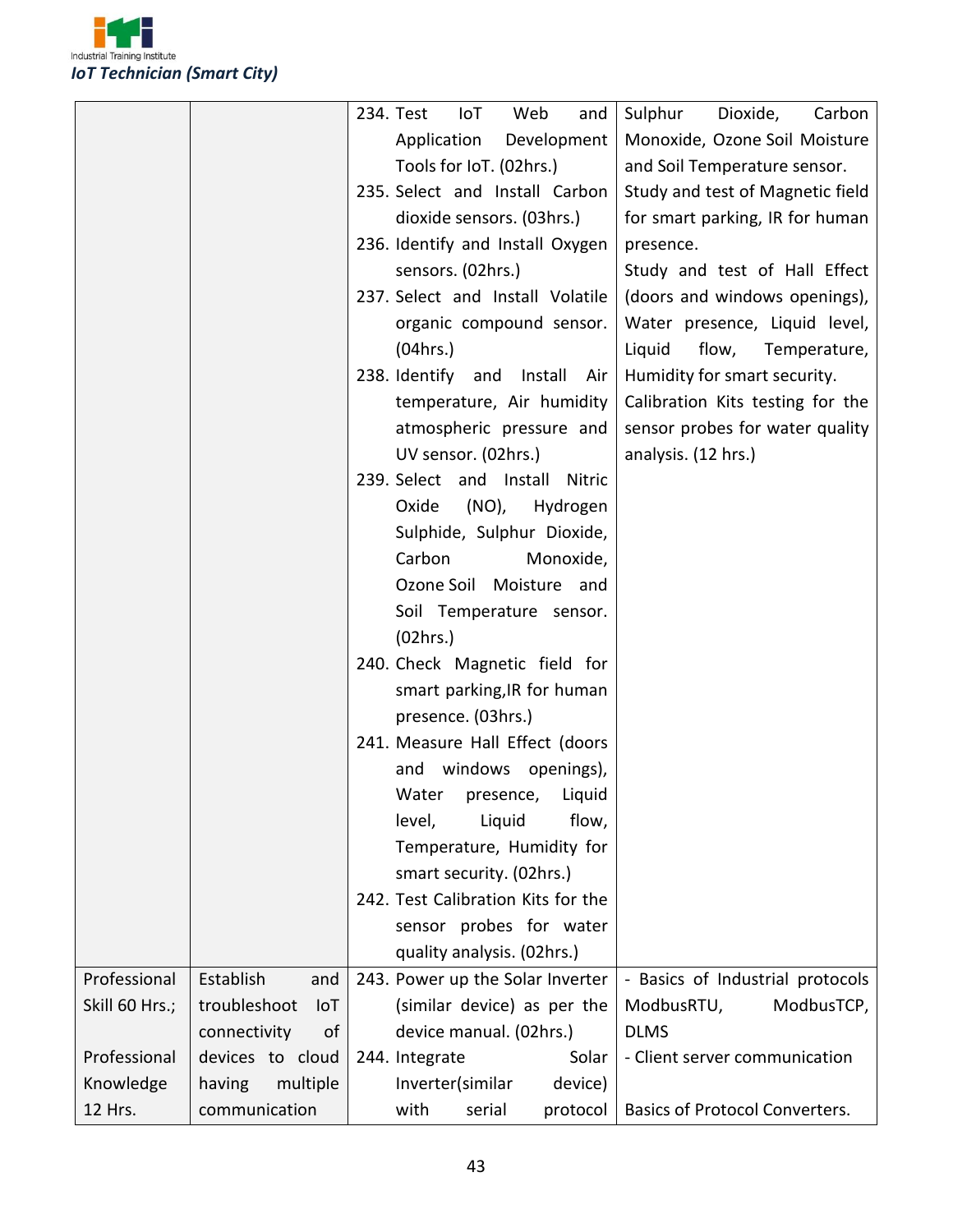

|                |                            | 234. Test<br>Web<br>Sulphur<br>IoT<br>and<br>Dioxide,<br>Carbon      |
|----------------|----------------------------|----------------------------------------------------------------------|
|                |                            | Application<br>Development<br>Monoxide, Ozone Soil Moisture          |
|                |                            | Tools for IoT. (02hrs.)<br>and Soil Temperature sensor.              |
|                |                            | 235. Select and Install Carbon<br>Study and test of Magnetic field   |
|                |                            | dioxide sensors. (03hrs.)<br>for smart parking, IR for human         |
|                |                            | 236. Identify and Install Oxygen<br>presence.                        |
|                |                            | sensors. (02hrs.)<br>Study and test of Hall Effect                   |
|                |                            | 237. Select and Install Volatile<br>(doors and windows openings),    |
|                |                            | Water presence, Liquid level,<br>organic compound sensor.            |
|                |                            | (04 hrs.)<br>Liquid<br>flow, Temperature,                            |
|                |                            | 238. Identify and Install Air<br>Humidity for smart security.        |
|                |                            | Calibration Kits testing for the<br>temperature, Air humidity        |
|                |                            | atmospheric pressure and<br>sensor probes for water quality          |
|                |                            | UV sensor. (02hrs.)<br>analysis. (12 hrs.)                           |
|                |                            | 239. Select and Install<br>Nitric                                    |
|                |                            | Oxide<br>$(NO)$ ,<br>Hydrogen                                        |
|                |                            | Sulphide, Sulphur Dioxide,                                           |
|                |                            | Carbon<br>Monoxide,                                                  |
|                |                            | Ozone Soil Moisture and                                              |
|                |                            | Soil Temperature sensor.                                             |
|                |                            | (02hrs.)                                                             |
|                |                            | 240. Check Magnetic field for                                        |
|                |                            |                                                                      |
|                |                            | smart parking, IR for human                                          |
|                |                            | presence. (03hrs.)                                                   |
|                |                            | 241. Measure Hall Effect (doors                                      |
|                |                            | windows openings),<br>and                                            |
|                |                            | Water presence, Liquid                                               |
|                |                            | level,<br>Liquid<br>flow,                                            |
|                |                            | Temperature, Humidity for                                            |
|                |                            | smart security. (02hrs.)                                             |
|                |                            | 242. Test Calibration Kits for the                                   |
|                |                            | sensor probes for water                                              |
|                |                            | quality analysis. (02hrs.)                                           |
| Professional   | Establish<br>and           | - Basics of Industrial protocols<br>243. Power up the Solar Inverter |
| Skill 60 Hrs.; | troubleshoot<br><b>IoT</b> | (similar device) as per the<br>ModbusTCP,<br>ModbusRTU,              |
|                | connectivity<br>of         | <b>DLMS</b><br>device manual. (02hrs.)                               |
| Professional   | devices to cloud           | Solar<br>- Client server communication<br>244. Integrate             |
| Knowledge      | multiple<br>having         | Inverter(similar<br>device)                                          |
| 12 Hrs.        | communication              | with<br>serial<br>Basics of Protocol Converters.<br>protocol         |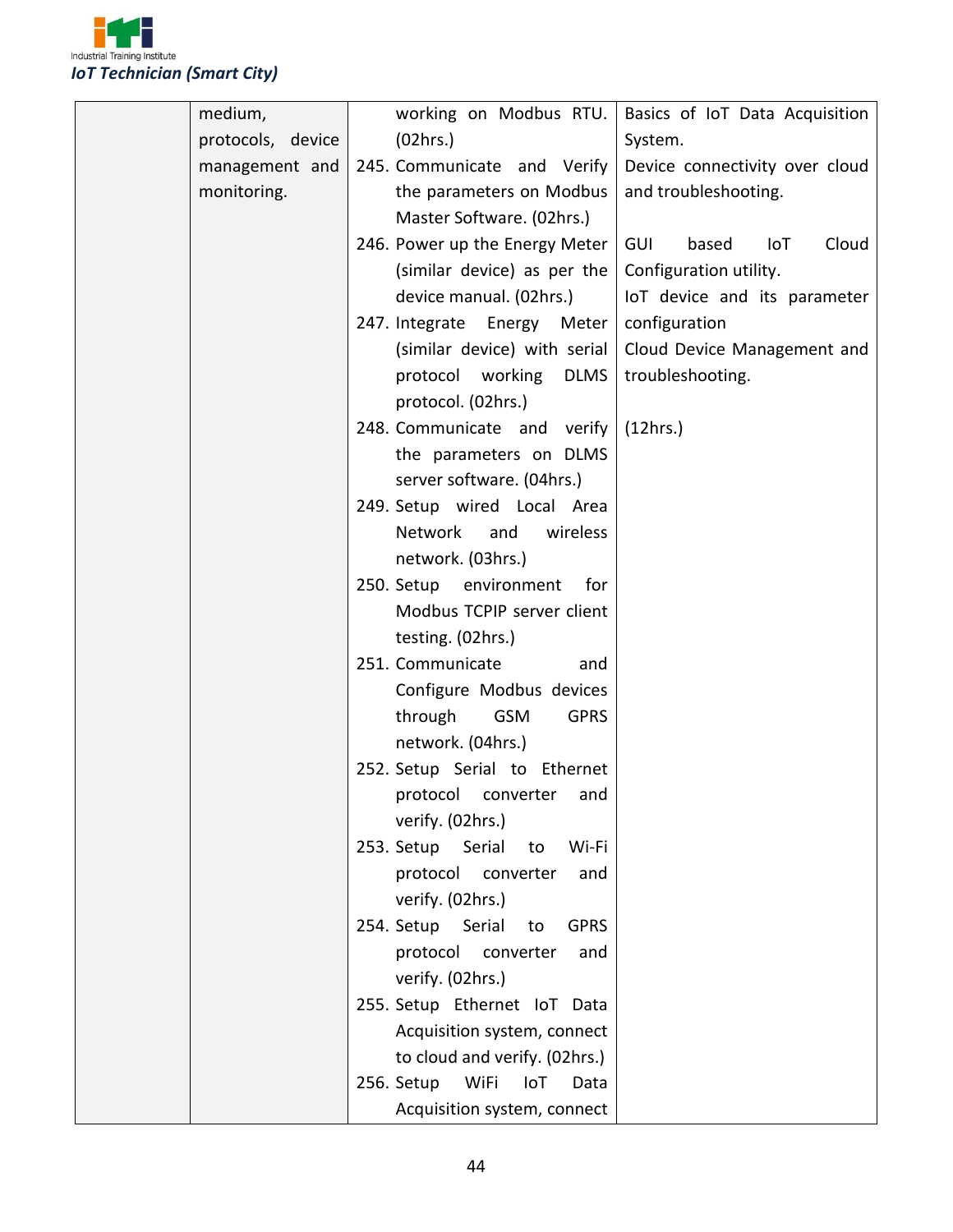

| working on Modbus RTU.                 | Basics of IoT Data Acquisition      |
|----------------------------------------|-------------------------------------|
| (02hrs.)                               | System.                             |
| 245. Communicate and Verify            | Device connectivity over cloud      |
| the parameters on Modbus               | and troubleshooting.                |
| Master Software. (02hrs.)              |                                     |
| 246. Power up the Energy Meter         | based<br><b>GUI</b><br>IoT<br>Cloud |
| (similar device) as per the            | Configuration utility.              |
| device manual. (02hrs.)                | IoT device and its parameter        |
| 247. Integrate Energy Meter            | configuration                       |
| (similar device) with serial           | Cloud Device Management and         |
| protocol working DLMS                  | troubleshooting.                    |
| protocol. (02hrs.)                     |                                     |
| 248. Communicate and verify            | (12hrs.)                            |
| the parameters on DLMS                 |                                     |
| server software. (04hrs.)              |                                     |
| 249. Setup wired Local Area            |                                     |
| Network<br>and<br>wireless             |                                     |
| network. (03hrs.)                      |                                     |
| 250. Setup environment<br>for          |                                     |
| Modbus TCPIP server client             |                                     |
| testing. (02hrs.)                      |                                     |
| 251. Communicate<br>and                |                                     |
| Configure Modbus devices               |                                     |
| <b>GSM</b><br>through<br><b>GPRS</b>   |                                     |
| network. (04hrs.)                      |                                     |
| 252. Setup Serial to Ethernet          |                                     |
| protocol converter and                 |                                     |
| verify. (02hrs.)                       |                                     |
| 253. Setup Serial<br>Wi-Fi<br>to       |                                     |
| protocol<br>converter<br>and           |                                     |
| verify. (02hrs.)                       |                                     |
| 254. Setup Serial<br><b>GPRS</b><br>to |                                     |
| protocol<br>converter<br>and           |                                     |
| verify. (02hrs.)                       |                                     |
| 255. Setup Ethernet IoT Data           |                                     |
| Acquisition system, connect            |                                     |
| to cloud and verify. (02hrs.)          |                                     |
| 256. Setup<br>WiFi<br>IoT<br>Data      |                                     |
| Acquisition system, connect            |                                     |
|                                        |                                     |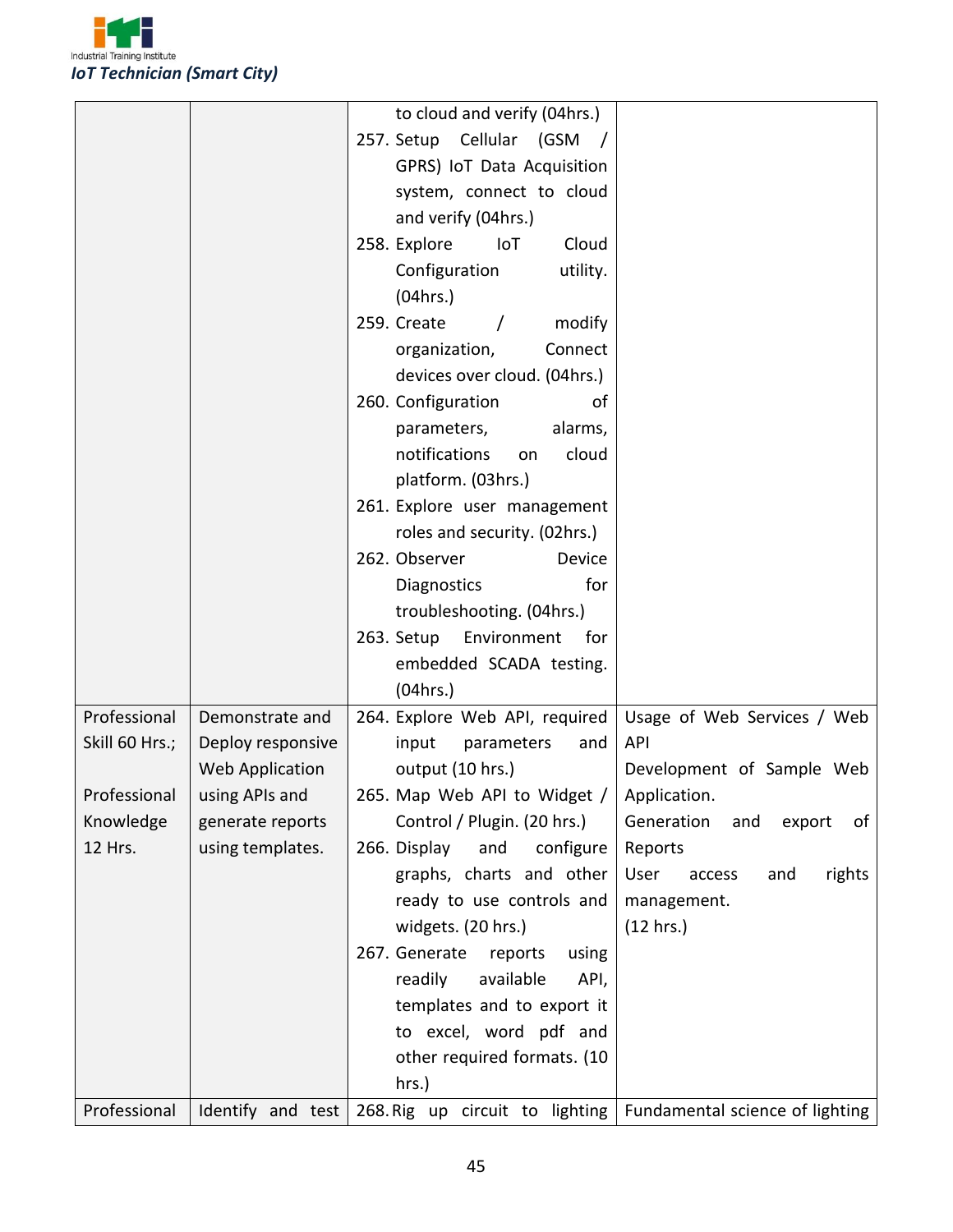

|                |                   | to cloud and verify (04hrs.)      |                                   |
|----------------|-------------------|-----------------------------------|-----------------------------------|
|                |                   | 257. Setup Cellular (GSM /        |                                   |
|                |                   | GPRS) IoT Data Acquisition        |                                   |
|                |                   | system, connect to cloud          |                                   |
|                |                   | and verify (04hrs.)               |                                   |
|                |                   | 258. Explore<br>IoT<br>Cloud      |                                   |
|                |                   | Configuration<br>utility.         |                                   |
|                |                   | (04 hrs.)                         |                                   |
|                |                   | 259. Create<br>modify<br>$\prime$ |                                   |
|                |                   | Connect<br>organization,          |                                   |
|                |                   | devices over cloud. (04hrs.)      |                                   |
|                |                   | 260. Configuration<br>0f          |                                   |
|                |                   | parameters,<br>alarms,            |                                   |
|                |                   | notifications<br>cloud<br>on      |                                   |
|                |                   | platform. (03hrs.)                |                                   |
|                |                   | 261. Explore user management      |                                   |
|                |                   | roles and security. (02hrs.)      |                                   |
|                |                   | 262. Observer<br>Device           |                                   |
|                |                   | for<br>Diagnostics                |                                   |
|                |                   | troubleshooting. (04hrs.)         |                                   |
|                |                   | 263. Setup<br>Environment<br>for  |                                   |
|                |                   | embedded SCADA testing.           |                                   |
|                |                   | (04 hrs.)                         |                                   |
| Professional   | Demonstrate and   | 264. Explore Web API, required    | Usage of Web Services / Web       |
| Skill 60 Hrs.; | Deploy responsive | input<br>parameters<br>and        | API                               |
|                | Web Application   | output (10 hrs.)                  | Development of Sample Web         |
| Professional   | using APIs and    | 265. Map Web API to Widget /      | Application.                      |
| Knowledge      | generate reports  | Control / Plugin. (20 hrs.)       | Generation<br>export<br>and<br>of |
| 12 Hrs.        | using templates.  | 266. Display<br>and<br>configure  | Reports                           |
|                |                   | graphs, charts and other          | rights<br>User<br>and<br>access   |
|                |                   | ready to use controls and         | management.                       |
|                |                   | widgets. (20 hrs.)                | (12 hrs.)                         |
|                |                   | 267. Generate<br>reports<br>using |                                   |
|                |                   | readily<br>available<br>API,      |                                   |
|                |                   | templates and to export it        |                                   |
|                |                   | to excel, word pdf and            |                                   |
|                |                   | other required formats. (10       |                                   |
|                |                   | hrs.)                             |                                   |
| Professional   | Identify and test | 268. Rig up circuit to lighting   | Fundamental science of lighting   |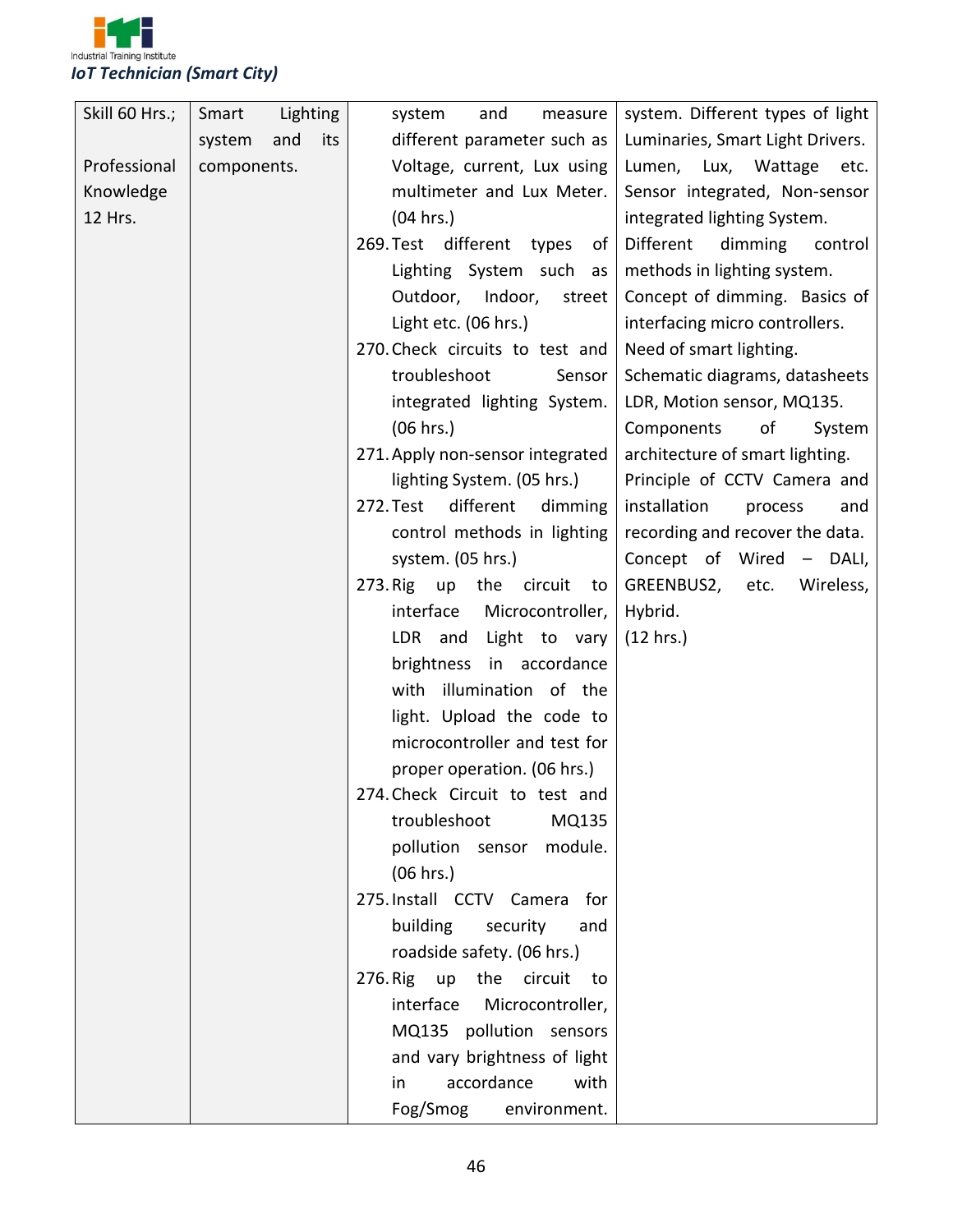

| Skill 60 Hrs.; | Smart       | Lighting   | measure<br>system<br>and          | system. Different types of light |
|----------------|-------------|------------|-----------------------------------|----------------------------------|
|                | system      | and<br>its | different parameter such as       | Luminaries, Smart Light Drivers. |
| Professional   | components. |            | Voltage, current, Lux using       | Lumen, Lux, Wattage etc.         |
| Knowledge      |             |            | multimeter and Lux Meter.         | Sensor integrated, Non-sensor    |
| 12 Hrs.        |             |            | (04 hrs.)                         | integrated lighting System.      |
|                |             |            | 269. Test different types<br>of   | Different<br>dimming<br>control  |
|                |             |            | Lighting System such as           | methods in lighting system.      |
|                |             |            | Outdoor, Indoor, street           | Concept of dimming. Basics of    |
|                |             |            | Light etc. (06 hrs.)              | interfacing micro controllers.   |
|                |             |            | 270. Check circuits to test and   | Need of smart lighting.          |
|                |             |            | troubleshoot<br>Sensor            | Schematic diagrams, datasheets   |
|                |             |            | integrated lighting System.       | LDR, Motion sensor, MQ135.       |
|                |             |            | (06 hrs.)                         | Components<br>of<br>System       |
|                |             |            | 271. Apply non-sensor integrated  | architecture of smart lighting.  |
|                |             |            | lighting System. (05 hrs.)        | Principle of CCTV Camera and     |
|                |             |            | different<br>dimming<br>272. Test | installation<br>process<br>and   |
|                |             |            | control methods in lighting       | recording and recover the data.  |
|                |             |            | system. (05 hrs.)                 | Concept of Wired - DALI,         |
|                |             |            | 273. Rig up the circuit<br>to     | GREENBUS2, etc.<br>Wireless,     |
|                |             |            | interface<br>Microcontroller,     | Hybrid.                          |
|                |             |            | Light to vary<br>LDR and          | (12 hrs.)                        |
|                |             |            | brightness in accordance          |                                  |
|                |             |            | with illumination of the          |                                  |
|                |             |            | light. Upload the code to         |                                  |
|                |             |            | microcontroller and test for      |                                  |
|                |             |            | proper operation. (06 hrs.)       |                                  |
|                |             |            | 274. Check Circuit to test and    |                                  |
|                |             |            | troubleshoot<br>MQ135             |                                  |
|                |             |            | pollution sensor<br>module.       |                                  |
|                |             |            | (06 hrs.)                         |                                  |
|                |             |            | 275. Install CCTV Camera for      |                                  |
|                |             |            | building<br>security<br>and       |                                  |
|                |             |            | roadside safety. (06 hrs.)        |                                  |
|                |             |            | 276. Rig up the circuit<br>to     |                                  |
|                |             |            | interface<br>Microcontroller,     |                                  |
|                |             |            | MQ135 pollution sensors           |                                  |
|                |             |            | and vary brightness of light      |                                  |
|                |             |            | accordance<br>with<br>in          |                                  |
|                |             |            | Fog/Smog<br>environment.          |                                  |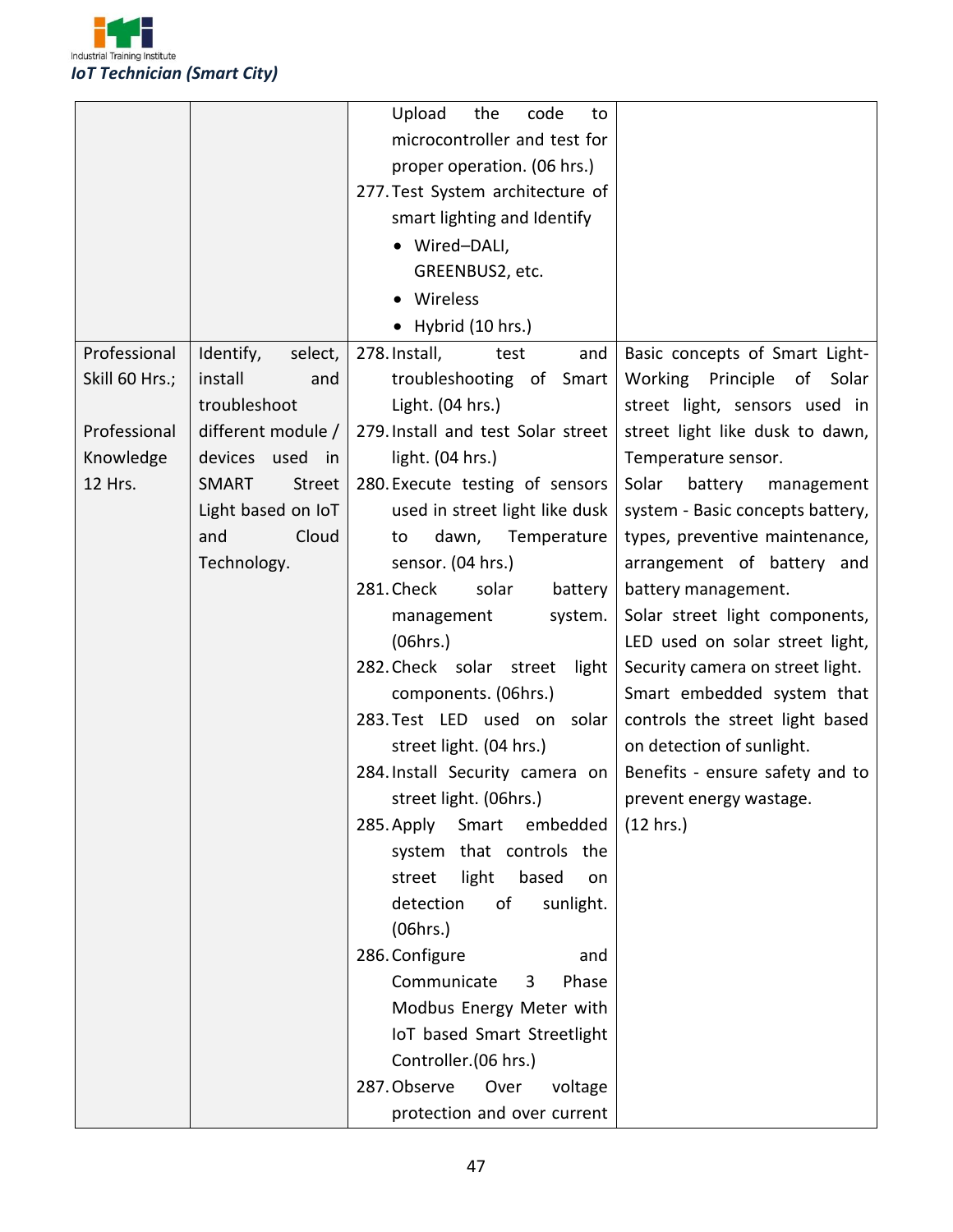

|                |                               | Upload<br>the<br>code<br>to                                                                                                                                                                                                                                                                                                                                                                                                                                                                                                                                               |                                                                                                                                                                                                                                                                                |
|----------------|-------------------------------|---------------------------------------------------------------------------------------------------------------------------------------------------------------------------------------------------------------------------------------------------------------------------------------------------------------------------------------------------------------------------------------------------------------------------------------------------------------------------------------------------------------------------------------------------------------------------|--------------------------------------------------------------------------------------------------------------------------------------------------------------------------------------------------------------------------------------------------------------------------------|
|                |                               | microcontroller and test for                                                                                                                                                                                                                                                                                                                                                                                                                                                                                                                                              |                                                                                                                                                                                                                                                                                |
|                |                               | proper operation. (06 hrs.)                                                                                                                                                                                                                                                                                                                                                                                                                                                                                                                                               |                                                                                                                                                                                                                                                                                |
|                |                               | 277. Test System architecture of                                                                                                                                                                                                                                                                                                                                                                                                                                                                                                                                          |                                                                                                                                                                                                                                                                                |
|                |                               | smart lighting and Identify                                                                                                                                                                                                                                                                                                                                                                                                                                                                                                                                               |                                                                                                                                                                                                                                                                                |
|                |                               | • Wired-DALI,                                                                                                                                                                                                                                                                                                                                                                                                                                                                                                                                                             |                                                                                                                                                                                                                                                                                |
|                |                               | GREENBUS2, etc.                                                                                                                                                                                                                                                                                                                                                                                                                                                                                                                                                           |                                                                                                                                                                                                                                                                                |
|                |                               | Wireless                                                                                                                                                                                                                                                                                                                                                                                                                                                                                                                                                                  |                                                                                                                                                                                                                                                                                |
|                |                               | $\bullet$ Hybrid (10 hrs.)                                                                                                                                                                                                                                                                                                                                                                                                                                                                                                                                                |                                                                                                                                                                                                                                                                                |
| Professional   | select,<br>Identify,          | 278. Install,<br>and<br>test                                                                                                                                                                                                                                                                                                                                                                                                                                                                                                                                              | Basic concepts of Smart Light-                                                                                                                                                                                                                                                 |
| Skill 60 Hrs.; | install<br>and                | troubleshooting of Smart                                                                                                                                                                                                                                                                                                                                                                                                                                                                                                                                                  | Working Principle<br>of<br>Solar                                                                                                                                                                                                                                               |
|                | troubleshoot                  | Light. (04 hrs.)                                                                                                                                                                                                                                                                                                                                                                                                                                                                                                                                                          | street light, sensors used in                                                                                                                                                                                                                                                  |
| Professional   | different module /            | 279. Install and test Solar street                                                                                                                                                                                                                                                                                                                                                                                                                                                                                                                                        | street light like dusk to dawn,                                                                                                                                                                                                                                                |
| Knowledge      | devices<br>used<br>in         | light. (04 hrs.)                                                                                                                                                                                                                                                                                                                                                                                                                                                                                                                                                          | Temperature sensor.                                                                                                                                                                                                                                                            |
| 12 Hrs.        | <b>SMART</b><br><b>Street</b> | 280. Execute testing of sensors                                                                                                                                                                                                                                                                                                                                                                                                                                                                                                                                           | Solar<br>battery<br>management                                                                                                                                                                                                                                                 |
|                | Light based on IoT            | used in street light like dusk                                                                                                                                                                                                                                                                                                                                                                                                                                                                                                                                            | system - Basic concepts battery,                                                                                                                                                                                                                                               |
|                | Cloud<br>and                  | dawn, Temperature<br>to                                                                                                                                                                                                                                                                                                                                                                                                                                                                                                                                                   | types, preventive maintenance,                                                                                                                                                                                                                                                 |
|                | Technology.                   | sensor. (04 hrs.)                                                                                                                                                                                                                                                                                                                                                                                                                                                                                                                                                         | arrangement of battery and                                                                                                                                                                                                                                                     |
|                |                               | 281. Check<br>solar<br>battery                                                                                                                                                                                                                                                                                                                                                                                                                                                                                                                                            | battery management.                                                                                                                                                                                                                                                            |
|                |                               |                                                                                                                                                                                                                                                                                                                                                                                                                                                                                                                                                                           |                                                                                                                                                                                                                                                                                |
|                |                               |                                                                                                                                                                                                                                                                                                                                                                                                                                                                                                                                                                           |                                                                                                                                                                                                                                                                                |
|                |                               |                                                                                                                                                                                                                                                                                                                                                                                                                                                                                                                                                                           |                                                                                                                                                                                                                                                                                |
|                |                               |                                                                                                                                                                                                                                                                                                                                                                                                                                                                                                                                                                           |                                                                                                                                                                                                                                                                                |
|                |                               |                                                                                                                                                                                                                                                                                                                                                                                                                                                                                                                                                                           |                                                                                                                                                                                                                                                                                |
|                |                               |                                                                                                                                                                                                                                                                                                                                                                                                                                                                                                                                                                           |                                                                                                                                                                                                                                                                                |
|                |                               |                                                                                                                                                                                                                                                                                                                                                                                                                                                                                                                                                                           |                                                                                                                                                                                                                                                                                |
|                |                               |                                                                                                                                                                                                                                                                                                                                                                                                                                                                                                                                                                           |                                                                                                                                                                                                                                                                                |
|                |                               |                                                                                                                                                                                                                                                                                                                                                                                                                                                                                                                                                                           |                                                                                                                                                                                                                                                                                |
|                |                               |                                                                                                                                                                                                                                                                                                                                                                                                                                                                                                                                                                           |                                                                                                                                                                                                                                                                                |
|                |                               |                                                                                                                                                                                                                                                                                                                                                                                                                                                                                                                                                                           |                                                                                                                                                                                                                                                                                |
|                |                               |                                                                                                                                                                                                                                                                                                                                                                                                                                                                                                                                                                           |                                                                                                                                                                                                                                                                                |
|                |                               |                                                                                                                                                                                                                                                                                                                                                                                                                                                                                                                                                                           |                                                                                                                                                                                                                                                                                |
|                |                               |                                                                                                                                                                                                                                                                                                                                                                                                                                                                                                                                                                           |                                                                                                                                                                                                                                                                                |
|                |                               |                                                                                                                                                                                                                                                                                                                                                                                                                                                                                                                                                                           |                                                                                                                                                                                                                                                                                |
|                |                               |                                                                                                                                                                                                                                                                                                                                                                                                                                                                                                                                                                           |                                                                                                                                                                                                                                                                                |
|                |                               |                                                                                                                                                                                                                                                                                                                                                                                                                                                                                                                                                                           |                                                                                                                                                                                                                                                                                |
|                |                               |                                                                                                                                                                                                                                                                                                                                                                                                                                                                                                                                                                           |                                                                                                                                                                                                                                                                                |
|                |                               |                                                                                                                                                                                                                                                                                                                                                                                                                                                                                                                                                                           |                                                                                                                                                                                                                                                                                |
|                |                               |                                                                                                                                                                                                                                                                                                                                                                                                                                                                                                                                                                           |                                                                                                                                                                                                                                                                                |
|                |                               | system.<br>management<br>(06hrs.)<br>282. Check solar street<br>light<br>components. (06hrs.)<br>283. Test LED used on solar<br>street light. (04 hrs.)<br>284. Install Security camera on<br>street light. (06hrs.)<br>285. Apply Smart<br>embedded<br>system that controls the<br>light<br>based<br>street<br>on<br>detection<br>of<br>sunlight.<br>(06hrs.)<br>286. Configure<br>and<br>Communicate<br>Phase<br>3<br>Modbus Energy Meter with<br>IoT based Smart Streetlight<br>Controller.(06 hrs.)<br>287. Observe<br>Over<br>voltage<br>protection and over current | Solar street light components,<br>LED used on solar street light,<br>Security camera on street light.<br>Smart embedded system that<br>controls the street light based<br>on detection of sunlight.<br>Benefits - ensure safety and to<br>prevent energy wastage.<br>(12 hrs.) |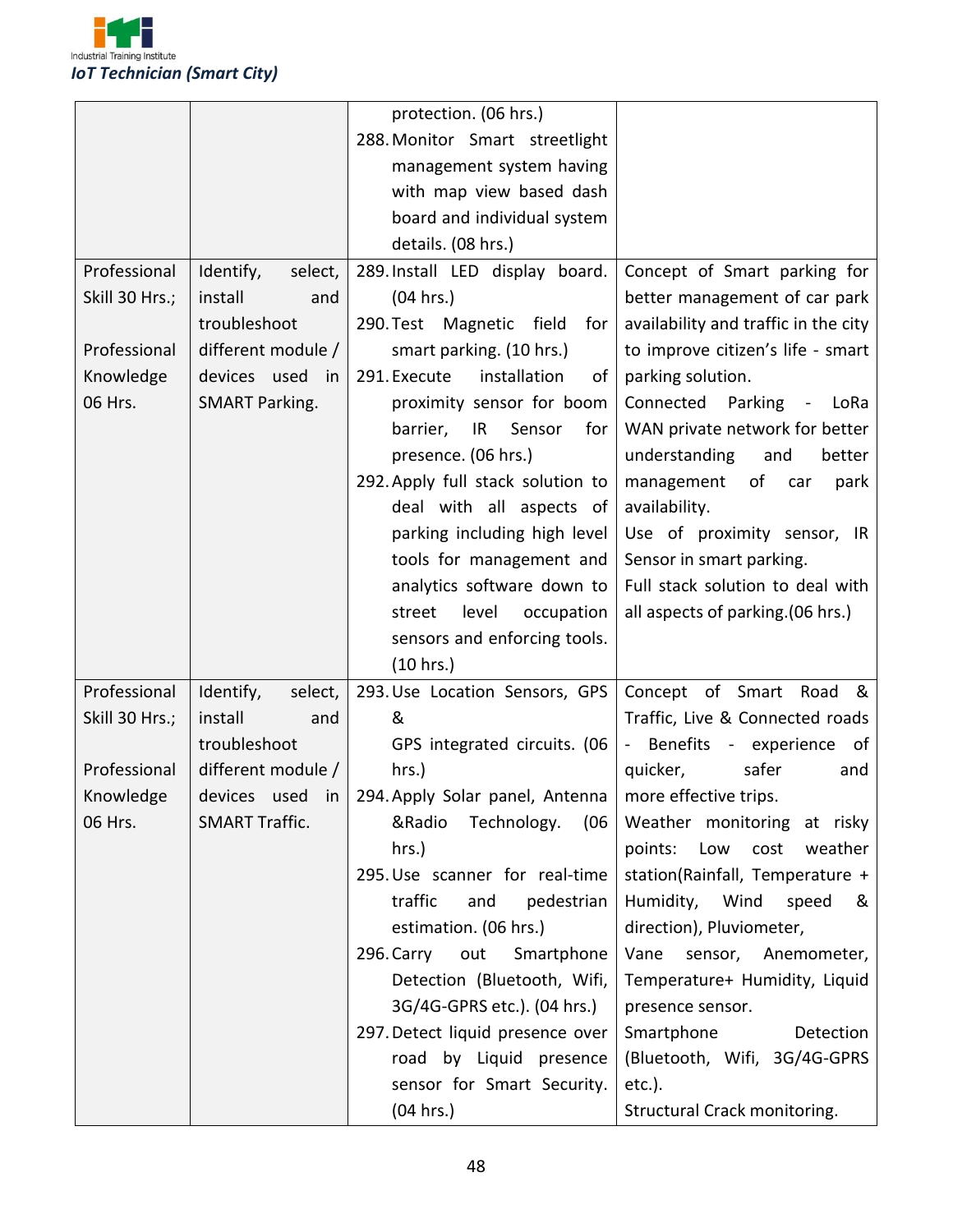

|                |                       | protection. (06 hrs.)              |                                      |
|----------------|-----------------------|------------------------------------|--------------------------------------|
|                |                       | 288. Monitor Smart streetlight     |                                      |
|                |                       | management system having           |                                      |
|                |                       | with map view based dash           |                                      |
|                |                       | board and individual system        |                                      |
|                |                       | details. (08 hrs.)                 |                                      |
| Professional   | Identify,<br>select,  | 289. Install LED display board.    | Concept of Smart parking for         |
| Skill 30 Hrs.; | install<br>and        | (04 hrs.)                          | better management of car park        |
|                | troubleshoot          | 290. Test Magnetic field<br>for    | availability and traffic in the city |
| Professional   | different module /    | smart parking. (10 hrs.)           | to improve citizen's life - smart    |
| Knowledge      | devices used in       | 291. Execute<br>installation<br>οf | parking solution.                    |
| 06 Hrs.        | <b>SMART Parking.</b> | proximity sensor for boom          | Connected Parking - LoRa             |
|                |                       | barrier,<br>IR Sensor<br>for       | WAN private network for better       |
|                |                       | presence. (06 hrs.)                | understanding<br>and<br>better       |
|                |                       | 292. Apply full stack solution to  | management of car<br>park            |
|                |                       | deal with all aspects of           | availability.                        |
|                |                       | parking including high level       | Use of proximity sensor, IR          |
|                |                       | tools for management and           | Sensor in smart parking.             |
|                |                       | analytics software down to         | Full stack solution to deal with     |
|                |                       | level<br>occupation<br>street      | all aspects of parking. (06 hrs.)    |
|                |                       | sensors and enforcing tools.       |                                      |
|                |                       | (10 hrs.)                          |                                      |
| Professional   | Identify,<br>select,  | 293. Use Location Sensors, GPS     | Concept of Smart Road<br>&           |
| Skill 30 Hrs.; | install<br>and        | &                                  | Traffic, Live & Connected roads      |
|                | troubleshoot          | GPS integrated circuits. (06       | - Benefits - experience of           |
| Professional   | different module /    | $hrs.$ )                           | safer<br>quicker,<br>and             |
| Knowledge      | devices used in       | 294. Apply Solar panel, Antenna    | more effective trips.                |
| 06 Hrs.        | <b>SMART Traffic.</b> | (06)<br>&Radio<br>Technology.      | Weather monitoring at risky          |
|                |                       | hrs.)                              | weather<br>points: Low<br>cost       |
|                |                       | 295. Use scanner for real-time     | station(Rainfall, Temperature +      |
|                |                       | traffic<br>pedestrian<br>and       | Humidity, Wind<br>speed<br>&         |
|                |                       | estimation. (06 hrs.)              | direction), Pluviometer,             |
|                |                       | Smartphone<br>296. Carry<br>out    | Vane<br>sensor, Anemometer,          |
|                |                       | Detection (Bluetooth, Wifi,        | Temperature+ Humidity, Liquid        |
|                |                       | 3G/4G-GPRS etc.). (04 hrs.)        | presence sensor.                     |
|                |                       | 297. Detect liquid presence over   | Smartphone<br>Detection              |
|                |                       | road by Liquid presence            | (Bluetooth, Wifi, 3G/4G-GPRS         |
|                |                       | sensor for Smart Security.         | $etc.$ ).                            |
|                |                       | (04 hrs.)                          | Structural Crack monitoring.         |
|                |                       |                                    |                                      |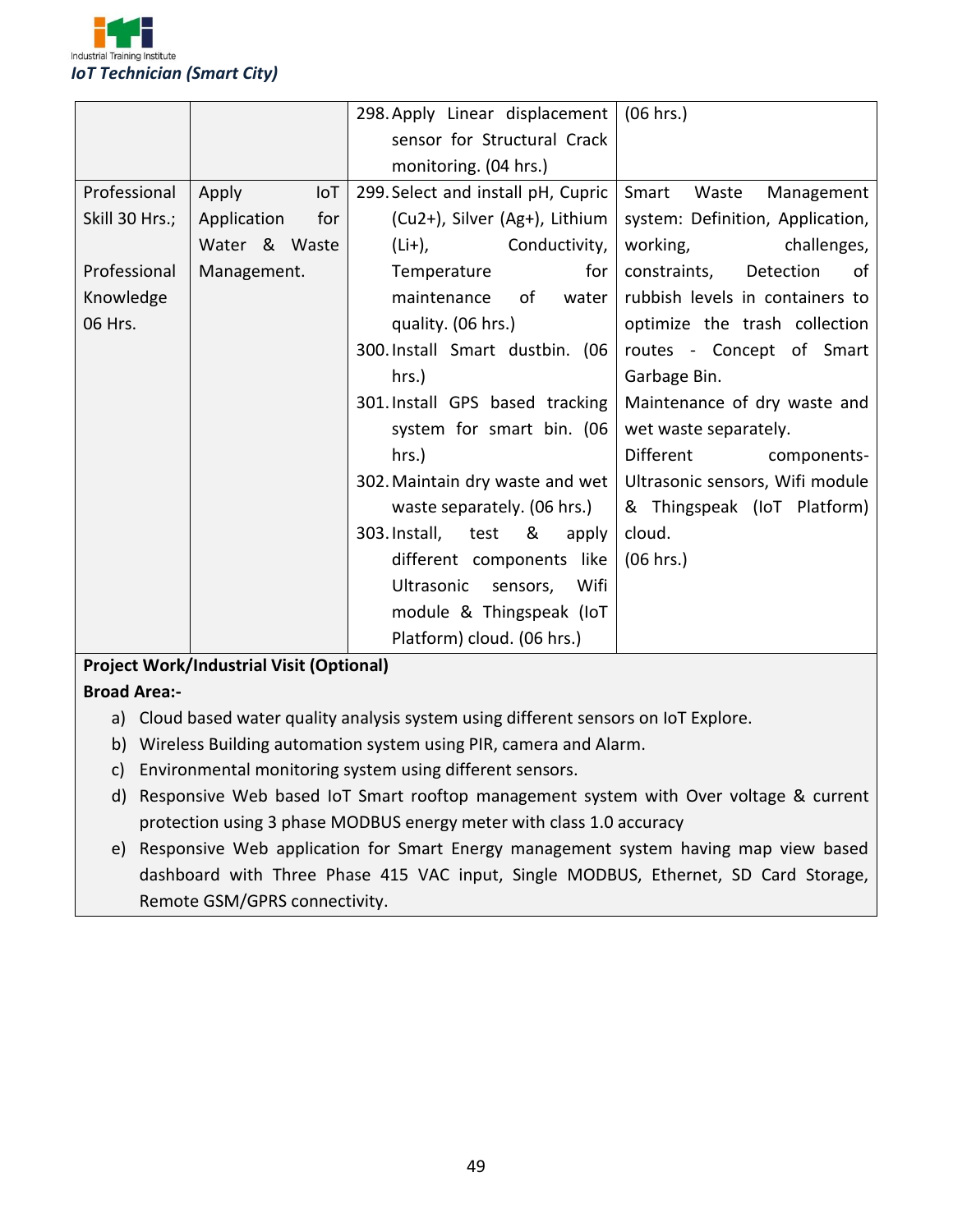

|                |                    | 298. Apply Linear displacement        | (06 hrs.)                        |
|----------------|--------------------|---------------------------------------|----------------------------------|
|                |                    | sensor for Structural Crack           |                                  |
|                |                    | monitoring. (04 hrs.)                 |                                  |
| Professional   | Apply<br>IoT       | 299. Select and install pH, Cupric    | Smart<br>Waste<br>Management     |
| Skill 30 Hrs.; | Application<br>for | (Cu2+), Silver (Ag+), Lithium         | system: Definition, Application, |
|                | Water & Waste      | $(Li+)$ ,<br>Conductivity,            | working,<br>challenges,          |
| Professional   | Management.        | for<br>Temperature                    | constraints,<br>Detection<br>of  |
| Knowledge      |                    | water<br>maintenance<br>of            | rubbish levels in containers to  |
| 06 Hrs.        |                    | quality. (06 hrs.)                    | optimize the trash collection    |
|                |                    | 300. Install Smart dustbin. (06       | routes - Concept of Smart        |
|                |                    | hrs.)                                 | Garbage Bin.                     |
|                |                    | 301. Install GPS based tracking       | Maintenance of dry waste and     |
|                |                    | system for smart bin. (06             | wet waste separately.            |
|                |                    | hrs.)                                 | Different<br>components-         |
|                |                    | 302. Maintain dry waste and wet       | Ultrasonic sensors, Wifi module  |
|                |                    | waste separately. (06 hrs.)           | & Thingspeak (IoT Platform)      |
|                |                    | 303. Install,<br>test<br>8 i<br>apply | cloud.                           |
|                |                    | different components like             | (06 hrs.)                        |
|                |                    | Ultrasonic<br>Wifi<br>sensors,        |                                  |
|                |                    | module & Thingspeak (IoT              |                                  |
|                |                    | Platform) cloud. (06 hrs.)            |                                  |

#### **Project Work/Industrial Visit (Optional)**

**Broad Area:-**

- a) Cloud based water quality analysis system using different sensors on IoT Explore.
- b) Wireless Building automation system using PIR, camera and Alarm.
- c) Environmental monitoring system using different sensors.
- d) Responsive Web based IoT Smart rooftop management system with Over voltage & current protection using 3 phase MODBUS energy meter with class 1.0 accuracy
- e) Responsive Web application for Smart Energy management system having map view based dashboard with Three Phase 415 VAC input, Single MODBUS, Ethernet, SD Card Storage, Remote GSM/GPRS connectivity.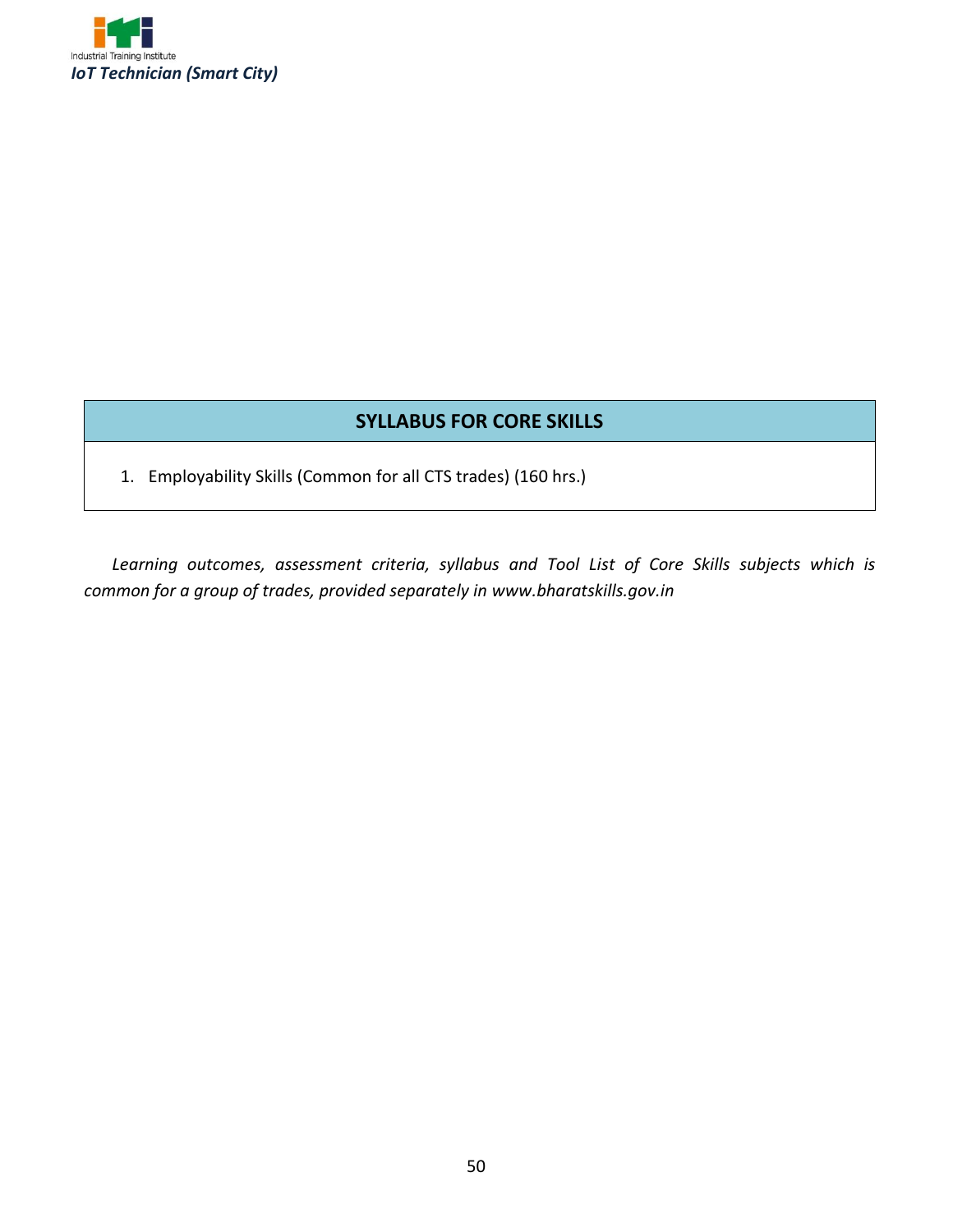

#### **SYLLABUS FOR CORE SKILLS**

1. Employability Skills (Common for all CTS trades) (160 hrs.)

*Learning outcomes, assessment criteria, syllabus and Tool List of Core Skills subjects which is common for a group of trades, provided separately in www.bharatskills.gov.in*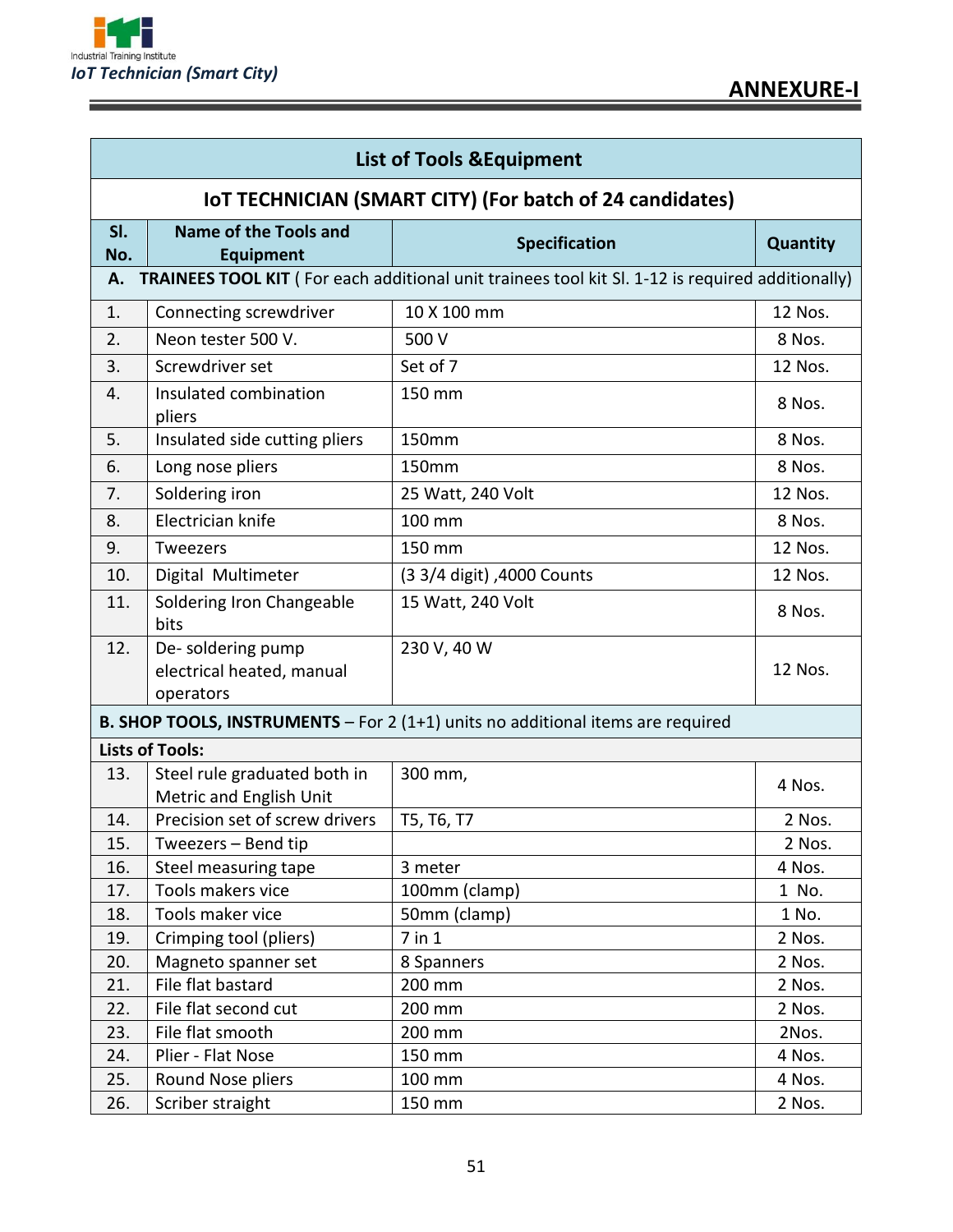

Ē

|            | <b>List of Tools &amp; Equipment</b>                        |                                                                                                  |                 |  |
|------------|-------------------------------------------------------------|--------------------------------------------------------------------------------------------------|-----------------|--|
|            |                                                             | IOT TECHNICIAN (SMART CITY) (For batch of 24 candidates)                                         |                 |  |
| SI.<br>No. | Name of the Tools and<br><b>Equipment</b>                   | <b>Specification</b>                                                                             | <b>Quantity</b> |  |
| Α.         |                                                             | TRAINEES TOOL KIT (For each additional unit trainees tool kit SI. 1-12 is required additionally) |                 |  |
| 1.         | Connecting screwdriver                                      | 10 X 100 mm                                                                                      | 12 Nos.         |  |
| 2.         | Neon tester 500 V.                                          | 500 V                                                                                            | 8 Nos.          |  |
| 3.         | Screwdriver set                                             | Set of 7                                                                                         | 12 Nos.         |  |
| 4.         | Insulated combination<br>pliers                             | 150 mm                                                                                           | 8 Nos.          |  |
| 5.         | Insulated side cutting pliers                               | 150mm                                                                                            | 8 Nos.          |  |
| 6.         | Long nose pliers                                            | 150mm                                                                                            | 8 Nos.          |  |
| 7.         | Soldering iron                                              | 25 Watt, 240 Volt                                                                                | 12 Nos.         |  |
| 8.         | Electrician knife                                           | 100 mm                                                                                           | 8 Nos.          |  |
| 9.         | Tweezers                                                    | 150 mm                                                                                           | 12 Nos.         |  |
| 10.        | Digital Multimeter                                          | (3 3/4 digit), 4000 Counts                                                                       | 12 Nos.         |  |
| 11.        | Soldering Iron Changeable<br>bits                           | 15 Watt, 240 Volt                                                                                | 8 Nos.          |  |
| 12.        | De-soldering pump<br>electrical heated, manual<br>operators | 230 V, 40 W                                                                                      | 12 Nos.         |  |
|            |                                                             | B. SHOP TOOLS, INSTRUMENTS - For 2 (1+1) units no additional items are required                  |                 |  |
|            | <b>Lists of Tools:</b>                                      |                                                                                                  |                 |  |
| 13.        | Steel rule graduated both in<br>Metric and English Unit     | 300 mm,                                                                                          | 4 Nos.          |  |
| 14.        | Precision set of screw drivers                              | T5, T6, T7                                                                                       | 2 Nos.          |  |
| 15.        | Tweezers - Bend tip                                         |                                                                                                  | 2 Nos.          |  |
| 16.        | Steel measuring tape                                        | 3 meter                                                                                          | 4 Nos.          |  |
| 17.        | Tools makers vice                                           | 100mm (clamp)                                                                                    | 1 No.           |  |
| 18.        | Tools maker vice                                            | 50mm (clamp)                                                                                     | 1 No.           |  |
| 19.        | Crimping tool (pliers)                                      | 7 in 1                                                                                           | 2 Nos.          |  |
| 20.        | Magneto spanner set                                         | 8 Spanners                                                                                       | 2 Nos.          |  |
| 21.        | File flat bastard                                           | 200 mm                                                                                           | 2 Nos.          |  |
| 22.        | File flat second cut                                        | 200 mm                                                                                           | 2 Nos.          |  |
| 23.        | File flat smooth                                            | 200 mm                                                                                           | 2Nos.           |  |
| 24.        | Plier - Flat Nose                                           | 150 mm                                                                                           | 4 Nos.          |  |
| 25.        | Round Nose pliers                                           | 100 mm                                                                                           | 4 Nos.          |  |
| 26.        | Scriber straight                                            | 150 mm                                                                                           | 2 Nos.          |  |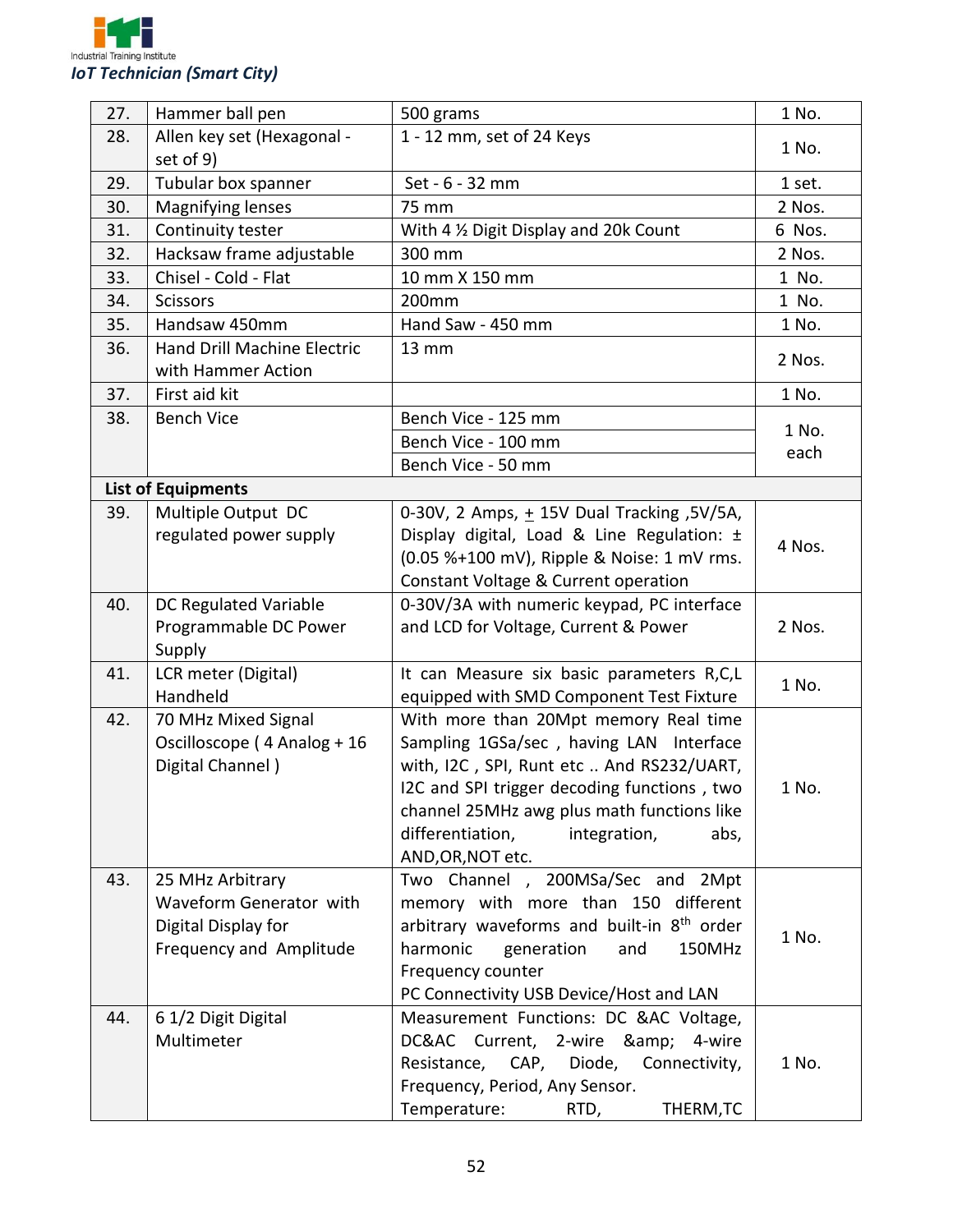

| 27. | Hammer ball pen                    | 500 grams                                              | 1 No.  |
|-----|------------------------------------|--------------------------------------------------------|--------|
| 28. | Allen key set (Hexagonal -         | 1 - 12 mm, set of 24 Keys                              | 1 No.  |
|     | set of 9)                          |                                                        |        |
| 29. | Tubular box spanner                | Set - 6 - 32 mm                                        | 1 set. |
| 30. | Magnifying lenses                  | 75 mm                                                  | 2 Nos. |
| 31. | Continuity tester                  | With 4 % Digit Display and 20k Count                   | 6 Nos. |
| 32. | Hacksaw frame adjustable           | 300 mm                                                 | 2 Nos. |
| 33. | Chisel - Cold - Flat               | 10 mm X 150 mm                                         | 1 No.  |
| 34. | <b>Scissors</b>                    | 200mm                                                  | 1 No.  |
| 35. | Handsaw 450mm                      | Hand Saw - 450 mm                                      | 1 No.  |
| 36. | <b>Hand Drill Machine Electric</b> | <b>13 mm</b>                                           |        |
|     | with Hammer Action                 |                                                        | 2 Nos. |
| 37. | First aid kit                      |                                                        | 1 No.  |
| 38. | <b>Bench Vice</b>                  | Bench Vice - 125 mm                                    |        |
|     |                                    | Bench Vice - 100 mm                                    | 1 No.  |
|     |                                    | Bench Vice - 50 mm                                     | each   |
|     | <b>List of Equipments</b>          |                                                        |        |
| 39. | Multiple Output DC                 | 0-30V, 2 Amps, + 15V Dual Tracking, 5V/5A,             |        |
|     | regulated power supply             | Display digital, Load & Line Regulation: ±             |        |
|     |                                    | (0.05 %+100 mV), Ripple & Noise: 1 mV rms.             | 4 Nos. |
|     |                                    | Constant Voltage & Current operation                   |        |
| 40. | DC Regulated Variable              | 0-30V/3A with numeric keypad, PC interface             |        |
|     | Programmable DC Power              | and LCD for Voltage, Current & Power                   | 2 Nos. |
|     | Supply                             |                                                        |        |
| 41. | LCR meter (Digital)                | It can Measure six basic parameters R,C,L              |        |
|     | Handheld                           | equipped with SMD Component Test Fixture               | 1 No.  |
| 42. | 70 MHz Mixed Signal                | With more than 20Mpt memory Real time                  |        |
|     | Oscilloscope (4 Analog + 16        | Sampling 1GSa/sec, having LAN Interface                |        |
|     | Digital Channel)                   | with, I2C, SPI, Runt etc  And RS232/UART,              |        |
|     |                                    | I2C and SPI trigger decoding functions, two            | 1 No.  |
|     |                                    | channel 25MHz awg plus math functions like             |        |
|     |                                    | differentiation,<br>integration,<br>abs,               |        |
|     |                                    | AND, OR, NOT etc.                                      |        |
| 43. | 25 MHz Arbitrary                   | Two Channel , 200MSa/Sec and 2Mpt                      |        |
|     | Waveform Generator with            | memory with more than 150 different                    |        |
|     | Digital Display for                | arbitrary waveforms and built-in 8 <sup>th</sup> order |        |
|     | Frequency and Amplitude            | harmonic<br>generation<br>and<br>150MHz                | 1 No.  |
|     |                                    | Frequency counter                                      |        |
|     |                                    | PC Connectivity USB Device/Host and LAN                |        |
| 44. | 6 1/2 Digit Digital                | Measurement Functions: DC &AC Voltage,                 |        |
|     | Multimeter                         | DC&AC Current, 2-wire & 4-wire                         |        |
|     |                                    | Resistance, CAP, Diode, Connectivity,                  | 1 No.  |
|     |                                    | Frequency, Period, Any Sensor.                         |        |
|     |                                    | Temperature:<br>THERM, TC<br>RTD,                      |        |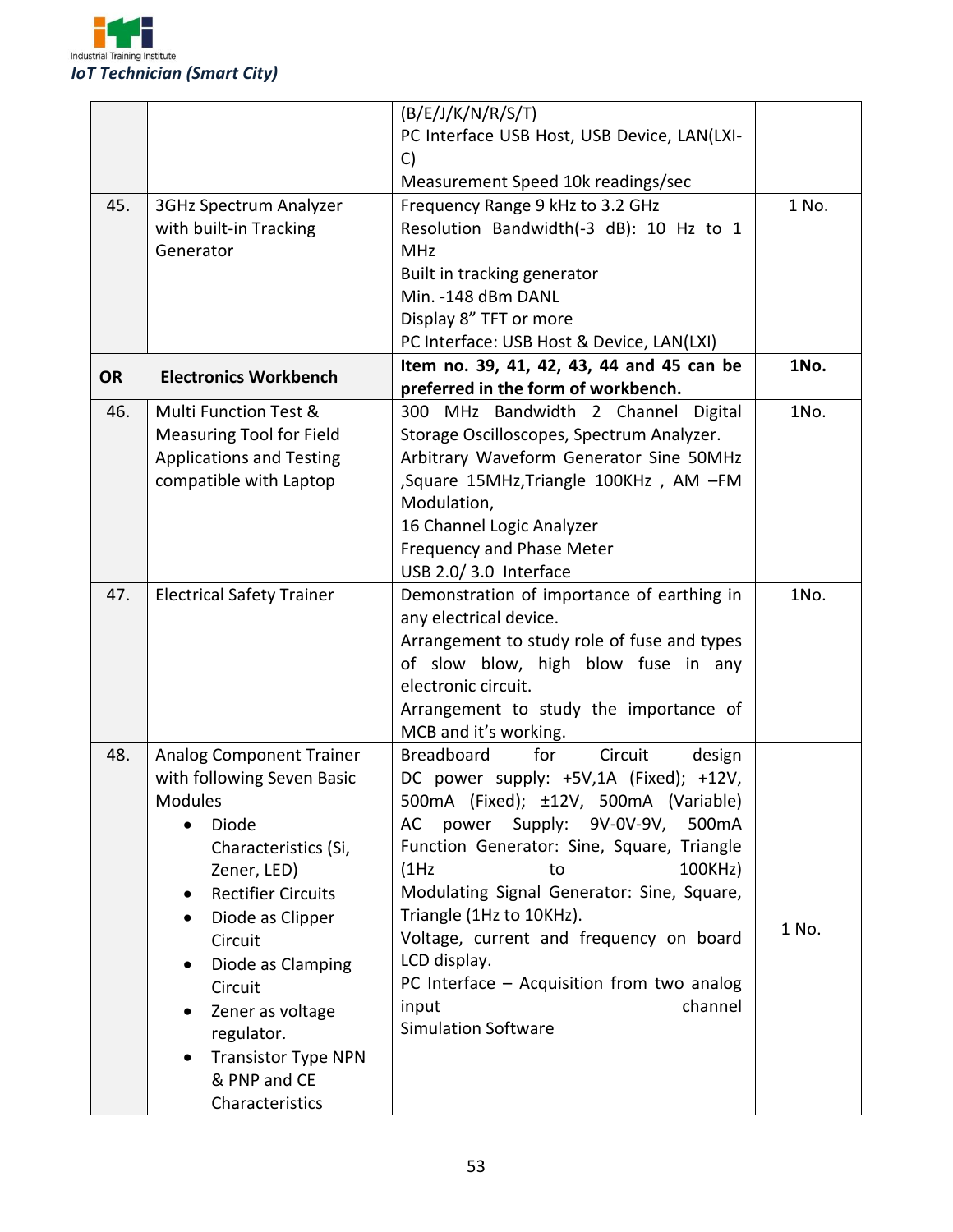

|           |                                        | (B/E/J/K/N/R/S/T)                             |       |
|-----------|----------------------------------------|-----------------------------------------------|-------|
|           |                                        | PC Interface USB Host, USB Device, LAN(LXI-   |       |
|           |                                        | C)                                            |       |
|           |                                        | Measurement Speed 10k readings/sec            |       |
| 45.       | 3GHz Spectrum Analyzer                 | Frequency Range 9 kHz to 3.2 GHz              | 1 No. |
|           | with built-in Tracking                 | Resolution Bandwidth(-3 dB): 10 Hz to 1       |       |
|           | Generator                              | <b>MHz</b>                                    |       |
|           |                                        | Built in tracking generator                   |       |
|           |                                        | Min. - 148 dBm DANL                           |       |
|           |                                        | Display 8" TFT or more                        |       |
|           |                                        | PC Interface: USB Host & Device, LAN(LXI)     |       |
|           |                                        | Item no. 39, 41, 42, 43, 44 and 45 can be     | 1No.  |
| <b>OR</b> | <b>Electronics Workbench</b>           | preferred in the form of workbench.           |       |
| 46.       | <b>Multi Function Test &amp;</b>       | 300 MHz Bandwidth 2 Channel Digital           | 1No.  |
|           | <b>Measuring Tool for Field</b>        | Storage Oscilloscopes, Spectrum Analyzer.     |       |
|           | <b>Applications and Testing</b>        | Arbitrary Waveform Generator Sine 50MHz       |       |
|           | compatible with Laptop                 | Square 15MHz, Triangle 100KHz, AM -FM         |       |
|           |                                        | Modulation,                                   |       |
|           |                                        | 16 Channel Logic Analyzer                     |       |
|           |                                        | Frequency and Phase Meter                     |       |
|           |                                        | USB 2.0/3.0 Interface                         |       |
| 47.       | <b>Electrical Safety Trainer</b>       | Demonstration of importance of earthing in    | 1No.  |
|           |                                        | any electrical device.                        |       |
|           |                                        | Arrangement to study role of fuse and types   |       |
|           |                                        | of slow blow, high blow fuse in any           |       |
|           |                                        | electronic circuit.                           |       |
|           |                                        | Arrangement to study the importance of        |       |
|           |                                        | MCB and it's working.                         |       |
| 48.       | <b>Analog Component Trainer</b>        | <b>Breadboard</b><br>for<br>Circuit<br>design |       |
|           | with following Seven Basic             | DC power supply: +5V,1A (Fixed); +12V,        |       |
|           | <b>Modules</b>                         | 500mA (Fixed); ±12V, 500mA (Variable)         |       |
|           | Diode<br>$\bullet$                     | power Supply: 9V-0V-9V, 500mA<br>AC           |       |
|           | Characteristics (Si,                   | Function Generator: Sine, Square, Triangle    |       |
|           | Zener, LED)                            | 100KHz)<br>(1Hz)<br>to                        |       |
|           | <b>Rectifier Circuits</b><br>$\bullet$ | Modulating Signal Generator: Sine, Square,    |       |
|           | Diode as Clipper<br>$\bullet$          | Triangle (1Hz to 10KHz).                      |       |
|           | Circuit                                | Voltage, current and frequency on board       | 1 No. |
|           | Diode as Clamping<br>$\bullet$         | LCD display.                                  |       |
|           | Circuit                                | PC Interface - Acquisition from two analog    |       |
|           | Zener as voltage                       | channel<br>input                              |       |
|           | regulator.                             | <b>Simulation Software</b>                    |       |
|           | <b>Transistor Type NPN</b>             |                                               |       |
|           | & PNP and CE                           |                                               |       |
|           | Characteristics                        |                                               |       |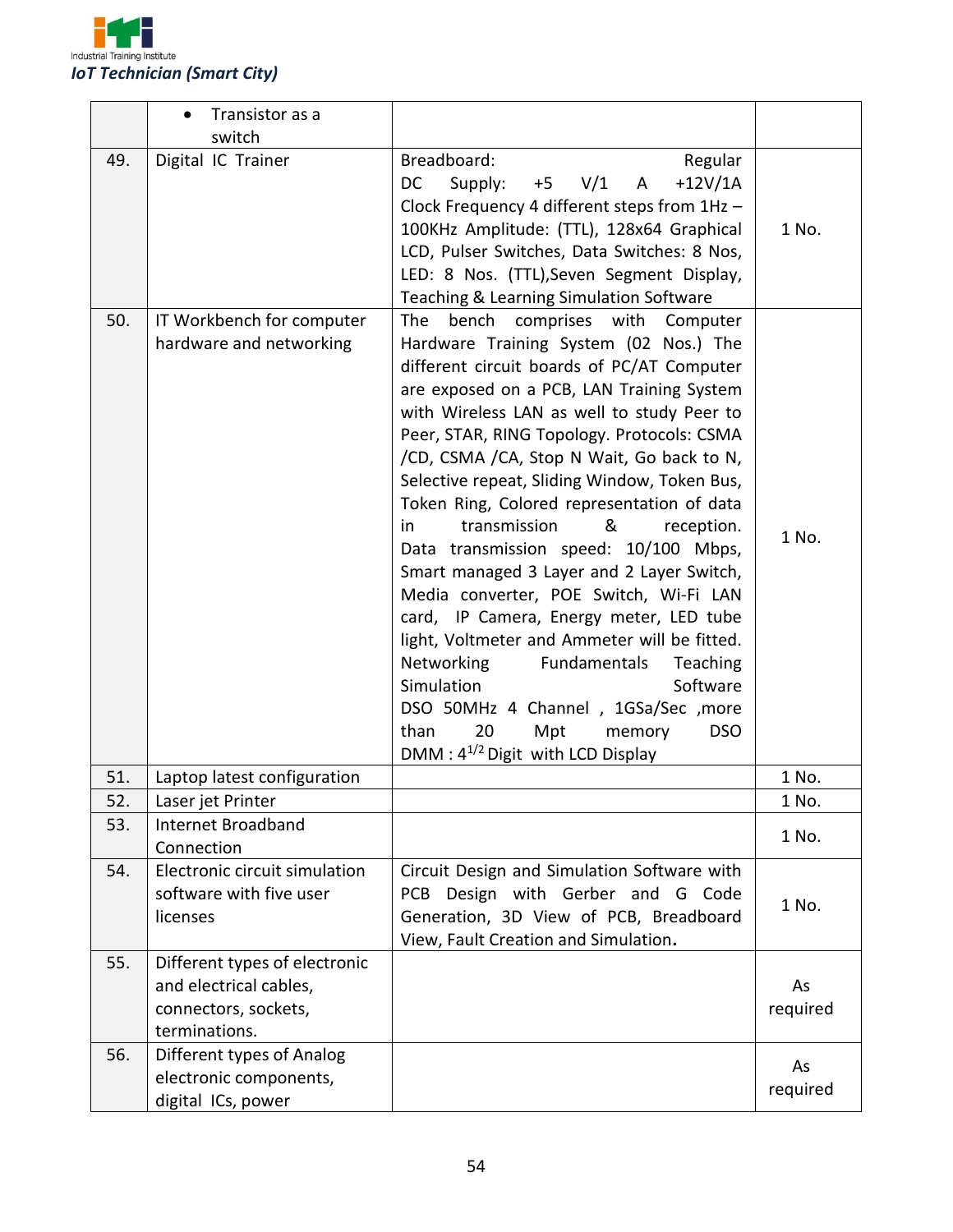

|     | Transistor as a<br>$\bullet$<br>switch                                                           |                                                                                                                                                                                                                                                                                                                                                                                                                                                                                                                                                                                                                                                                                                                                                                                                                                                                                             |                |
|-----|--------------------------------------------------------------------------------------------------|---------------------------------------------------------------------------------------------------------------------------------------------------------------------------------------------------------------------------------------------------------------------------------------------------------------------------------------------------------------------------------------------------------------------------------------------------------------------------------------------------------------------------------------------------------------------------------------------------------------------------------------------------------------------------------------------------------------------------------------------------------------------------------------------------------------------------------------------------------------------------------------------|----------------|
| 49. | Digital IC Trainer                                                                               | Breadboard:<br>Regular<br>$+12V/1A$<br>Supply:<br>V/1<br><b>DC</b><br>$+5$<br>A<br>Clock Frequency 4 different steps from 1Hz -<br>100KHz Amplitude: (TTL), 128x64 Graphical<br>LCD, Pulser Switches, Data Switches: 8 Nos,<br>LED: 8 Nos. (TTL), Seven Segment Display,<br>Teaching & Learning Simulation Software                                                                                                                                                                                                                                                                                                                                                                                                                                                                                                                                                                         | 1 No.          |
| 50. | IT Workbench for computer<br>hardware and networking                                             | bench<br>comprises with<br>The<br>Computer<br>Hardware Training System (02 Nos.) The<br>different circuit boards of PC/AT Computer<br>are exposed on a PCB, LAN Training System<br>with Wireless LAN as well to study Peer to<br>Peer, STAR, RING Topology. Protocols: CSMA<br>/CD, CSMA /CA, Stop N Wait, Go back to N,<br>Selective repeat, Sliding Window, Token Bus,<br>Token Ring, Colored representation of data<br>&<br>transmission<br>in<br>reception.<br>Data transmission speed: 10/100 Mbps,<br>Smart managed 3 Layer and 2 Layer Switch,<br>Media converter, POE Switch, Wi-Fi LAN<br>card, IP Camera, Energy meter, LED tube<br>light, Voltmeter and Ammeter will be fitted.<br>Networking<br>Fundamentals<br>Teaching<br>Simulation<br>Software<br>DSO 50MHz 4 Channel, 1GSa/Sec, more<br>Mpt<br>than<br>20<br>memory<br><b>DSO</b><br>DMM: $4^{1/2}$ Digit with LCD Display | 1 No.          |
| 51. | Laptop latest configuration                                                                      |                                                                                                                                                                                                                                                                                                                                                                                                                                                                                                                                                                                                                                                                                                                                                                                                                                                                                             | 1 No.          |
| 52. | Laser jet Printer                                                                                |                                                                                                                                                                                                                                                                                                                                                                                                                                                                                                                                                                                                                                                                                                                                                                                                                                                                                             | 1 No.          |
| 53. | Internet Broadband<br>Connection                                                                 |                                                                                                                                                                                                                                                                                                                                                                                                                                                                                                                                                                                                                                                                                                                                                                                                                                                                                             | 1 No.          |
| 54. | Electronic circuit simulation<br>software with five user<br>licenses                             | Circuit Design and Simulation Software with<br>Design with Gerber and G Code<br>PCB.<br>Generation, 3D View of PCB, Breadboard<br>View, Fault Creation and Simulation.                                                                                                                                                                                                                                                                                                                                                                                                                                                                                                                                                                                                                                                                                                                      | 1 No.          |
| 55. | Different types of electronic<br>and electrical cables,<br>connectors, sockets,<br>terminations. |                                                                                                                                                                                                                                                                                                                                                                                                                                                                                                                                                                                                                                                                                                                                                                                                                                                                                             | As<br>required |
| 56. | Different types of Analog<br>electronic components,<br>digital ICs, power                        |                                                                                                                                                                                                                                                                                                                                                                                                                                                                                                                                                                                                                                                                                                                                                                                                                                                                                             | As<br>required |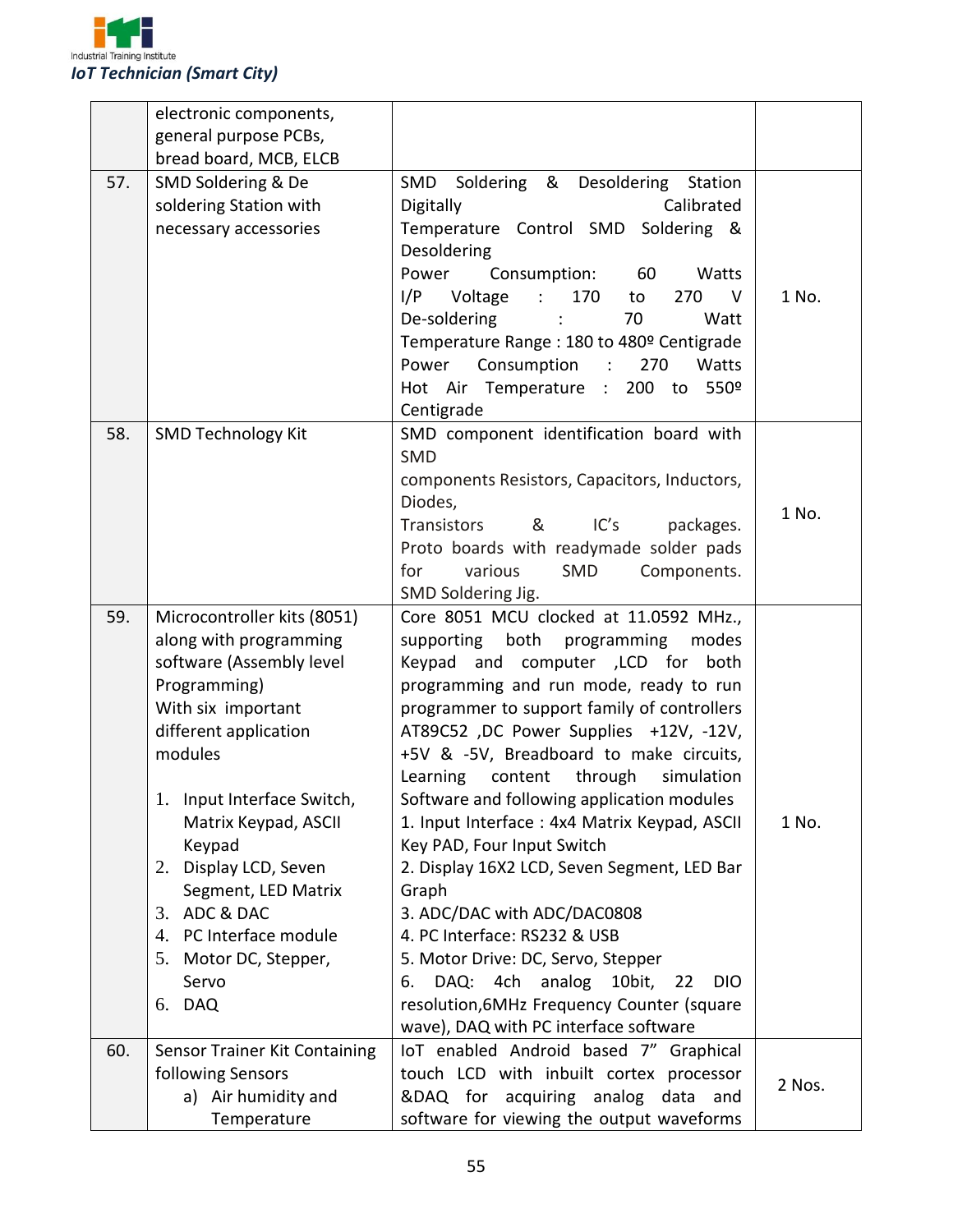

|     | electronic components,              |                                                                |        |
|-----|-------------------------------------|----------------------------------------------------------------|--------|
|     | general purpose PCBs,               |                                                                |        |
|     | bread board, MCB, ELCB              |                                                                |        |
| 57. | SMD Soldering & De                  | Soldering & Desoldering<br>SMD<br>Station                      |        |
|     | soldering Station with              | Digitally<br>Calibrated                                        |        |
|     | necessary accessories               | Temperature Control SMD Soldering &                            |        |
|     |                                     | Desoldering                                                    |        |
|     |                                     | Consumption: 60<br>Power<br>Watts                              |        |
|     |                                     | I/P Voltage<br>$\sim 1000$<br>170<br>270<br>$\mathsf{V}$<br>to | 1 No.  |
|     |                                     | De-soldering :<br>70<br>Watt                                   |        |
|     |                                     | Temperature Range: 180 to 480º Centigrade                      |        |
|     |                                     | Power<br>Consumption :<br>270<br>Watts                         |        |
|     |                                     | Hot Air Temperature : 200 to<br>550°                           |        |
|     |                                     | Centigrade                                                     |        |
| 58. | <b>SMD Technology Kit</b>           | SMD component identification board with<br><b>SMD</b>          |        |
|     |                                     | components Resistors, Capacitors, Inductors,                   |        |
|     |                                     | Diodes,                                                        |        |
|     |                                     | IC's<br>Transistors<br>&<br>packages.                          | 1 No.  |
|     |                                     | Proto boards with readymade solder pads                        |        |
|     |                                     | for<br>various<br>SMD<br>Components.                           |        |
|     |                                     | SMD Soldering Jig.                                             |        |
| 59. | Microcontroller kits (8051)         | Core 8051 MCU clocked at 11.0592 MHz.,                         |        |
|     | along with programming              | supporting both programming<br>modes                           |        |
|     | software (Assembly level            | Keypad and computer , LCD for both                             |        |
|     | Programming)                        | programming and run mode, ready to run                         |        |
|     | With six important                  | programmer to support family of controllers                    |        |
|     | different application               | AT89C52, DC Power Supplies +12V, -12V,                         |        |
|     | modules                             | +5V & -5V, Breadboard to make circuits,                        |        |
|     |                                     | Learning content through<br>simulation                         |        |
|     | 1. Input Interface Switch,          | Software and following application modules                     |        |
|     | Matrix Keypad, ASCII                | 1. Input Interface: 4x4 Matrix Keypad, ASCII                   | 1 No.  |
|     | Keypad                              | Key PAD, Four Input Switch                                     |        |
|     | 2. Display LCD, Seven               | 2. Display 16X2 LCD, Seven Segment, LED Bar                    |        |
|     | Segment, LED Matrix<br>3. ADC & DAC | Graph                                                          |        |
|     | 4. PC Interface module              | 3. ADC/DAC with ADC/DAC0808<br>4. PC Interface: RS232 & USB    |        |
|     | 5. Motor DC, Stepper,               | 5. Motor Drive: DC, Servo, Stepper                             |        |
|     | Servo                               | DAQ: 4ch analog 10bit,<br>22<br><b>DIO</b><br>6.               |        |
|     | 6. DAQ                              | resolution, 6MHz Frequency Counter (square                     |        |
|     |                                     | wave), DAQ with PC interface software                          |        |
| 60. | Sensor Trainer Kit Containing       | IoT enabled Android based 7" Graphical                         |        |
|     | following Sensors                   | touch LCD with inbuilt cortex processor                        |        |
|     | a) Air humidity and                 | &DAQ for acquiring analog data and                             | 2 Nos. |
|     | Temperature                         | software for viewing the output waveforms                      |        |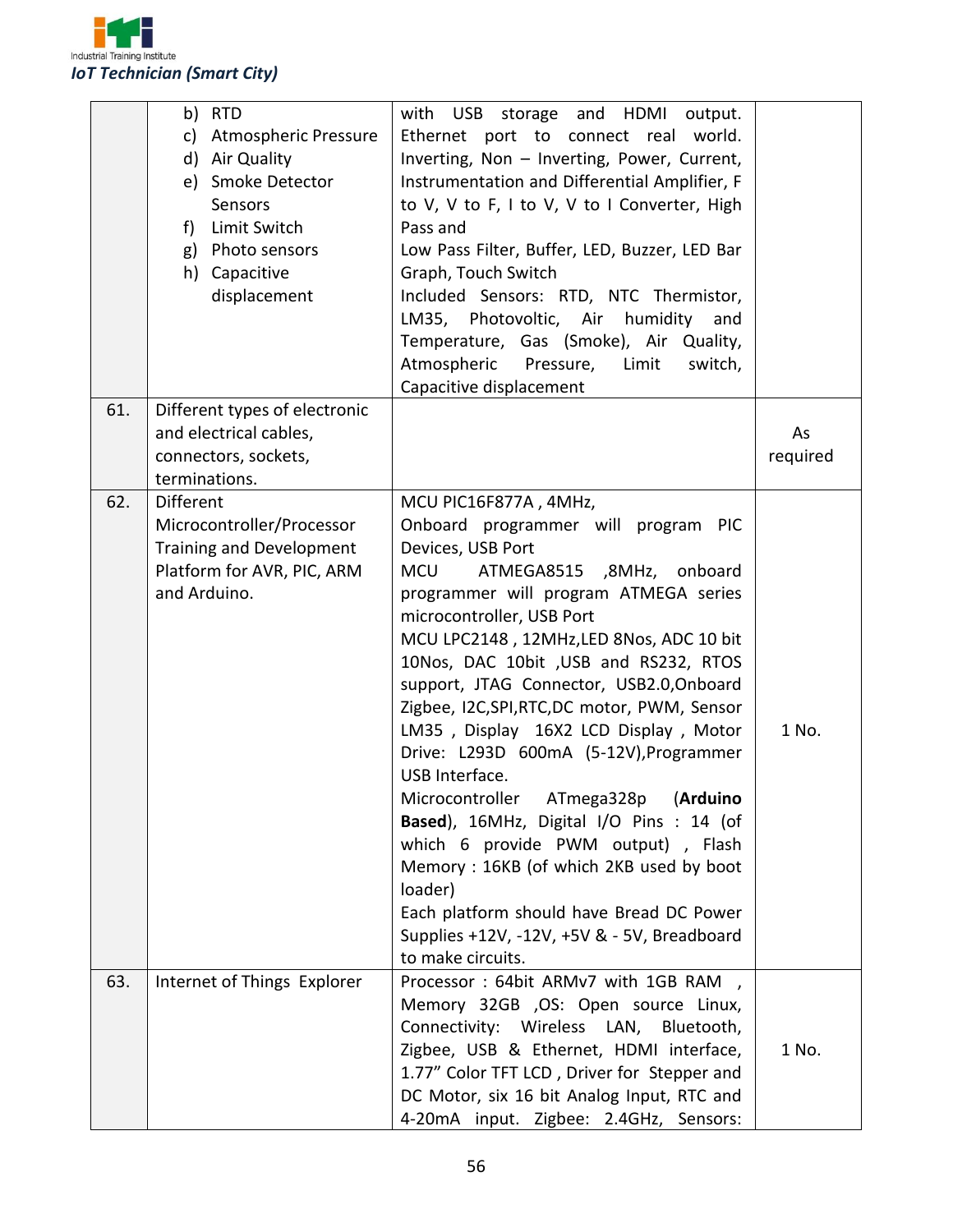

|     | b) RTD<br>c)<br><b>Atmospheric Pressure</b><br>d) Air Quality<br>e) Smoke Detector<br>Sensors<br>Limit Switch<br>$f$ )<br>g) Photo sensors<br>h) Capacitive<br>displacement | with USB<br>storage and HDMI<br>output.<br>Ethernet port to connect real world.<br>Inverting, Non - Inverting, Power, Current,<br>Instrumentation and Differential Amplifier, F<br>to V, V to F, I to V, V to I Converter, High<br>Pass and<br>Low Pass Filter, Buffer, LED, Buzzer, LED Bar<br>Graph, Touch Switch<br>Included Sensors: RTD, NTC Thermistor,<br>LM35, Photovoltic, Air humidity and<br>Temperature, Gas (Smoke), Air Quality,<br>Atmospheric Pressure,<br>Limit<br>switch,<br>Capacitive displacement                                                                                                                                                                                                                                                                      |                |
|-----|-----------------------------------------------------------------------------------------------------------------------------------------------------------------------------|---------------------------------------------------------------------------------------------------------------------------------------------------------------------------------------------------------------------------------------------------------------------------------------------------------------------------------------------------------------------------------------------------------------------------------------------------------------------------------------------------------------------------------------------------------------------------------------------------------------------------------------------------------------------------------------------------------------------------------------------------------------------------------------------|----------------|
| 61. | Different types of electronic<br>and electrical cables,<br>connectors, sockets,<br>terminations.                                                                            |                                                                                                                                                                                                                                                                                                                                                                                                                                                                                                                                                                                                                                                                                                                                                                                             | As<br>required |
| 62. | <b>Different</b><br>Microcontroller/Processor<br><b>Training and Development</b><br>Platform for AVR, PIC, ARM<br>and Arduino.                                              | MCU PIC16F877A, 4MHz,<br>Onboard programmer will program PIC<br>Devices, USB Port<br>ATMEGA8515 ,8MHz, onboard<br><b>MCU</b><br>programmer will program ATMEGA series<br>microcontroller, USB Port<br>MCU LPC2148, 12MHz, LED 8Nos, ADC 10 bit<br>10Nos, DAC 10bit , USB and RS232, RTOS<br>support, JTAG Connector, USB2.0, Onboard<br>Zigbee, I2C,SPI,RTC,DC motor, PWM, Sensor<br>LM35, Display 16X2 LCD Display, Motor<br>Drive: L293D 600mA (5-12V), Programmer<br>USB Interface.<br>(Arduino<br>Microcontroller<br>ATmega328p<br>Based), 16MHz, Digital I/O Pins : 14 (of<br>which 6 provide PWM output), Flash<br>Memory: 16KB (of which 2KB used by boot<br>loader)<br>Each platform should have Bread DC Power<br>Supplies +12V, -12V, +5V & - 5V, Breadboard<br>to make circuits. | 1 No.          |
| 63. | Internet of Things Explorer                                                                                                                                                 | Processor: 64bit ARMv7 with 1GB RAM,<br>Memory 32GB , OS: Open source Linux,<br>Connectivity: Wireless LAN, Bluetooth,<br>Zigbee, USB & Ethernet, HDMI interface,<br>1.77" Color TFT LCD, Driver for Stepper and<br>DC Motor, six 16 bit Analog Input, RTC and<br>4-20mA input. Zigbee: 2.4GHz, Sensors:                                                                                                                                                                                                                                                                                                                                                                                                                                                                                    | 1 No.          |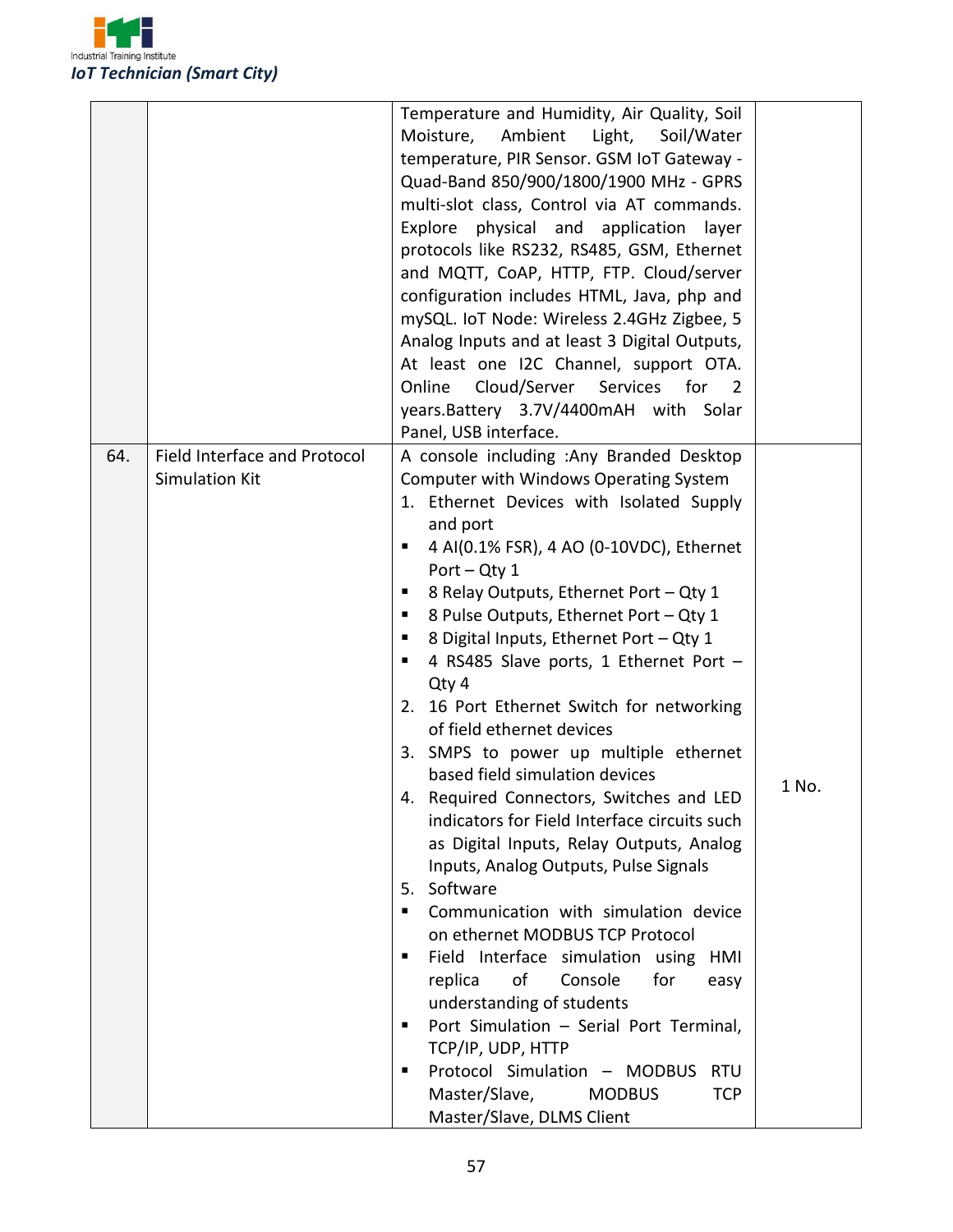

|     |                                     | Temperature and Humidity, Air Quality, Soil              |       |
|-----|-------------------------------------|----------------------------------------------------------|-------|
|     |                                     | Moisture, Ambient Light,<br>Soil/Water                   |       |
|     |                                     | temperature, PIR Sensor. GSM IoT Gateway -               |       |
|     |                                     | Quad-Band 850/900/1800/1900 MHz - GPRS                   |       |
|     |                                     | multi-slot class, Control via AT commands.               |       |
|     |                                     | Explore physical and application<br>layer                |       |
|     |                                     | protocols like RS232, RS485, GSM, Ethernet               |       |
|     |                                     | and MQTT, CoAP, HTTP, FTP. Cloud/server                  |       |
|     |                                     | configuration includes HTML, Java, php and               |       |
|     |                                     | mySQL. IoT Node: Wireless 2.4GHz Zigbee, 5               |       |
|     |                                     | Analog Inputs and at least 3 Digital Outputs,            |       |
|     |                                     | At least one I2C Channel, support OTA.                   |       |
|     |                                     |                                                          |       |
|     |                                     | Online<br>Cloud/Server<br>Services for<br>$\overline{2}$ |       |
|     |                                     | years.Battery 3.7V/4400mAH with Solar                    |       |
|     |                                     | Panel, USB interface.                                    |       |
| 64. | <b>Field Interface and Protocol</b> | A console including : Any Branded Desktop                |       |
|     | <b>Simulation Kit</b>               | Computer with Windows Operating System                   |       |
|     |                                     | 1. Ethernet Devices with Isolated Supply                 |       |
|     |                                     | and port                                                 |       |
|     |                                     | 4 AI(0.1% FSR), 4 AO (0-10VDC), Ethernet<br>п            |       |
|     |                                     | Port $-$ Qty 1                                           |       |
|     |                                     | 8 Relay Outputs, Ethernet Port - Qty 1<br>п              |       |
|     |                                     | 8 Pulse Outputs, Ethernet Port - Qty 1<br>п              |       |
|     |                                     | 8 Digital Inputs, Ethernet Port - Qty 1<br>п             |       |
|     |                                     | 4 RS485 Slave ports, 1 Ethernet Port -<br>ш              |       |
|     |                                     | Qty 4                                                    |       |
|     |                                     | 2. 16 Port Ethernet Switch for networking                |       |
|     |                                     | of field ethernet devices                                |       |
|     |                                     | 3. SMPS to power up multiple ethernet                    |       |
|     |                                     | based field simulation devices                           | 1 No. |
|     |                                     | 4. Required Connectors, Switches and LED                 |       |
|     |                                     | indicators for Field Interface circuits such             |       |
|     |                                     | as Digital Inputs, Relay Outputs, Analog                 |       |
|     |                                     | Inputs, Analog Outputs, Pulse Signals                    |       |
|     |                                     | 5. Software                                              |       |
|     |                                     | Communication with simulation device<br>п                |       |
|     |                                     | on ethernet MODBUS TCP Protocol                          |       |
|     |                                     | Field Interface simulation using<br>HMI<br>п             |       |
|     |                                     | replica<br>of<br>Console<br>for<br>easy                  |       |
|     |                                     | understanding of students                                |       |
|     |                                     | Port Simulation - Serial Port Terminal,<br>п             |       |
|     |                                     | TCP/IP, UDP, HTTP                                        |       |
|     |                                     | Protocol Simulation - MODBUS<br><b>RTU</b><br>п          |       |
|     |                                     | Master/Slave,<br><b>MODBUS</b><br><b>TCP</b>             |       |
|     |                                     | Master/Slave, DLMS Client                                |       |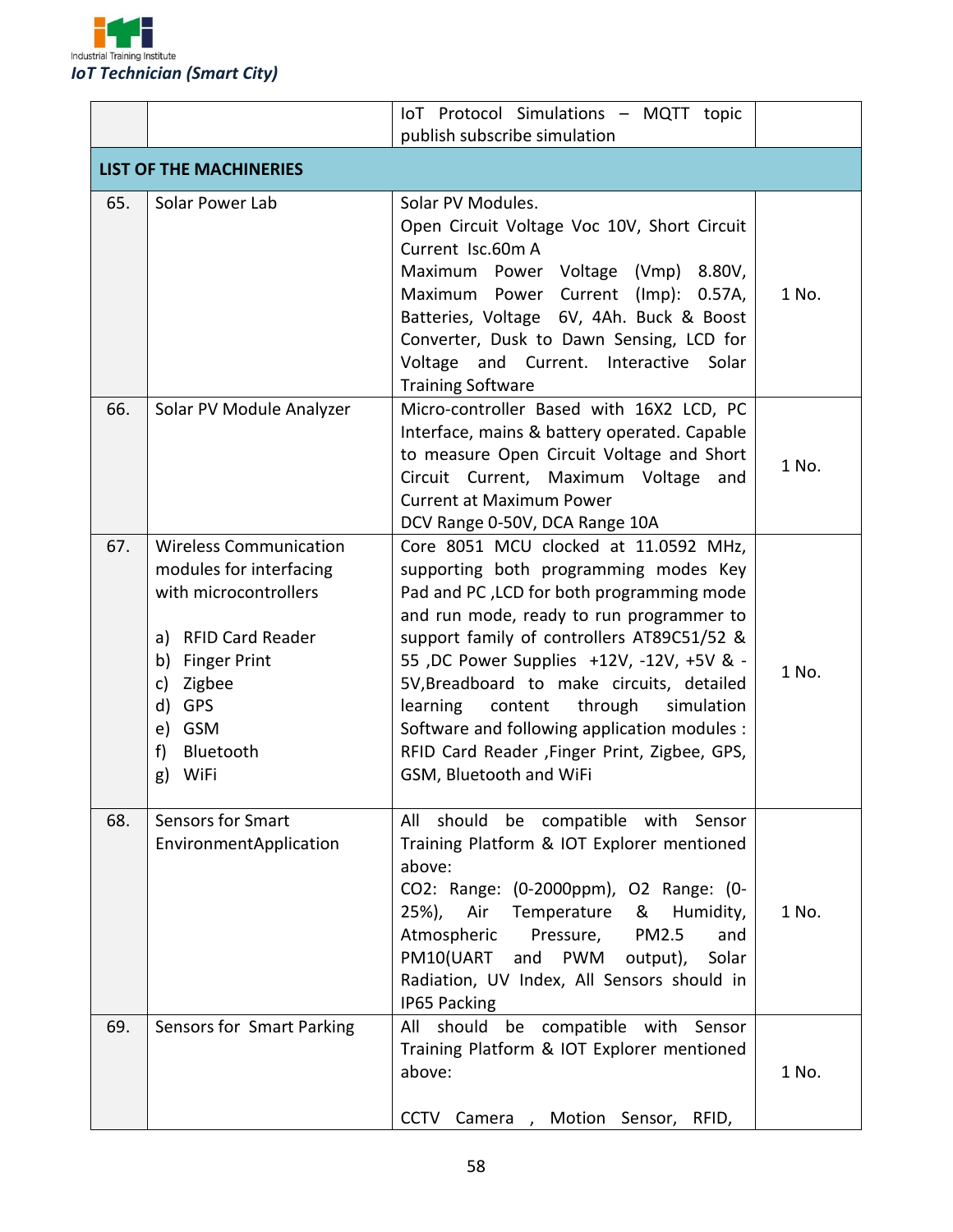

|     |                                                                                                                                                                                               | IoT Protocol Simulations - MQTT topic                                                                                                                                                                                                                                                                                                                                                                                                                                                        |       |  |
|-----|-----------------------------------------------------------------------------------------------------------------------------------------------------------------------------------------------|----------------------------------------------------------------------------------------------------------------------------------------------------------------------------------------------------------------------------------------------------------------------------------------------------------------------------------------------------------------------------------------------------------------------------------------------------------------------------------------------|-------|--|
|     |                                                                                                                                                                                               | publish subscribe simulation                                                                                                                                                                                                                                                                                                                                                                                                                                                                 |       |  |
|     | <b>LIST OF THE MACHINERIES</b>                                                                                                                                                                |                                                                                                                                                                                                                                                                                                                                                                                                                                                                                              |       |  |
| 65. | Solar Power Lab                                                                                                                                                                               | Solar PV Modules.<br>Open Circuit Voltage Voc 10V, Short Circuit<br>Current Isc.60m A<br>Maximum Power Voltage (Vmp) 8.80V,<br>Maximum Power Current (Imp): 0.57A,<br>Batteries, Voltage 6V, 4Ah. Buck & Boost<br>Converter, Dusk to Dawn Sensing, LCD for<br>Voltage and Current. Interactive Solar<br><b>Training Software</b>                                                                                                                                                             | 1 No. |  |
| 66. | Solar PV Module Analyzer                                                                                                                                                                      | Micro-controller Based with 16X2 LCD, PC<br>Interface, mains & battery operated. Capable<br>to measure Open Circuit Voltage and Short<br>Circuit Current, Maximum Voltage<br>and<br><b>Current at Maximum Power</b><br>DCV Range 0-50V, DCA Range 10A                                                                                                                                                                                                                                        | 1 No. |  |
| 67. | <b>Wireless Communication</b><br>modules for interfacing<br>with microcontrollers<br>a) RFID Card Reader<br>b) Finger Print<br>Zigbee<br>c)<br>d) GPS<br>e) GSM<br>f) Bluetooth<br>WiFi<br>g) | Core 8051 MCU clocked at 11.0592 MHz,<br>supporting both programming modes Key<br>Pad and PC, LCD for both programming mode<br>and run mode, ready to run programmer to<br>support family of controllers AT89C51/52 &<br>55 , DC Power Supplies +12V, -12V, +5V & -<br>5V, Breadboard to make circuits, detailed<br>learning<br>content<br>through<br>simulation<br>Software and following application modules :<br>RFID Card Reader , Finger Print, Zigbee, GPS,<br>GSM, Bluetooth and WiFi | 1 No. |  |
| 68. | <b>Sensors for Smart</b><br>EnvironmentApplication                                                                                                                                            | All should be compatible with Sensor<br>Training Platform & IOT Explorer mentioned<br>above:<br>CO2: Range: (0-2000ppm), O2 Range: (0-<br>Air<br>Temperature<br>&<br>25%),<br>Humidity,<br>Atmospheric<br>Pressure,<br><b>PM2.5</b><br>and<br>PM10(UART and PWM<br>Solar<br>output),<br>Radiation, UV Index, All Sensors should in<br>IP65 Packing                                                                                                                                           | 1 No. |  |
| 69. | Sensors for Smart Parking                                                                                                                                                                     | should be<br>compatible with<br>All<br>Sensor<br>Training Platform & IOT Explorer mentioned<br>above:<br>CCTV Camera, Motion Sensor, RFID,                                                                                                                                                                                                                                                                                                                                                   | 1 No. |  |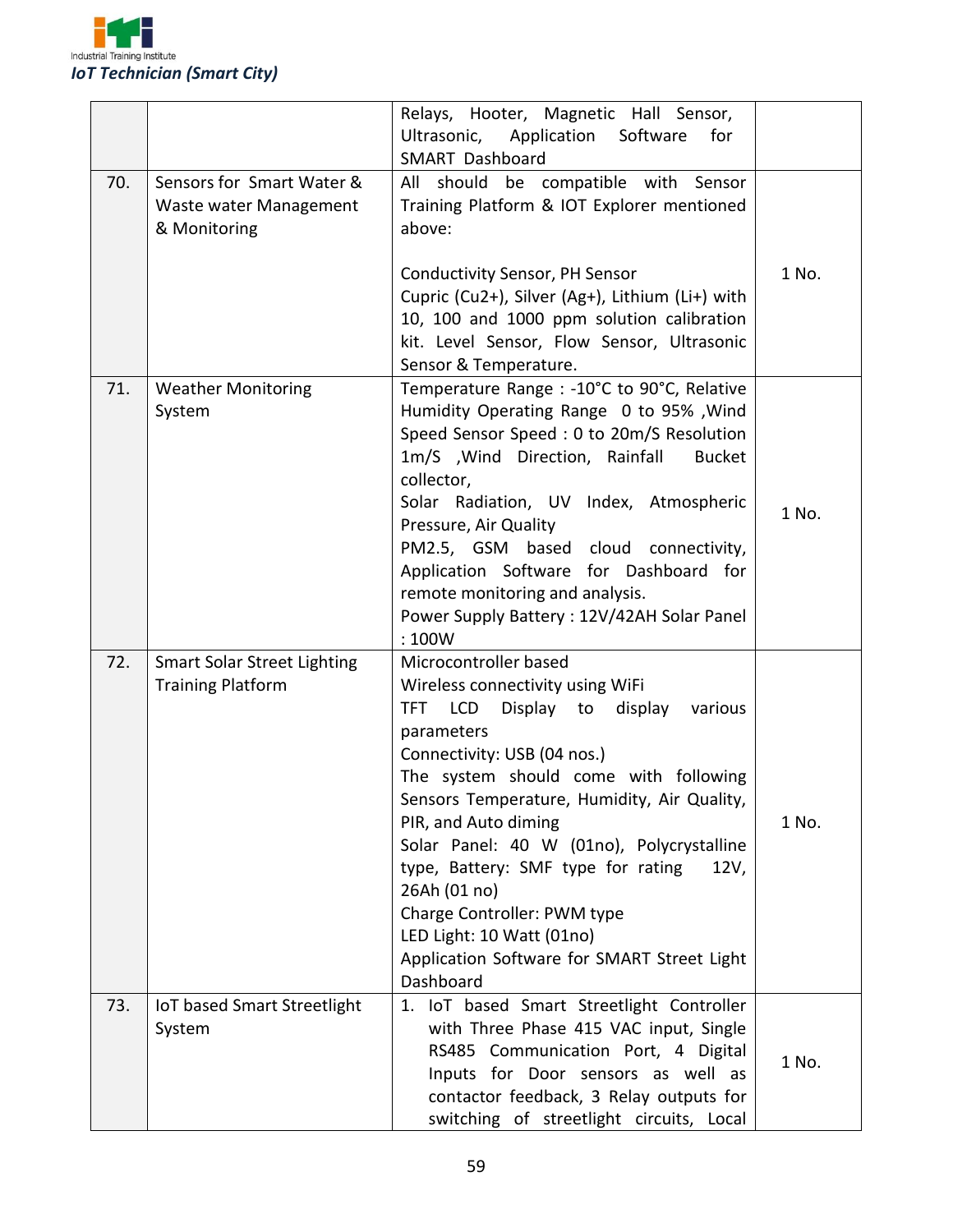

|     |                                    | Relays, Hooter, Magnetic Hall Sensor,                                                |       |
|-----|------------------------------------|--------------------------------------------------------------------------------------|-------|
|     |                                    | Ultrasonic, Application Software<br>for                                              |       |
|     |                                    | SMART Dashboard                                                                      |       |
| 70. | Sensors for Smart Water &          | All should be compatible with Sensor                                                 |       |
|     | Waste water Management             | Training Platform & IOT Explorer mentioned                                           |       |
|     | & Monitoring                       | above:                                                                               |       |
|     |                                    |                                                                                      |       |
|     |                                    | <b>Conductivity Sensor, PH Sensor</b>                                                | 1 No. |
|     |                                    | Cupric (Cu2+), Silver (Ag+), Lithium (Li+) with                                      |       |
|     |                                    | 10, 100 and 1000 ppm solution calibration                                            |       |
|     |                                    | kit. Level Sensor, Flow Sensor, Ultrasonic                                           |       |
|     |                                    | Sensor & Temperature.                                                                |       |
| 71. | <b>Weather Monitoring</b>          | Temperature Range : -10°C to 90°C, Relative                                          |       |
|     | System                             | Humidity Operating Range 0 to 95%, Wind                                              |       |
|     |                                    | Speed Sensor Speed: 0 to 20m/S Resolution                                            |       |
|     |                                    | 1m/S , Wind Direction, Rainfall<br><b>Bucket</b>                                     |       |
|     |                                    | collector,                                                                           |       |
|     |                                    | Solar Radiation, UV Index, Atmospheric                                               | 1 No. |
|     |                                    | Pressure, Air Quality                                                                |       |
|     |                                    | PM2.5, GSM based cloud connectivity,                                                 |       |
|     |                                    | Application Software for Dashboard for                                               |       |
|     |                                    | remote monitoring and analysis.                                                      |       |
|     |                                    | Power Supply Battery: 12V/42AH Solar Panel                                           |       |
|     |                                    | :100W                                                                                |       |
| 72. | <b>Smart Solar Street Lighting</b> | Microcontroller based                                                                |       |
|     | <b>Training Platform</b>           | Wireless connectivity using WiFi                                                     |       |
|     |                                    | TFT LCD<br>Display to display<br>various                                             |       |
|     |                                    | parameters                                                                           |       |
|     |                                    | Connectivity: USB (04 nos.)                                                          |       |
|     |                                    | The system should come with following<br>Sensors Temperature, Humidity, Air Quality, |       |
|     |                                    | PIR, and Auto diming                                                                 | 1 No. |
|     |                                    | Solar Panel: 40 W (01no), Polycrystalline                                            |       |
|     |                                    | type, Battery: SMF type for rating<br>12V,                                           |       |
|     |                                    | 26Ah (01 no)                                                                         |       |
|     |                                    | Charge Controller: PWM type                                                          |       |
|     |                                    | LED Light: 10 Watt (01no)                                                            |       |
|     |                                    | Application Software for SMART Street Light                                          |       |
|     |                                    | Dashboard                                                                            |       |
| 73. | IoT based Smart Streetlight        | 1. IoT based Smart Streetlight Controller                                            |       |
|     | System                             | with Three Phase 415 VAC input, Single                                               |       |
|     |                                    | RS485 Communication Port, 4 Digital                                                  |       |
|     |                                    | Inputs for Door sensors as well as                                                   | 1 No. |
|     |                                    | contactor feedback, 3 Relay outputs for                                              |       |
|     |                                    | switching of streetlight circuits, Local                                             |       |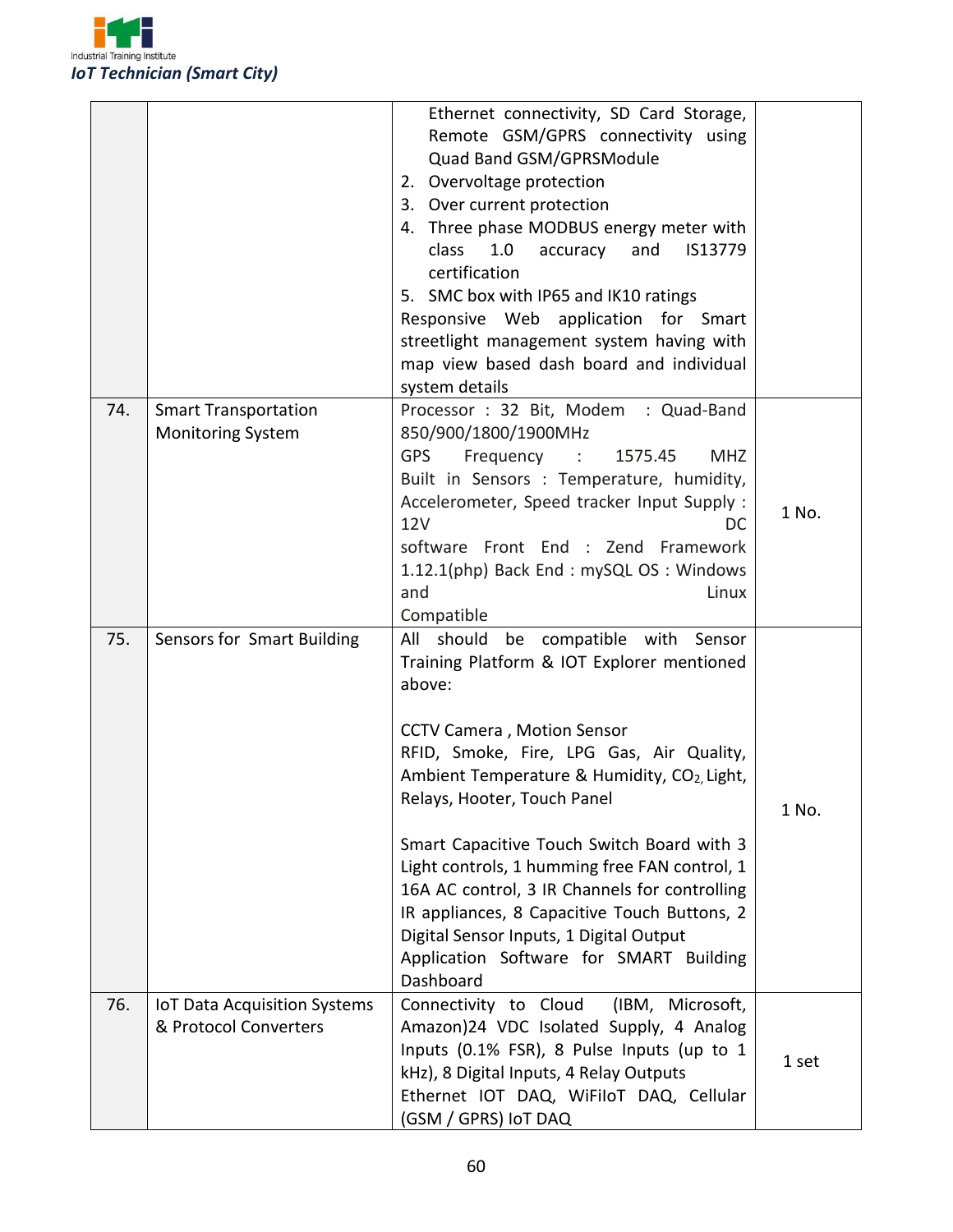

|     |                                     | Ethernet connectivity, SD Card Storage,<br>Remote GSM/GPRS connectivity using |       |
|-----|-------------------------------------|-------------------------------------------------------------------------------|-------|
|     |                                     | Quad Band GSM/GPRSModule                                                      |       |
|     |                                     | 2. Overvoltage protection                                                     |       |
|     |                                     | 3. Over current protection                                                    |       |
|     |                                     | 4. Three phase MODBUS energy meter with                                       |       |
|     |                                     | class<br>1.0<br>and<br>IS13779<br>accuracy                                    |       |
|     |                                     | certification                                                                 |       |
|     |                                     | 5. SMC box with IP65 and IK10 ratings                                         |       |
|     |                                     | Responsive Web application for Smart                                          |       |
|     |                                     | streetlight management system having with                                     |       |
|     |                                     | map view based dash board and individual                                      |       |
|     |                                     | system details                                                                |       |
| 74. | <b>Smart Transportation</b>         | Processor: 32 Bit, Modem: Quad-Band                                           |       |
|     | <b>Monitoring System</b>            | 850/900/1800/1900MHz                                                          |       |
|     |                                     | <b>GPS</b><br>Frequency :<br>1575.45<br><b>MHZ</b>                            |       |
|     |                                     | Built in Sensors : Temperature, humidity,                                     |       |
|     |                                     | Accelerometer, Speed tracker Input Supply :                                   | 1 No. |
|     |                                     | <b>12V</b><br>DC                                                              |       |
|     |                                     | software Front End : Zend Framework                                           |       |
|     |                                     | 1.12.1(php) Back End: mySQL OS: Windows                                       |       |
|     |                                     | and<br>Linux                                                                  |       |
|     |                                     | Compatible                                                                    |       |
| 75. | Sensors for Smart Building          | All should<br>compatible with<br>be<br>Sensor                                 |       |
|     |                                     | Training Platform & IOT Explorer mentioned                                    |       |
|     |                                     | above:                                                                        |       |
|     |                                     | <b>CCTV Camera, Motion Sensor</b>                                             |       |
|     |                                     | RFID, Smoke, Fire, LPG Gas, Air Quality,                                      |       |
|     |                                     | Ambient Temperature & Humidity, CO <sub>2</sub> , Light,                      |       |
|     |                                     | Relays, Hooter, Touch Panel                                                   |       |
|     |                                     |                                                                               | 1 No. |
|     |                                     | Smart Capacitive Touch Switch Board with 3                                    |       |
|     |                                     | Light controls, 1 humming free FAN control, 1                                 |       |
|     |                                     | 16A AC control, 3 IR Channels for controlling                                 |       |
|     |                                     | IR appliances, 8 Capacitive Touch Buttons, 2                                  |       |
|     |                                     | Digital Sensor Inputs, 1 Digital Output                                       |       |
|     |                                     | Application Software for SMART Building                                       |       |
|     |                                     | Dashboard                                                                     |       |
| 76. | <b>IoT Data Acquisition Systems</b> | Connectivity to Cloud<br>(IBM, Microsoft,                                     |       |
|     | & Protocol Converters               | Amazon)24 VDC Isolated Supply, 4 Analog                                       |       |
|     |                                     | Inputs (0.1% FSR), 8 Pulse Inputs (up to 1                                    | 1 set |
|     |                                     | kHz), 8 Digital Inputs, 4 Relay Outputs                                       |       |
|     |                                     | Ethernet IOT DAQ, WiFiloT DAQ, Cellular                                       |       |
|     |                                     | (GSM / GPRS) IoT DAQ                                                          |       |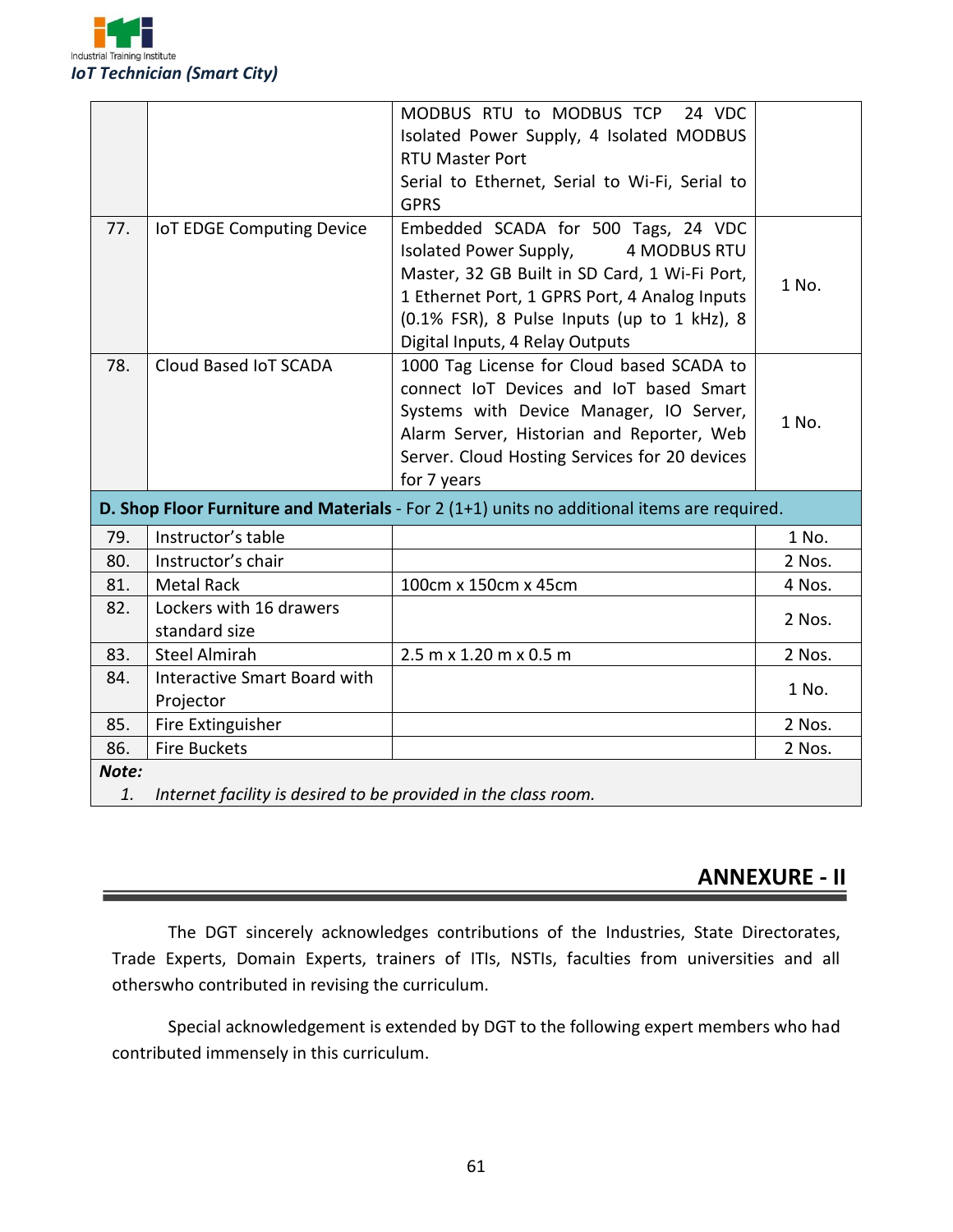

|       |                                                                | MODBUS RTU to MODBUS TCP<br>24 VDC                                                                                                                                                                                                                                       |        |
|-------|----------------------------------------------------------------|--------------------------------------------------------------------------------------------------------------------------------------------------------------------------------------------------------------------------------------------------------------------------|--------|
|       |                                                                | Isolated Power Supply, 4 Isolated MODBUS                                                                                                                                                                                                                                 |        |
|       |                                                                | <b>RTU Master Port</b>                                                                                                                                                                                                                                                   |        |
|       |                                                                | Serial to Ethernet, Serial to Wi-Fi, Serial to                                                                                                                                                                                                                           |        |
|       |                                                                | <b>GPRS</b>                                                                                                                                                                                                                                                              |        |
| 77.   | <b>IoT EDGE Computing Device</b>                               | Embedded SCADA for 500 Tags, 24 VDC<br>Isolated Power Supply,<br><b>4 MODBUS RTU</b><br>Master, 32 GB Built in SD Card, 1 Wi-Fi Port,<br>1 Ethernet Port, 1 GPRS Port, 4 Analog Inputs<br>(0.1% FSR), 8 Pulse Inputs (up to 1 kHz), 8<br>Digital Inputs, 4 Relay Outputs | 1 No.  |
| 78.   | Cloud Based IoT SCADA                                          | 1000 Tag License for Cloud based SCADA to<br>connect IoT Devices and IoT based Smart<br>Systems with Device Manager, IO Server,<br>Alarm Server, Historian and Reporter, Web<br>Server. Cloud Hosting Services for 20 devices<br>for 7 years                             | 1 No.  |
|       |                                                                | D. Shop Floor Furniture and Materials - For 2 (1+1) units no additional items are required.                                                                                                                                                                              |        |
| 79.   | Instructor's table                                             |                                                                                                                                                                                                                                                                          | 1 No.  |
| 80.   | Instructor's chair                                             |                                                                                                                                                                                                                                                                          | 2 Nos. |
| 81.   | <b>Metal Rack</b>                                              | 100cm x 150cm x 45cm                                                                                                                                                                                                                                                     | 4 Nos. |
| 82.   | Lockers with 16 drawers<br>standard size                       |                                                                                                                                                                                                                                                                          | 2 Nos. |
| 83.   | <b>Steel Almirah</b>                                           | 2.5 m x 1.20 m x 0.5 m                                                                                                                                                                                                                                                   | 2 Nos. |
| 84.   | <b>Interactive Smart Board with</b><br>Projector               |                                                                                                                                                                                                                                                                          | 1 No.  |
| 85.   | Fire Extinguisher                                              |                                                                                                                                                                                                                                                                          | 2 Nos. |
| 86.   | <b>Fire Buckets</b>                                            |                                                                                                                                                                                                                                                                          | 2 Nos. |
| Note: |                                                                |                                                                                                                                                                                                                                                                          |        |
| 1.    | Internet facility is desired to be provided in the class room. |                                                                                                                                                                                                                                                                          |        |

### **ANNEXURE - II**

The DGT sincerely acknowledges contributions of the Industries, State Directorates, Trade Experts, Domain Experts, trainers of ITIs, NSTIs, faculties from universities and all otherswho contributed in revising the curriculum.

Special acknowledgement is extended by DGT to the following expert members who had contributed immensely in this curriculum.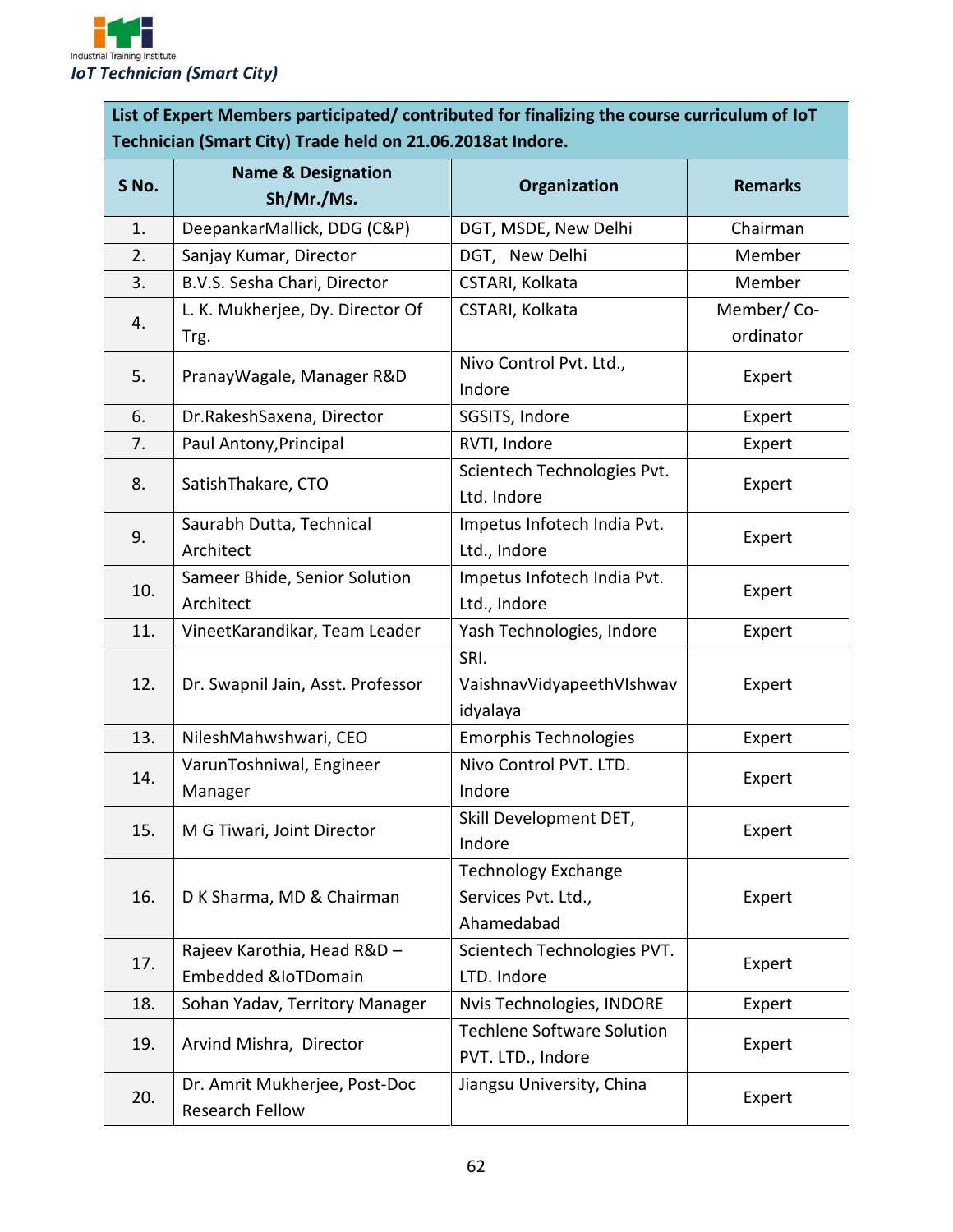

**List of Expert Members participated/ contributed for finalizing the course curriculum of IoT Technician (Smart City) Trade held on 21.06.2018at Indore.**

| S No. | <b>Name &amp; Designation</b><br>Sh/Mr./Ms.                   | Organization                                                    | <b>Remarks</b>          |
|-------|---------------------------------------------------------------|-----------------------------------------------------------------|-------------------------|
| 1.    | DeepankarMallick, DDG (C&P)                                   | DGT, MSDE, New Delhi                                            | Chairman                |
| 2.    | Sanjay Kumar, Director                                        | DGT, New Delhi                                                  | Member                  |
| 3.    | B.V.S. Sesha Chari, Director                                  | CSTARI, Kolkata                                                 | Member                  |
| 4.    | L. K. Mukherjee, Dy. Director Of<br>Trg.                      | CSTARI, Kolkata                                                 | Member/Co-<br>ordinator |
| 5.    | PranayWagale, Manager R&D                                     | Nivo Control Pvt. Ltd.,<br>Indore                               | Expert                  |
| 6.    | Dr.RakeshSaxena, Director                                     | SGSITS, Indore                                                  | Expert                  |
| 7.    | Paul Antony, Principal                                        | RVTI, Indore                                                    | Expert                  |
| 8.    | SatishThakare, CTO                                            | Scientech Technologies Pvt.<br>Ltd. Indore                      | Expert                  |
| 9.    | Saurabh Dutta, Technical<br>Architect                         | Impetus Infotech India Pvt.<br>Ltd., Indore                     | Expert                  |
| 10.   | Sameer Bhide, Senior Solution<br>Architect                    | Impetus Infotech India Pvt.<br>Ltd., Indore                     | Expert                  |
| 11.   | VineetKarandikar, Team Leader                                 | Yash Technologies, Indore                                       | Expert                  |
| 12.   | Dr. Swapnil Jain, Asst. Professor                             | SRI.<br>VaishnavVidyapeethVIshwav<br>idyalaya                   | Expert                  |
| 13.   | NileshMahwshwari, CEO                                         | <b>Emorphis Technologies</b>                                    | Expert                  |
| 14.   | VarunToshniwal, Engineer<br>Manager                           | Nivo Control PVT. LTD.<br>Indore                                | Expert                  |
| 15.   | M G Tiwari, Joint Director                                    | Skill Development DET,<br>Indore                                | Expert                  |
| 16.   | D K Sharma, MD & Chairman                                     | <b>Technology Exchange</b><br>Services Pvt. Ltd.,<br>Ahamedabad | Expert                  |
| 17.   | Rajeev Karothia, Head R&D -<br><b>Embedded &amp;IoTDomain</b> | Scientech Technologies PVT.<br>LTD. Indore                      | Expert                  |
| 18.   | Sohan Yadav, Territory Manager                                | Nvis Technologies, INDORE                                       | Expert                  |
| 19.   | Arvind Mishra, Director                                       | <b>Techlene Software Solution</b><br>PVT. LTD., Indore          | Expert                  |
| 20.   | Dr. Amrit Mukherjee, Post-Doc<br>Research Fellow              | Jiangsu University, China                                       | Expert                  |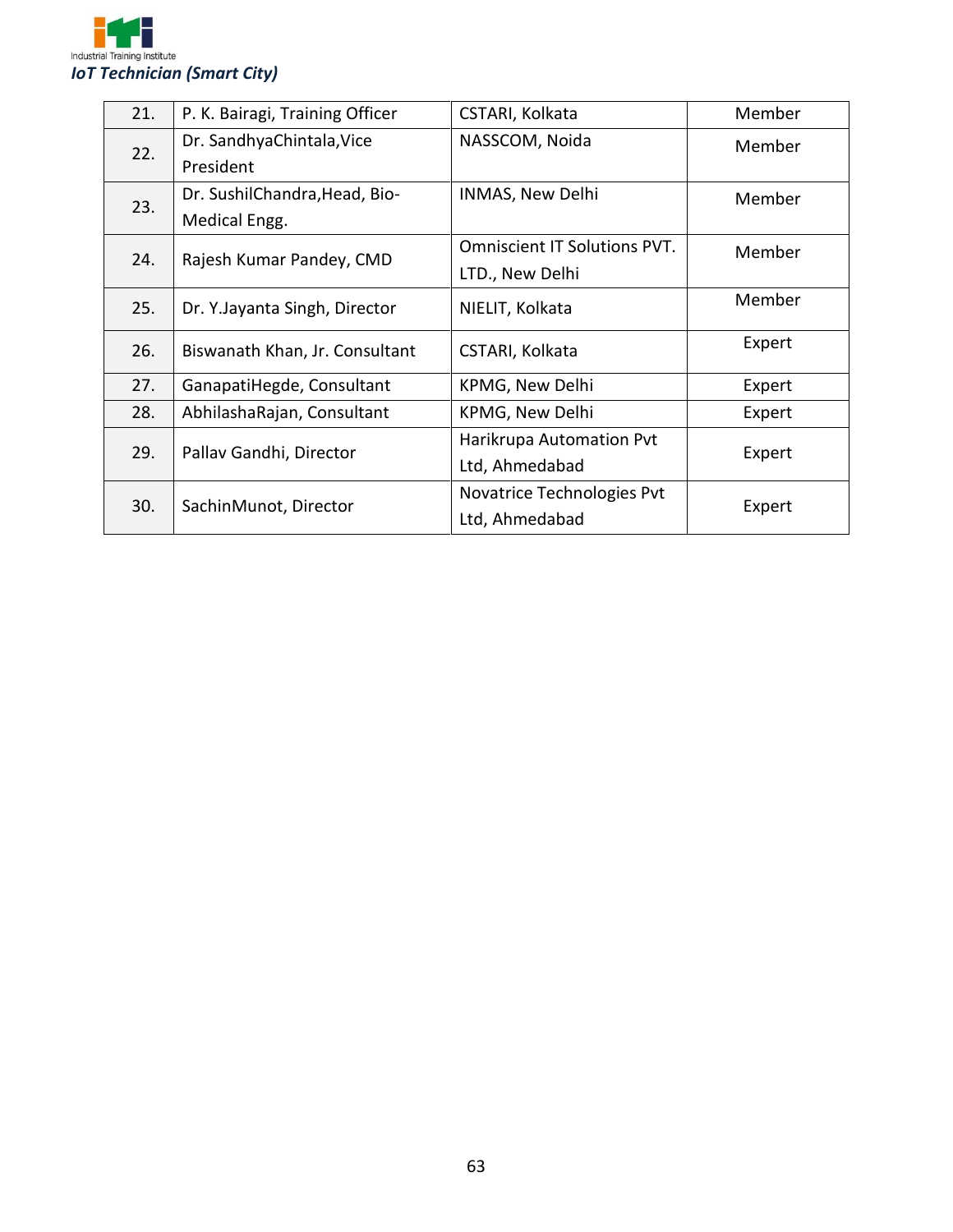

| 21. | P. K. Bairagi, Training Officer | CSTARI, Kolkata                     | Member |
|-----|---------------------------------|-------------------------------------|--------|
| 22. | Dr. SandhyaChintala, Vice       | NASSCOM, Noida                      | Member |
|     | President                       |                                     |        |
| 23. | Dr. SushilChandra, Head, Bio-   | INMAS, New Delhi                    | Member |
|     | Medical Engg.                   |                                     |        |
| 24. | Rajesh Kumar Pandey, CMD        | <b>Omniscient IT Solutions PVT.</b> | Member |
|     |                                 | LTD., New Delhi                     |        |
| 25. | Dr. Y. Jayanta Singh, Director  | NIELIT, Kolkata                     | Member |
|     |                                 |                                     |        |
| 26. | Biswanath Khan, Jr. Consultant  | CSTARI, Kolkata                     | Expert |
| 27. | GanapatiHegde, Consultant       | KPMG, New Delhi                     | Expert |
| 28. | AbhilashaRajan, Consultant      | KPMG, New Delhi                     | Expert |
|     | Pallav Gandhi, Director         | Harikrupa Automation Pvt            |        |
| 29. |                                 | Ltd, Ahmedabad                      | Expert |
|     |                                 | Novatrice Technologies Pvt          |        |
| 30. | SachinMunot, Director           | Ltd, Ahmedabad                      | Expert |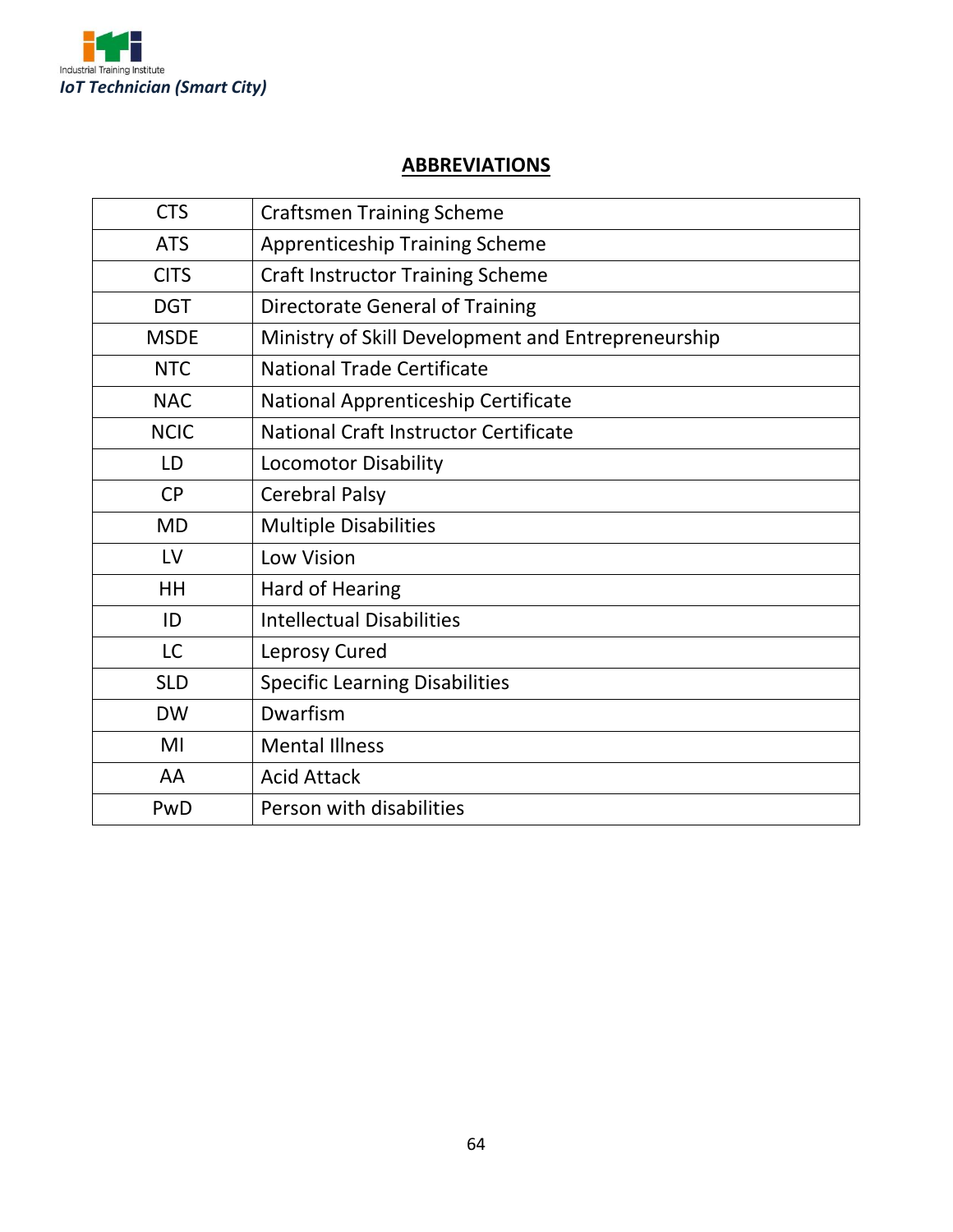

### **ABBREVIATIONS**

| <b>CTS</b>  | <b>Craftsmen Training Scheme</b>                   |
|-------------|----------------------------------------------------|
| <b>ATS</b>  | <b>Apprenticeship Training Scheme</b>              |
| <b>CITS</b> | <b>Craft Instructor Training Scheme</b>            |
| <b>DGT</b>  | Directorate General of Training                    |
| <b>MSDE</b> | Ministry of Skill Development and Entrepreneurship |
| <b>NTC</b>  | <b>National Trade Certificate</b>                  |
| <b>NAC</b>  | National Apprenticeship Certificate                |
| <b>NCIC</b> | <b>National Craft Instructor Certificate</b>       |
| LD          | <b>Locomotor Disability</b>                        |
| <b>CP</b>   | <b>Cerebral Palsy</b>                              |
| <b>MD</b>   | <b>Multiple Disabilities</b>                       |
| LV          | Low Vision                                         |
| HH          | Hard of Hearing                                    |
| ID          | <b>Intellectual Disabilities</b>                   |
| <b>LC</b>   | Leprosy Cured                                      |
| <b>SLD</b>  | <b>Specific Learning Disabilities</b>              |
| <b>DW</b>   | Dwarfism                                           |
| MI          | <b>Mental Illness</b>                              |
| AA          | <b>Acid Attack</b>                                 |
| PwD         | Person with disabilities                           |